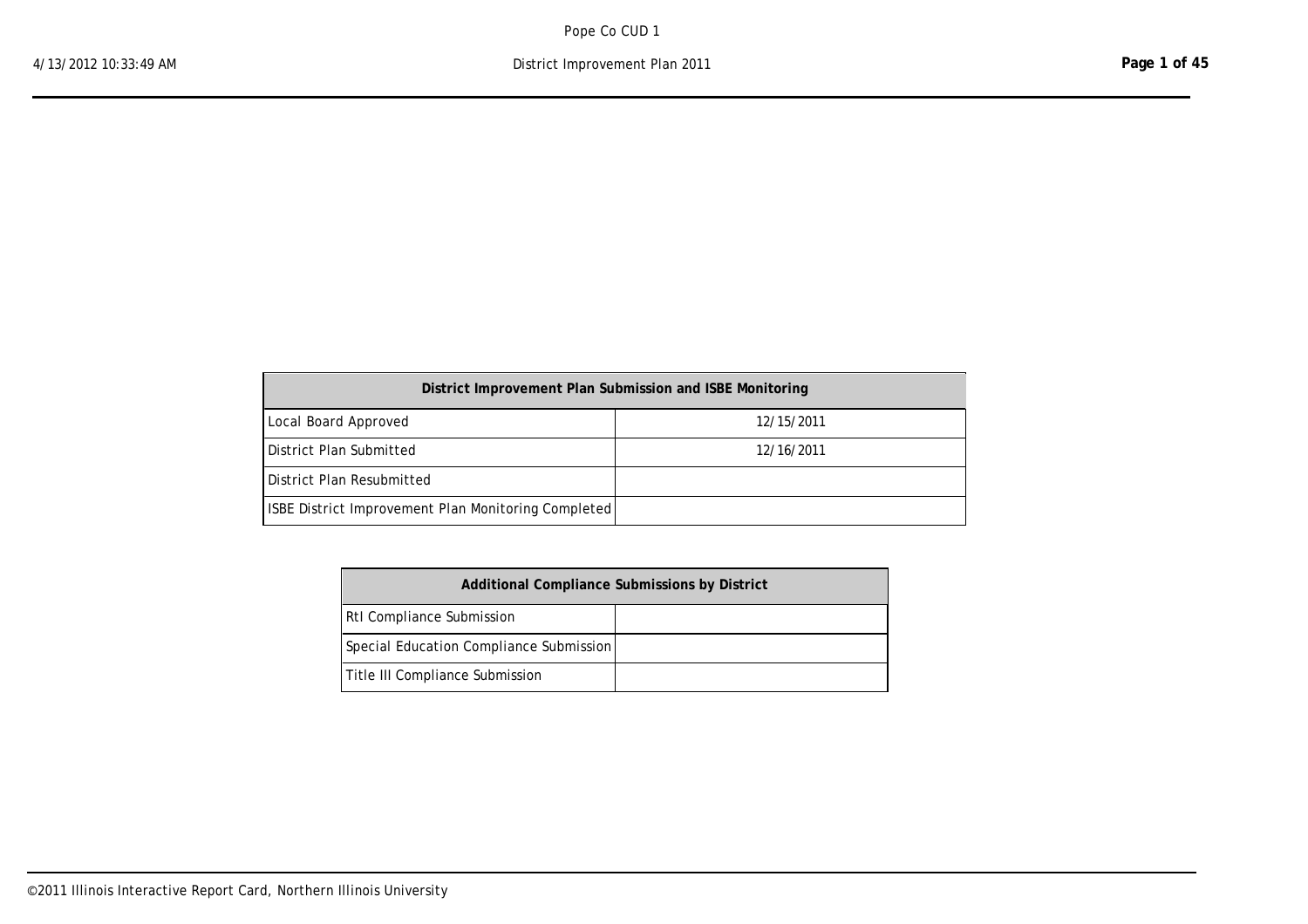| District Improvement Plan Submission and ISBE Monitoring   |            |  |  |  |  |  |  |  |  |
|------------------------------------------------------------|------------|--|--|--|--|--|--|--|--|
| Local Board Approved                                       | 12/15/2011 |  |  |  |  |  |  |  |  |
| l District Plan Submitted                                  | 12/16/2011 |  |  |  |  |  |  |  |  |
| l District Plan Resubmitted                                |            |  |  |  |  |  |  |  |  |
| <b>ISBE District Improvement Plan Monitoring Completed</b> |            |  |  |  |  |  |  |  |  |

| <b>Additional Compliance Submissions by District</b> |  |  |  |  |  |  |  |  |
|------------------------------------------------------|--|--|--|--|--|--|--|--|
| <b>RtI</b> Compliance Submission                     |  |  |  |  |  |  |  |  |
| Special Education Compliance Submission              |  |  |  |  |  |  |  |  |
| Title III Compliance Submission                      |  |  |  |  |  |  |  |  |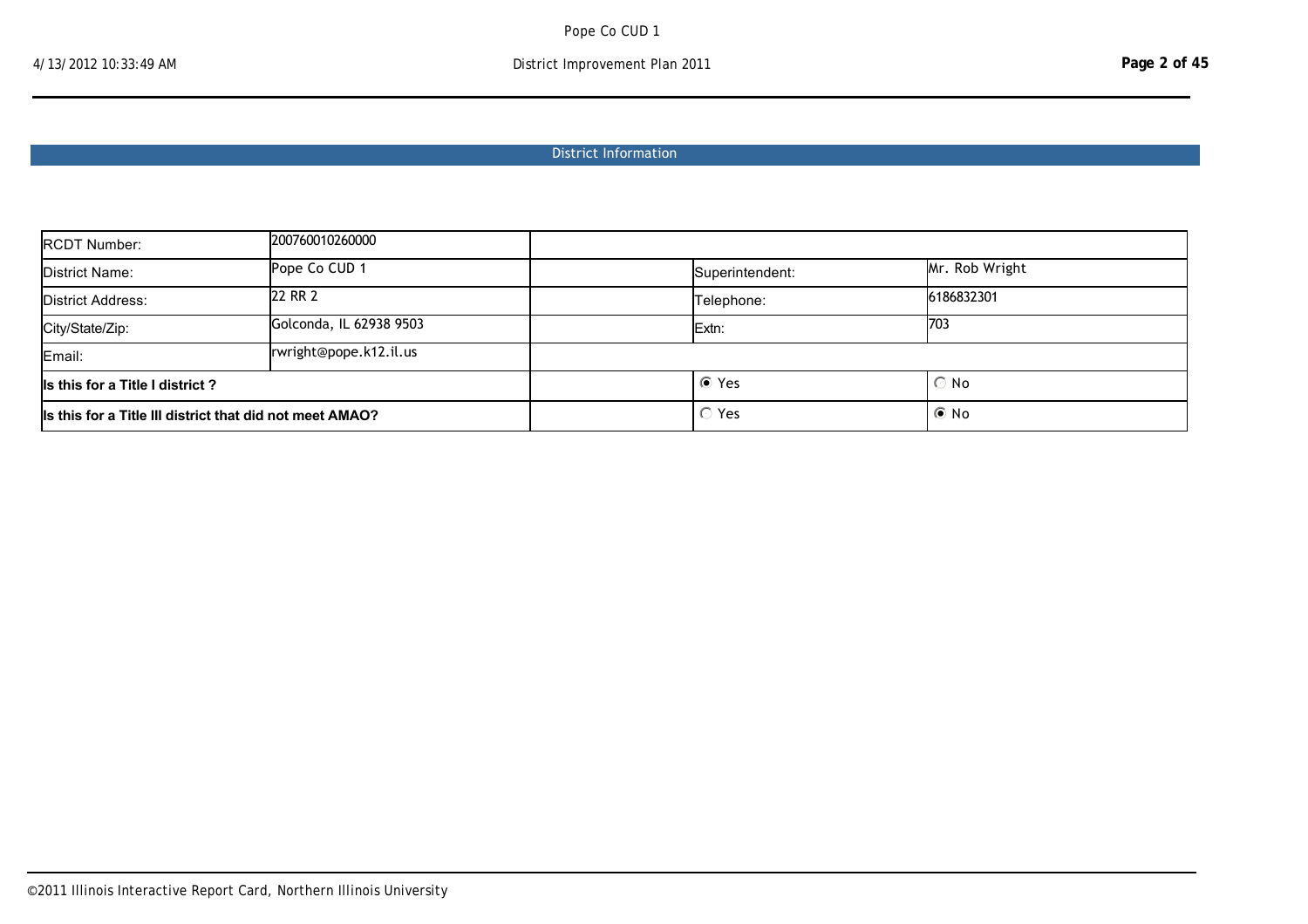# District Information

| <b>RCDT Number:</b>                                      | 200760010260000        |                 |                |  |
|----------------------------------------------------------|------------------------|-----------------|----------------|--|
| District Name:                                           | Pope Co CUD 1          | Superintendent: | Mr. Rob Wright |  |
| 22 RR 2<br>District Address:                             |                        | Telephone:      | 6186832301     |  |
| Golconda, IL 62938 9503<br>City/State/Zip:               |                        | Extn:           | 703            |  |
| Email:                                                   | rwright@pope.k12.il.us |                 |                |  |
| Is this for a Title I district?                          |                        | ⊙ Yes           | $\odot$ No     |  |
| Is this for a Title III district that did not meet AMAO? |                        | $\circ$ Yes     | $\odot$ No     |  |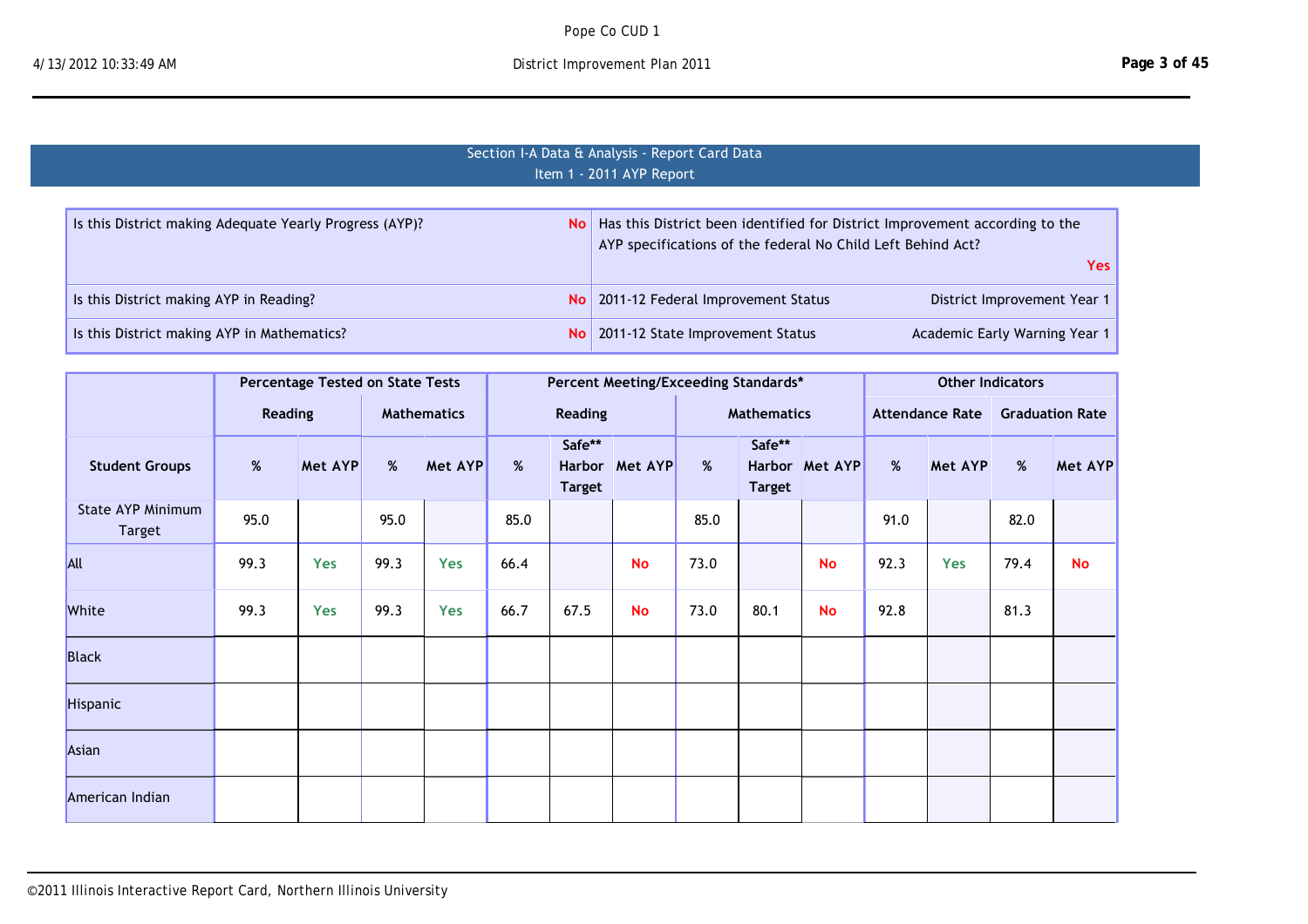# Section I-A Data & Analysis - Report Card Data Item 1 - 2011 AYP Report

| Is this District making Adequate Yearly Progress (AYP)? | No   Has this District been identified for District Improvement according to the<br>AYP specifications of the federal No Child Left Behind Act? |  |  |  |  |
|---------------------------------------------------------|-------------------------------------------------------------------------------------------------------------------------------------------------|--|--|--|--|
|                                                         | <b>Yes</b>                                                                                                                                      |  |  |  |  |
| Is this District making AYP in Reading?                 | No 2011-12 Federal Improvement Status<br>District Improvement Year 1                                                                            |  |  |  |  |
| Is this District making AYP in Mathematics?             | Academic Early Warning Year 1<br>No   2011-12 State Improvement Status                                                                          |  |  |  |  |

|                                    |                | <b>Percentage Tested on State Tests</b> |                    |                |      | Percent Meeting/Exceeding Standards* |                |      |                         |                |      | <b>Other Indicators</b> |      |                        |  |
|------------------------------------|----------------|-----------------------------------------|--------------------|----------------|------|--------------------------------------|----------------|------|-------------------------|----------------|------|-------------------------|------|------------------------|--|
|                                    | <b>Reading</b> |                                         | <b>Mathematics</b> |                |      | <b>Reading</b>                       |                |      | <b>Mathematics</b>      |                |      | <b>Attendance Rate</b>  |      | <b>Graduation Rate</b> |  |
| <b>Student Groups</b>              | $\%$           | Met AYP                                 | %                  | <b>Met AYP</b> | %    | Safe**<br><b>Target</b>              | Harbor Met AYP | %    | Safe**<br><b>Target</b> | Harbor Met AYP | %    | Met AYP                 | $\%$ | Met AYP                |  |
| State AYP Minimum<br><b>Target</b> | 95.0           |                                         | 95.0               |                | 85.0 |                                      |                | 85.0 |                         |                | 91.0 |                         | 82.0 |                        |  |
| <b>All</b>                         | 99.3           | <b>Yes</b>                              | 99.3               | Yes            | 66.4 |                                      | <b>No</b>      | 73.0 |                         | <b>No</b>      | 92.3 | Yes                     | 79.4 | <b>No</b>              |  |
| White                              | 99.3           | <b>Yes</b>                              | 99.3               | Yes            | 66.7 | 67.5                                 | <b>No</b>      | 73.0 | 80.1                    | <b>No</b>      | 92.8 |                         | 81.3 |                        |  |
| <b>Black</b>                       |                |                                         |                    |                |      |                                      |                |      |                         |                |      |                         |      |                        |  |
| Hispanic                           |                |                                         |                    |                |      |                                      |                |      |                         |                |      |                         |      |                        |  |
| Asian                              |                |                                         |                    |                |      |                                      |                |      |                         |                |      |                         |      |                        |  |
| American Indian                    |                |                                         |                    |                |      |                                      |                |      |                         |                |      |                         |      |                        |  |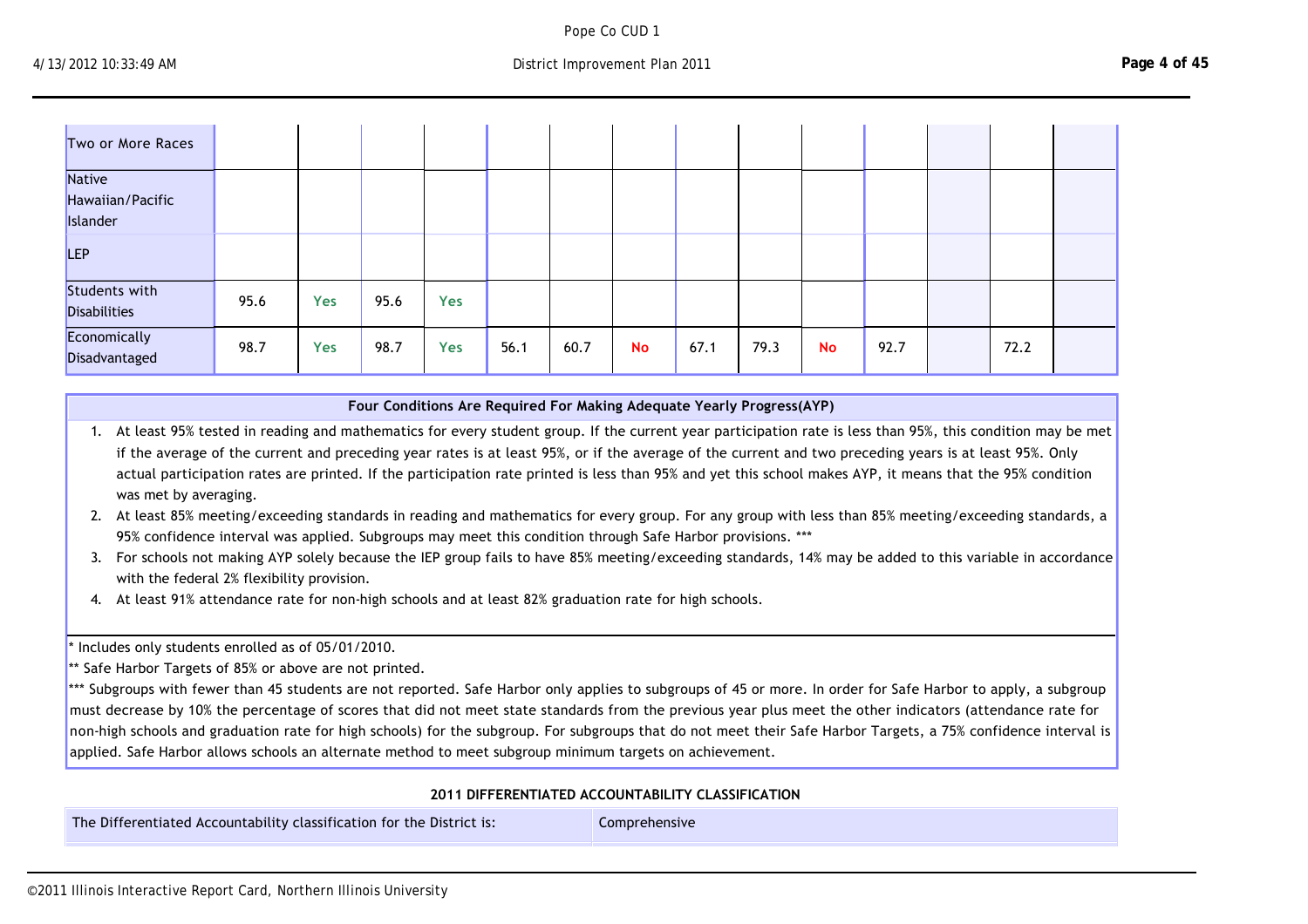Pope Co CUD 1

American Indian

| Two or More Races             |      |            |      |            |      |      |           |      |      |    |      |      |  |
|-------------------------------|------|------------|------|------------|------|------|-----------|------|------|----|------|------|--|
| Native                        |      |            |      |            |      |      |           |      |      |    |      |      |  |
| Hawaiian/Pacific              |      |            |      |            |      |      |           |      |      |    |      |      |  |
| Islander                      |      |            |      |            |      |      |           |      |      |    |      |      |  |
| LEP                           |      |            |      |            |      |      |           |      |      |    |      |      |  |
| Students with                 | 95.6 | <b>Yes</b> | 95.6 | <b>Yes</b> |      |      |           |      |      |    |      |      |  |
| <b>Disabilities</b>           |      |            |      |            |      |      |           |      |      |    |      |      |  |
| Economically<br>Disadvantaged | 98.7 | <b>Yes</b> | 98.7 | <b>Yes</b> | 56.1 | 60.7 | <b>No</b> | 67.1 | 79.3 | No | 92.7 | 72.2 |  |

#### **Four Conditions Are Required For Making Adequate Yearly Progress(AYP)**

1. At least 95% tested in reading and mathematics for every student group. If the current year participation rate is less than 95%, this condition may be met if the average of the current and preceding year rates is at least 95%, or if the average of the current and two preceding years is at least 95%. Only actual participation rates are printed. If the participation rate printed is less than 95% and yet this school makes AYP, it means that the 95% condition was met by averaging.

2. At least 85% meeting/exceeding standards in reading and mathematics for every group. For any group with less than 85% meeting/exceeding standards, a 95% confidence interval was applied. Subgroups may meet this condition through Safe Harbor provisions. \*\*\*

3. For schools not making AYP solely because the IEP group fails to have 85% meeting/exceeding standards, 14% may be added to this variable in accordance with the federal 2% flexibility provision.

4. At least 91% attendance rate for non‐high schools and at least 82% graduation rate for high schools.

\* Includes only students enrolled as of 05/01/2010.

\*\* Safe Harbor Targets of 85% or above are not printed.

\*\*\* Subgroups with fewer than 45 students are not reported. Safe Harbor only applies to subgroups of 45 or more. In order for Safe Harbor to apply, a subgroup must decrease by 10% the percentage of scores that did not meet state standards from the previous year plus meet the other indicators (attendance rate for non-high schools and graduation rate for high schools) for the subgroup. For subgroups that do not meet their Safe Harbor Targets, a 75% confidence interval is applied. Safe Harbor allows schools an alternate method to meet subgroup minimum targets on achievement.

### **2011 DIFFERENTIATED ACCOUNTABILITY CLASSIFICATION**

The Differentiated Accountability classification for the District is: Comprehensive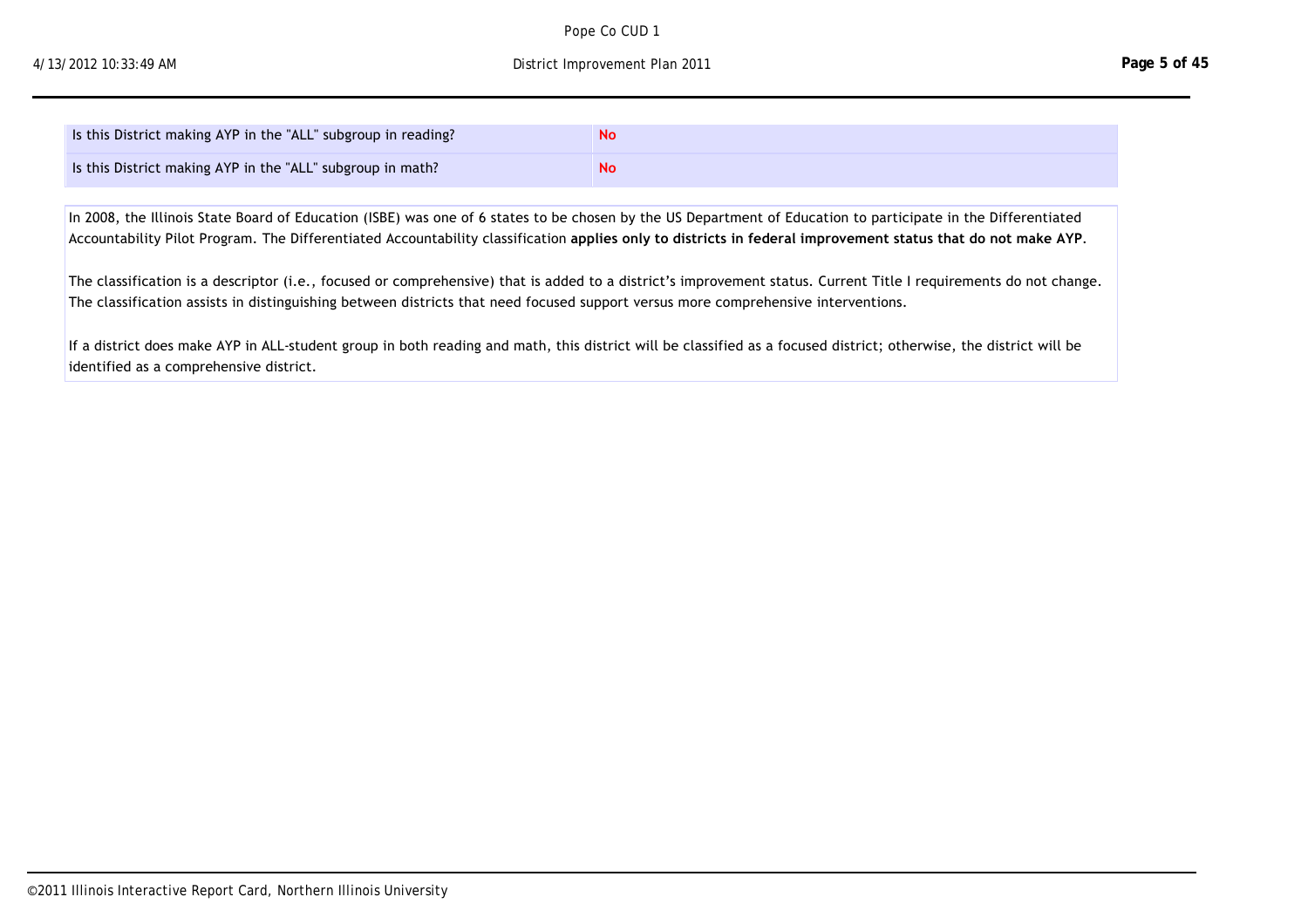| Is this District making AYP in the "ALL" subgroup in reading? | No |
|---------------------------------------------------------------|----|
| Is this District making AYP in the "ALL" subgroup in math?    | No |

In 2008, the Illinois State Board of Education (ISBE) was one of 6 states to be chosen by the US Department of Education to participate in the Differentiated Accountability Pilot Program. The Differentiated Accountability classification **applies only to districts in federal improvement status that do not make AYP**.

The Differentiated Accountability contribution for the District is:  $C$  the District is:  $C$ 

The classification is a descriptor (i.e., focused or comprehensive) that is added to a district's improvement status. Current Title I requirements do not change. The classification assists in distinguishing between districts that need focused support versus more comprehensive interventions.

If a district does make AYP in ALL‐student group in both reading and math, this district will be classified as a focused district; otherwise, the district will be identified as a comprehensive district.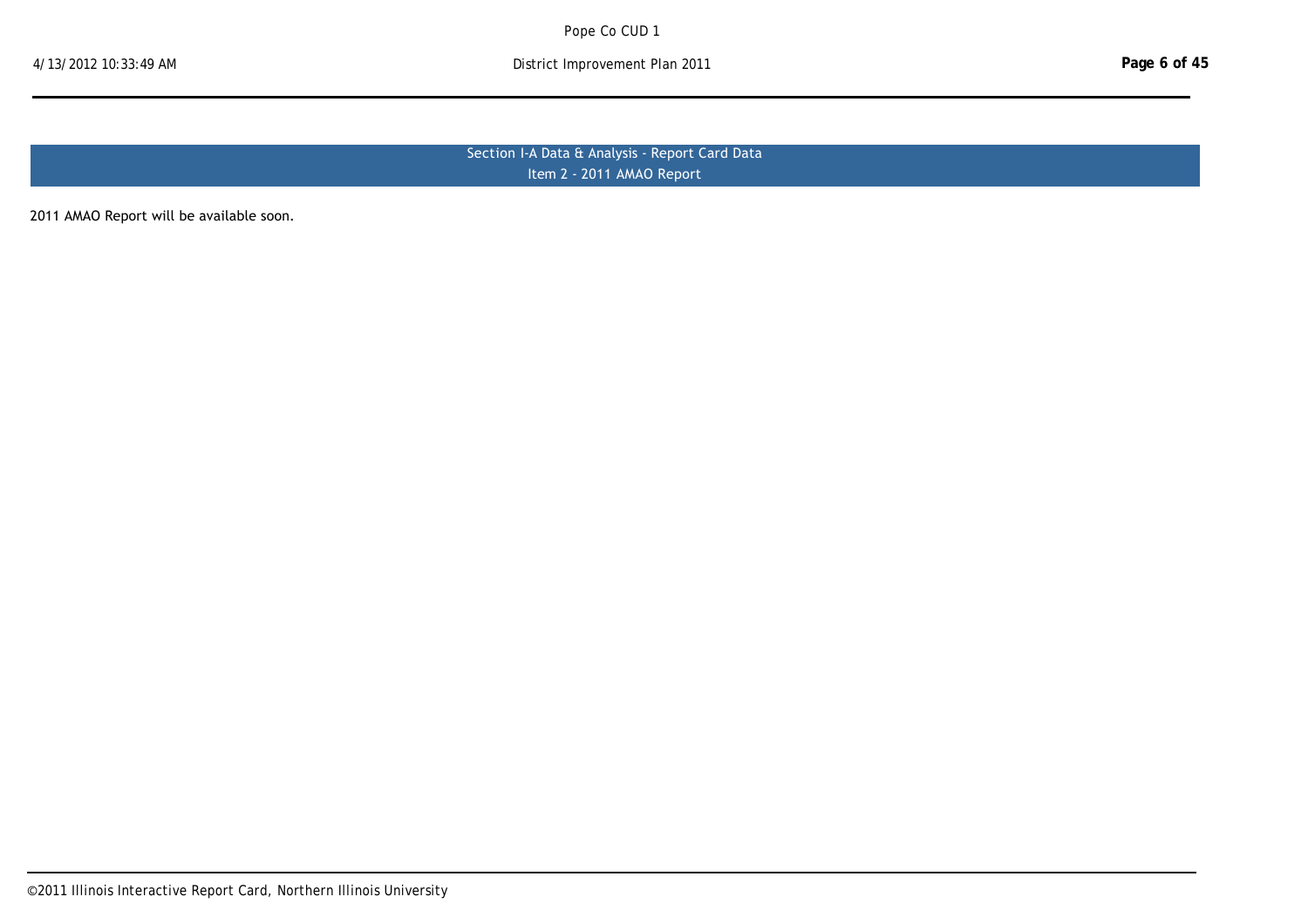Section I‐A Data & Analysis ‐ Report Card Data Item 2 - 2011 AMAO Report

2011 AMAO Report will be available soon.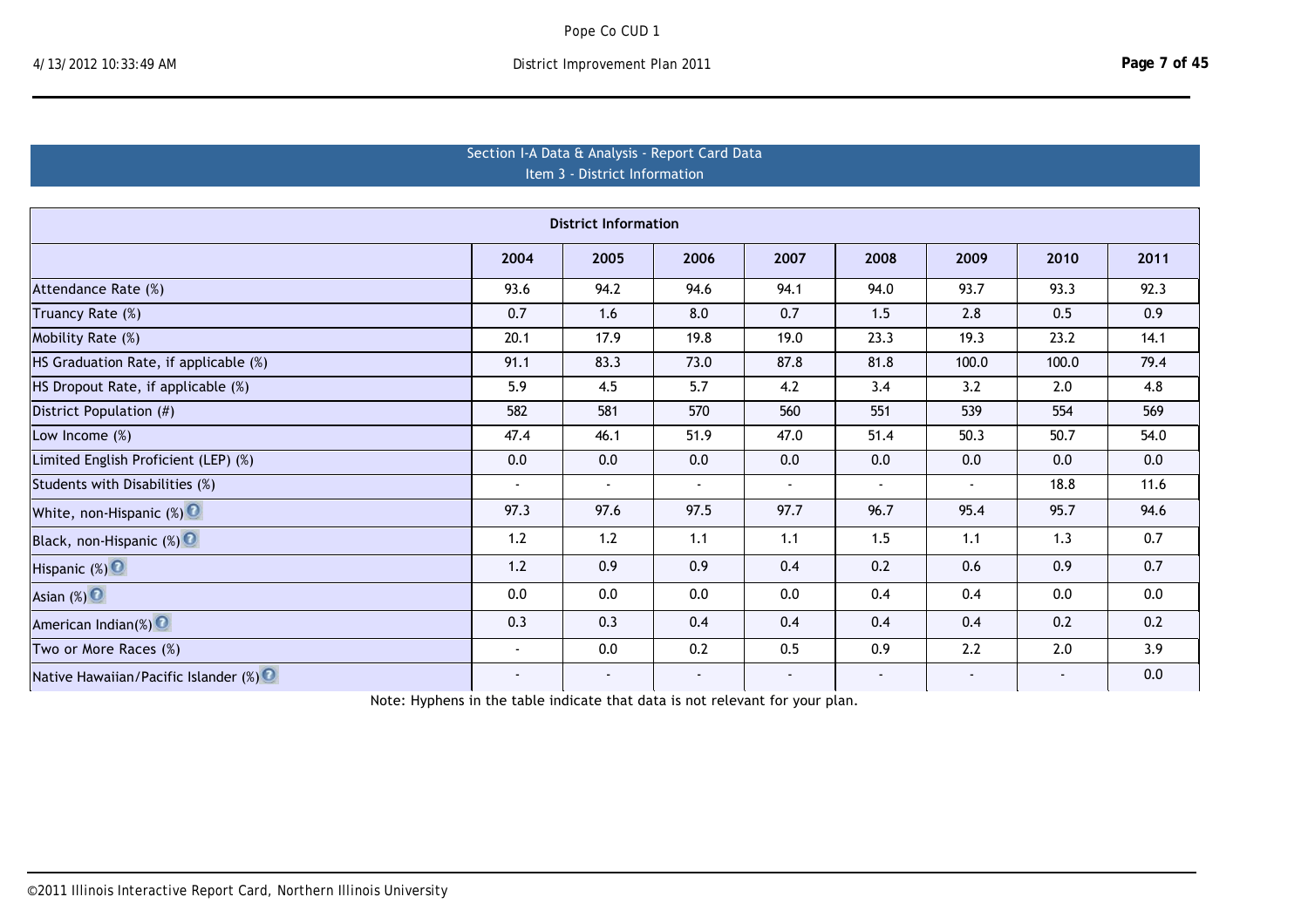|  | District Improvement Plan 2011 |  |  |
|--|--------------------------------|--|--|
|--|--------------------------------|--|--|

| Section I-A Data & Analysis - Report Card Data<br>Item 3 - District Information |        |        |                |                |                |                |        |      |  |  |  |  |
|---------------------------------------------------------------------------------|--------|--------|----------------|----------------|----------------|----------------|--------|------|--|--|--|--|
| <b>District Information</b>                                                     |        |        |                |                |                |                |        |      |  |  |  |  |
| 2004<br>2006<br>2007<br>2008<br>2009<br>2010<br>2011<br>2005                    |        |        |                |                |                |                |        |      |  |  |  |  |
| Attendance Rate (%)                                                             | 93.6   | 94.2   | 94.6           | 94.1           | 94.0           | 93.7           | 93.3   | 92.3 |  |  |  |  |
| Truancy Rate (%)                                                                | 0.7    | 1.6    | 8.0            | 0.7            | 1.5            | 2.8            | 0.5    | 0.9  |  |  |  |  |
| Mobility Rate (%)                                                               | 20.1   | 17.9   | 19.8           | 19.0           | 23.3           | 19.3           | 23.2   | 14.1 |  |  |  |  |
| HS Graduation Rate, if applicable (%)                                           | 91.1   | 83.3   | 73.0           | 87.8           | 81.8           | 100.0          | 100.0  | 79.4 |  |  |  |  |
| HS Dropout Rate, if applicable (%)                                              | 5.9    | 4.5    | 5.7            | 4.2            | 3.4            | 3.2            | 2.0    | 4.8  |  |  |  |  |
| District Population (#)                                                         | 582    | 581    | 570            | 560            | 551            | 539            | 554    | 569  |  |  |  |  |
| Low Income $(\%)$                                                               | 47.4   | 46.1   | 51.9           | 47.0           | 51.4           | 50.3           | 50.7   | 54.0 |  |  |  |  |
| Limited English Proficient (LEP) (%)                                            | 0.0    | 0.0    | 0.0            | 0.0            | 0.0            | 0.0            | 0.0    | 0.0  |  |  |  |  |
| Students with Disabilities (%)                                                  |        | $\sim$ | $\blacksquare$ | $\blacksquare$ | $\blacksquare$ | $\blacksquare$ | 18.8   | 11.6 |  |  |  |  |
| White, non-Hispanic (%)                                                         | 97.3   | 97.6   | 97.5           | 97.7           | 96.7           | 95.4           | 95.7   | 94.6 |  |  |  |  |
| Black, non-Hispanic (%)                                                         | 1.2    | 1.2    | 1.1            | 1.1            | 1.5            | 1.1            | 1.3    | 0.7  |  |  |  |  |
| Hispanic (%) <sup>O</sup>                                                       | 1.2    | 0.9    | 0.9            | 0.4            | 0.2            | 0.6            | 0.9    | 0.7  |  |  |  |  |
| Asian $(\%)$ $\bullet$                                                          | 0.0    | 0.0    | 0.0            | 0.0            | 0.4            | 0.4            | 0.0    | 0.0  |  |  |  |  |
| American Indian(%) $\bullet$                                                    | 0.3    | 0.3    | 0.4            | 0.4            | 0.4            | 0.4            | 0.2    | 0.2  |  |  |  |  |
| Two or More Races (%)                                                           |        | 0.0    | 0.2            | 0.5            | 0.9            | 2.2            | 2.0    | 3.9  |  |  |  |  |
| Native Hawaiian/Pacific Islander (%) <sup>0</sup>                               | $\sim$ | $\sim$ | $\blacksquare$ | $\blacksquare$ | $\sim$         |                | $\sim$ | 0.0  |  |  |  |  |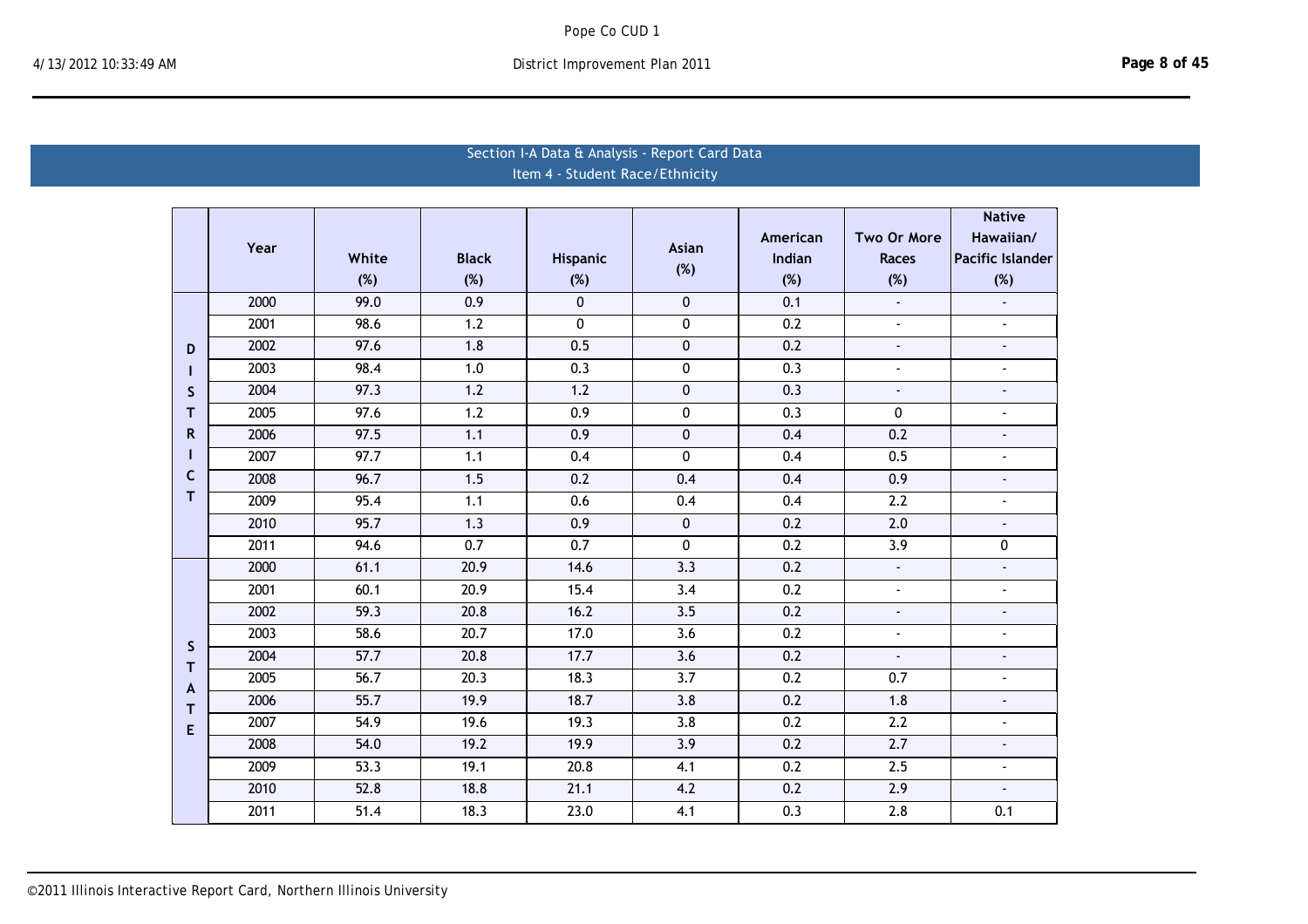# Section I-A Data & Analysis - Report Card Data Item 4 ‐ Student Race/Ethnicity

|              |      |                   |                   |                  |                  |                  |                           | <b>Native</b>           |
|--------------|------|-------------------|-------------------|------------------|------------------|------------------|---------------------------|-------------------------|
|              | Year |                   |                   |                  | <b>Asian</b>     | American         | Two Or More               | Hawaiian/               |
|              |      | White             | <b>Black</b>      | Hispanic         | (%)              | Indian           | <b>Races</b>              | <b>Pacific Islander</b> |
|              |      | (%)               | (%)               | (%)              |                  | (%)              | (%)                       | (%)                     |
|              | 2000 | 99.0              | 0.9               | $\mathbf{0}$     | 0                | 0.1              | $\mathbb{E}^{\mathbb{P}}$ | $\blacksquare$          |
|              | 2001 | 98.6              | 1.2               | 0                | 0                | 0.2              | $\blacksquare$            | $\blacksquare$          |
| D            | 2002 | 97.6              | 1.8               | 0.5              | 0                | 0.2              | $\blacksquare$            | $\blacksquare$          |
|              | 2003 | 98.4              | 1.0               | 0.3              | 0                | 0.3              | $\blacksquare$            | $\blacksquare$          |
| S            | 2004 | $\overline{97.3}$ | $\overline{1.2}$  | 1.2              | $\mathbf 0$      | 0.3              | $\blacksquare$            | $\tilde{\phantom{a}}$   |
| т            | 2005 | 97.6              | $\overline{1.2}$  | $\overline{0.9}$ | 0                | 0.3              | 0                         | $\overline{a}$          |
| $\mathsf{R}$ | 2006 | 97.5              | 1.1               | 0.9              | $\pmb{0}$        | 0.4              | 0.2                       | $\blacksquare$          |
| п            | 2007 | 97.7              | 1.1               | 0.4              | 0                | 0.4              | 0.5                       | $\blacksquare$          |
| C<br>т       | 2008 | 96.7              | 1.5               | 0.2              | 0.4              | 0.4              | 0.9                       | $\blacksquare$          |
|              | 2009 | 95.4              | 1.1               | 0.6              | 0.4              | 0.4              | 2.2                       | $\blacksquare$          |
|              | 2010 | 95.7              | 1.3               | 0.9              | 0                | 0.2              | 2.0                       | $\blacksquare$          |
|              | 2011 | 94.6              | $\overline{0.7}$  | 0.7              | 0                | 0.2              | 3.9                       | 0                       |
|              | 2000 | 61.1              | 20.9              | 14.6             | 3.3              | 0.2              | $\omega$                  | $\mathbf{r}$            |
|              | 2001 | 60.1              | 20.9              | 15.4             | 3.4              | 0.2              | $\mathbf{r}$              | $\blacksquare$          |
|              | 2002 | 59.3              | 20.8              | 16.2             | $\overline{3.5}$ | 0.2              | ä,                        |                         |
| S            | 2003 | 58.6              | 20.7              | 17.0             | 3.6              | 0.2              | ä,                        | $\blacksquare$          |
| T            | 2004 | 57.7              | 20.8              | 17.7             | 3.6              | 0.2              | $\overline{\phantom{a}}$  | $\blacksquare$          |
| $\mathbf{A}$ | 2005 | 56.7              | $\overline{20.3}$ | 18.3             | $\overline{3.7}$ | $\overline{0.2}$ | 0.7                       | $\blacksquare$          |
| т            | 2006 | $\frac{1}{55.7}$  | 19.9              | 18.7             | 3.8              | $\overline{0.2}$ | 1.8                       | $\blacksquare$          |
| E            | 2007 | 54.9              | 19.6              | 19.3             | 3.8              | 0.2              | 2.2                       | $\blacksquare$          |
|              | 2008 | 54.0              | 19.2              | 19.9             | $\overline{3.9}$ | 0.2              | $\overline{2.7}$          | $\blacksquare$          |
|              | 2009 | $\overline{53.3}$ | 19.1              | 20.8             | 4.1              | $\overline{0.2}$ | $\overline{2.5}$          | $\mathbf{r}$            |
|              | 2010 | 52.8              | 18.8              | 21.1             | 4.2              | 0.2              | 2.9                       | $\blacksquare$          |
|              | 2011 | 51.4              | 18.3              | 23.0             | $\overline{4.1}$ | $\overline{0.3}$ | $\overline{2.8}$          | 0.1                     |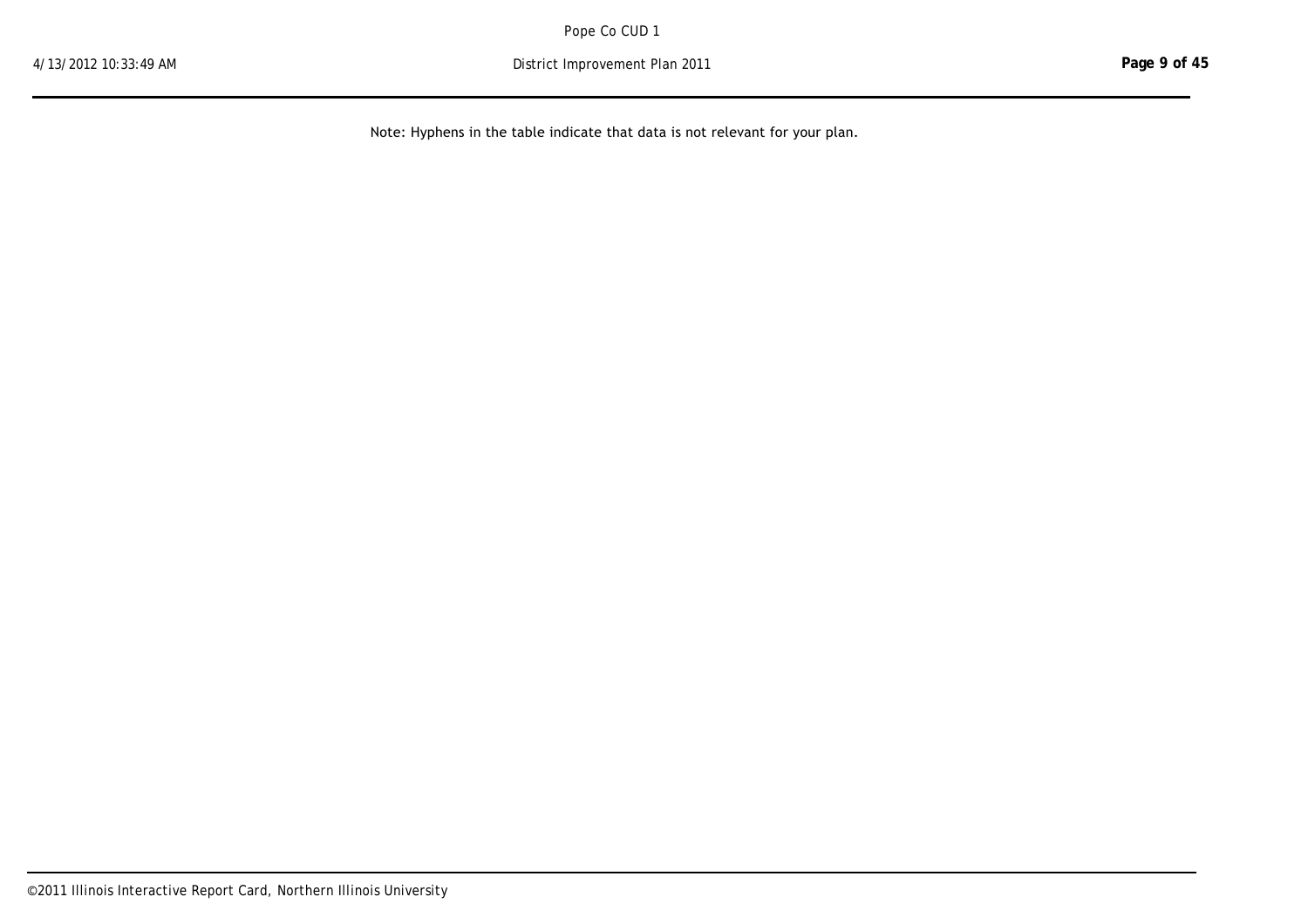2011 51.4 18.3 23.0 4.1 0.3 2.8 0.1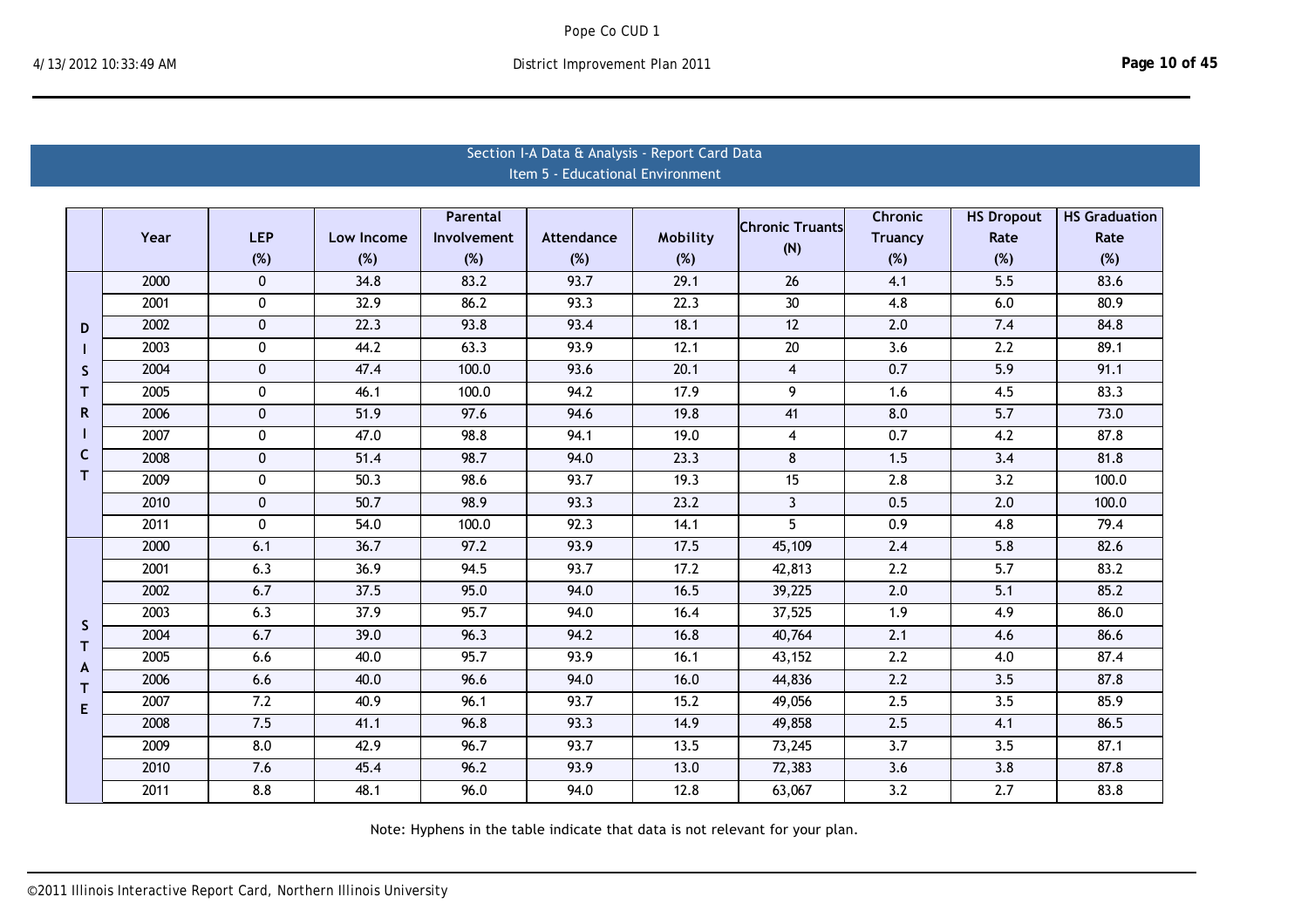|              | Section I-A Data & Analysis - Report Card Data |                  |            |             |                                  |          |                        |                  |                   |                      |  |  |  |
|--------------|------------------------------------------------|------------------|------------|-------------|----------------------------------|----------|------------------------|------------------|-------------------|----------------------|--|--|--|
|              |                                                |                  |            |             | Item 5 - Educational Environment |          |                        |                  |                   |                      |  |  |  |
|              |                                                |                  |            |             |                                  |          |                        |                  |                   |                      |  |  |  |
|              |                                                |                  |            | Parental    |                                  |          | <b>Chronic Truants</b> | <b>Chronic</b>   | <b>HS Dropout</b> | <b>HS Graduation</b> |  |  |  |
|              | Year                                           | <b>LEP</b>       | Low Income | Involvement | Attendance                       | Mobility | (N)                    | <b>Truancy</b>   | Rate              | Rate                 |  |  |  |
|              |                                                | (%)              | (%)        | (%)         | (%)                              | (%)      |                        | (%)              | (%)               | (%)                  |  |  |  |
|              | 2000                                           | $\mathbf{0}$     | 34.8       | 83.2        | 93.7                             | 29.1     | $\overline{26}$        | 4.1              | $\overline{5.5}$  | 83.6                 |  |  |  |
|              | 2001                                           | 0                | 32.9       | 86.2        | 93.3                             | 22.3     | 30                     | 4.8              | 6.0               | 80.9                 |  |  |  |
| D            | 2002                                           | $\mathbf 0$      | 22.3       | 93.8        | 93.4                             | 18.1     | 12                     | 2.0              | 7.4               | 84.8                 |  |  |  |
|              | 2003                                           | $\mathbf 0$      | 44.2       | 63.3        | 93.9                             | 12.1     | 20                     | 3.6              | 2.2               | 89.1                 |  |  |  |
| <sub>S</sub> | 2004                                           | $\mathbf 0$      | 47.4       | 100.0       | 93.6                             | 20.1     | $\overline{4}$         | 0.7              | 5.9               | 91.1                 |  |  |  |
| т            | 2005                                           | $\mathbf 0$      | 46.1       | 100.0       | 94.2                             | 17.9     | 9                      | 1.6              | 4.5               | 83.3                 |  |  |  |
| R            | 2006                                           | $\mathbf 0$      | 51.9       | 97.6        | 94.6                             | 19.8     | 41                     | 8.0              | 5.7               | 73.0                 |  |  |  |
|              | 2007                                           | $\mathbf 0$      | 47.0       | 98.8        | 94.1                             | 19.0     | $\overline{4}$         | 0.7              | 4.2               | 87.8                 |  |  |  |
| C            | 2008                                           | $\mathbf 0$      | 51.4       | 98.7        | 94.0                             | 23.3     | 8                      | 1.5              | 3.4               | 81.8                 |  |  |  |
| т            | 2009                                           | $\bf{0}$         | 50.3       | 98.6        | 93.7                             | 19.3     | 15                     | 2.8              | 3.2               | 100.0                |  |  |  |
|              | 2010                                           | $\pmb{0}$        | 50.7       | 98.9        | 93.3                             | 23.2     | $\overline{3}$         | 0.5              | 2.0               | 100.0                |  |  |  |
|              | 2011                                           | 0                | 54.0       | 100.0       | 92.3                             | 14.1     | $\overline{5}$         | 0.9              | 4.8               | 79.4                 |  |  |  |
|              | 2000                                           | 6.1              | 36.7       | 97.2        | 93.9                             | 17.5     | 45,109                 | 2.4              | 5.8               | 82.6                 |  |  |  |
|              | 2001                                           | 6.3              | 36.9       | 94.5        | 93.7                             | 17.2     | 42,813                 | $\overline{2.2}$ | $\overline{5.7}$  | 83.2                 |  |  |  |
|              | 2002                                           | 6.7              | 37.5       | 95.0        | 94.0                             | 16.5     | 39,225                 | 2.0              | 5.1               | 85.2                 |  |  |  |
|              | $\frac{1}{2003}$                               | 6.3              | 37.9       | 95.7        | 94.0                             | 16.4     | 37,525                 | 1.9              | 4.9               | 86.0                 |  |  |  |
| S<br>T.      | 2004                                           | 6.7              | 39.0       | 96.3        | 94.2                             | 16.8     | 40,764                 | 2.1              | 4.6               | 86.6                 |  |  |  |
| A            | 2005                                           | 6.6              | 40.0       | 95.7        | 93.9                             | 16.1     | 43,152                 | 2.2              | 4.0               | 87.4                 |  |  |  |
| т            | 2006                                           | 6.6              | 40.0       | 96.6        | 94.0                             | 16.0     | 44,836                 | 2.2              | 3.5               | 87.8                 |  |  |  |
| E            | 2007                                           | $\overline{7.2}$ | 40.9       | 96.1        | 93.7                             | 15.2     | 49,056                 | 2.5              | $\overline{3.5}$  | 85.9                 |  |  |  |
|              | 2008                                           | 7.5              | 41.1       | 96.8        | 93.3                             | 14.9     | 49,858                 | 2.5              | 4.1               | 86.5                 |  |  |  |
|              | 2009                                           | 8.0              | 42.9       | 96.7        | 93.7                             | 13.5     | 73,245                 | 3.7              | 3.5               | 87.1                 |  |  |  |
|              | 2010                                           | 7.6              | 45.4       | 96.2        | 93.9                             | 13.0     | 72,383                 | 3.6              | 3.8               | 87.8                 |  |  |  |
|              | 2011                                           | 8.8              | 48.1       | 96.0        | 94.0                             | 12.8     | 63,067                 | 3.2              | 2.7               | 83.8                 |  |  |  |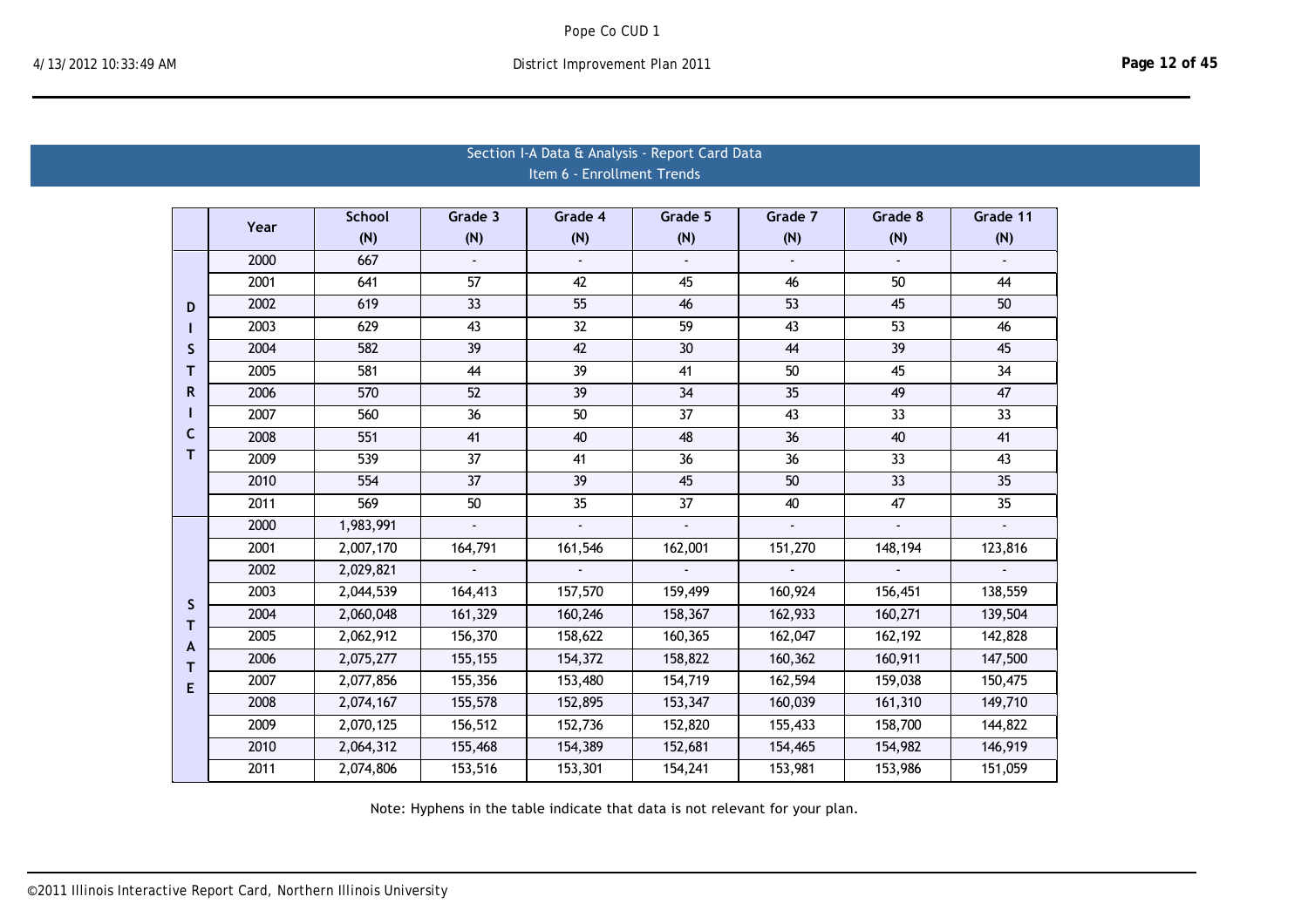|                  | Section I-A Data & Analysis - Report Card Data |                  |                       |                             |                       |                             |                 |                           |  |  |  |  |  |
|------------------|------------------------------------------------|------------------|-----------------------|-----------------------------|-----------------------|-----------------------------|-----------------|---------------------------|--|--|--|--|--|
|                  |                                                |                  |                       | Item 6 - Enrollment Trends  |                       |                             |                 |                           |  |  |  |  |  |
|                  |                                                |                  |                       |                             |                       |                             |                 |                           |  |  |  |  |  |
|                  | Year                                           | <b>School</b>    | Grade 3               | Grade 4                     | Grade 5               | Grade 7                     | Grade 8         | Grade 11                  |  |  |  |  |  |
|                  |                                                | (N)              | (N)                   | (N)                         | (N)                   | (N)                         | (N)             | (N)                       |  |  |  |  |  |
|                  | 2000                                           | 667              |                       |                             |                       |                             |                 |                           |  |  |  |  |  |
|                  | 2001                                           | 641              | 57                    | 42                          | 45                    | 46                          | 50              | 44                        |  |  |  |  |  |
| D                | 2002                                           | 619              | 33                    | $\overline{55}$             | 46                    | 53                          | 45              | 50                        |  |  |  |  |  |
|                  | 2003                                           | 629              | 43                    | 32                          | 59                    | 43                          | 53              | 46                        |  |  |  |  |  |
| S                | 2004                                           | 582              | $\overline{39}$       | $\overline{42}$             | 30                    | 44                          | 39              | 45                        |  |  |  |  |  |
| т                | 2005                                           | 581              | 44                    | 39                          | 41                    | 50                          | 45              | 34                        |  |  |  |  |  |
| R.               | 2006                                           | 570              | 52                    | 39                          | 34                    | 35                          | 49              | 47                        |  |  |  |  |  |
|                  | 2007                                           | 560              | $\overline{36}$       | $\overline{50}$             | $\overline{37}$       | $\overline{43}$             | $\overline{33}$ | $\overline{33}$           |  |  |  |  |  |
| C                | 2008                                           | 551              | 41                    | 40                          | 48                    | 36                          | 40              | 41                        |  |  |  |  |  |
| т                | 2009                                           | 539              | $\overline{37}$       | 41                          | $\overline{36}$       | $\overline{36}$             | 33              | 43                        |  |  |  |  |  |
|                  | 2010                                           | 554              | 37                    | 39                          | 45                    | 50                          | 33              | 35                        |  |  |  |  |  |
|                  | 2011                                           | $\overline{569}$ | $\overline{50}$       | $\overline{35}$             | $\overline{37}$       | $\overline{40}$             | 47              | 35                        |  |  |  |  |  |
|                  | 2000                                           | 1,983,991        | $\omega$              | $\mathbf{r}$                | $\mathbf{r}$          | $\mathbb{Z}^2$              | $\omega$        | $\mathbf{r}$              |  |  |  |  |  |
|                  | 2001                                           | 2,007,170        | 164,791               | 161,546                     | 162,001               | 151,270                     | 148,194         | 123,816                   |  |  |  |  |  |
|                  | 2002                                           | 2,029,821        | $\mathbf{L}^{\prime}$ | $\mathcal{L}^{\mathcal{A}}$ | $\mathbf{u}^{\prime}$ | $\mathcal{L}^{\mathcal{A}}$ | $\mathbf{r}$    | $\mathbb{Z}^{\mathbb{Z}}$ |  |  |  |  |  |
|                  | 2003                                           | 2,044,539        | 164,413               | 157,570                     | 159,499               | 160,924                     | 156,451         | 138,559                   |  |  |  |  |  |
| S<br>$\mathsf T$ | 2004                                           | 2,060,048        | 161,329               | 160,246                     | 158,367               | 162,933                     | 160,271         | 139,504                   |  |  |  |  |  |
| A                | 2005                                           | 2,062,912        | 156,370               | 158,622                     | 160,365               | 162,047                     | 162,192         | 142,828                   |  |  |  |  |  |
| T.               | 2006                                           | 2,075,277        | 155,155               | 154,372                     | 158,822               | 160,362                     | 160,911         | 147,500                   |  |  |  |  |  |
| E                | 2007                                           | 2,077,856        | 155,356               | 153,480                     | 154,719               | 162,594                     | 159,038         | 150,475                   |  |  |  |  |  |
|                  | 2008                                           | 2,074,167        | 155,578               | 152,895                     | 153,347               | 160,039                     | 161,310         | 149,710                   |  |  |  |  |  |
|                  | 2009                                           | 2,070,125        | 156,512               | 152,736                     | 152,820               | 155,433                     | 158,700         | 144,822                   |  |  |  |  |  |
|                  | 2010                                           | 2,064,312        | 155,468               | 154,389                     | 152,681               | 154,465                     | 154,982         | 146,919                   |  |  |  |  |  |
|                  | 2011                                           | 2,074,806        | 153,516               | 153,301                     | 154,241               | 153,981                     | 153,986         | 151,059                   |  |  |  |  |  |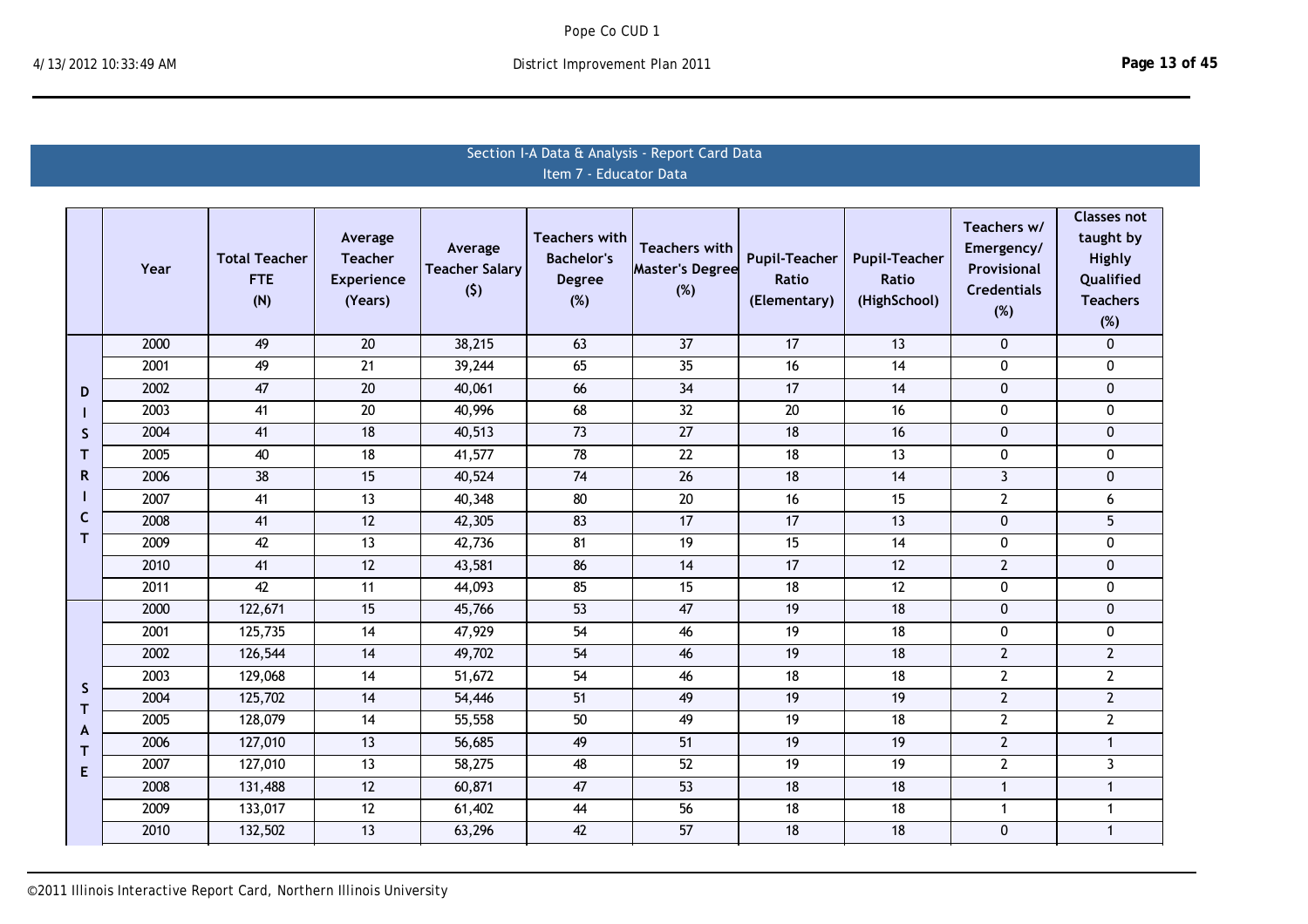# Section I-A Data & Analysis - Report Card Data Item 7 ‐ Educator Data

|              | Year | <b>Total Teacher</b><br><b>FTE</b><br>(N) | Average<br><b>Teacher</b><br><b>Experience</b><br>(Years) | Average<br><b>Teacher Salary</b><br>(5) | <b>Teachers with</b><br><b>Bachelor's</b><br><b>Degree</b><br>(%) | <b>Teachers with</b><br>Master's Degree<br>(%) | <b>Pupil-Teacher</b><br>Ratio<br>(Elementary) | <b>Pupil-Teacher</b><br>Ratio<br>(HighSchool) | Teachers w/<br>Emergency/<br>Provisional<br><b>Credentials</b><br>(%) | <b>Classes not</b><br>taught by<br>Highly<br>Qualified<br><b>Teachers</b><br>(%) |
|--------------|------|-------------------------------------------|-----------------------------------------------------------|-----------------------------------------|-------------------------------------------------------------------|------------------------------------------------|-----------------------------------------------|-----------------------------------------------|-----------------------------------------------------------------------|----------------------------------------------------------------------------------|
|              | 2000 | 49                                        | 20                                                        | 38,215                                  | 63                                                                | $\overline{37}$                                | 17                                            | 13                                            | $\mathbf 0$                                                           | $\mathbf 0$                                                                      |
|              | 2001 | 49                                        | 21                                                        | 39,244                                  | 65                                                                | 35                                             | 16                                            | 14                                            | $\pmb{0}$                                                             | 0                                                                                |
| D            | 2002 | 47                                        | 20                                                        | 40,061                                  | 66                                                                | 34                                             | 17                                            | 14                                            | $\pmb{0}$                                                             | $\mathbf{0}$                                                                     |
|              | 2003 | 41                                        | $20\,$                                                    | 40,996                                  | 68                                                                | 32                                             | 20                                            | 16                                            | 0                                                                     | $\mathbf{0}$                                                                     |
| S            | 2004 | 41                                        | 18                                                        | 40,513                                  | 73                                                                | 27                                             | 18                                            | 16                                            | $\pmb{0}$                                                             | $\mathbf 0$                                                                      |
| T            | 2005 | 40                                        | 18                                                        | 41,577                                  | 78                                                                | 22                                             | 18                                            | 13                                            | $\pmb{0}$                                                             | 0                                                                                |
| R.           | 2006 | 38                                        | 15                                                        | 40,524                                  | 74                                                                | 26                                             | 18                                            | 14                                            | $\overline{3}$                                                        | $\mathbf{0}$                                                                     |
|              | 2007 | 41                                        | 13                                                        | 40,348                                  | 80                                                                | 20                                             | 16                                            | 15                                            | $\overline{2}$                                                        | 6                                                                                |
| $\mathsf{C}$ | 2008 | 41                                        | 12                                                        | 42,305                                  | 83                                                                | 17                                             | 17                                            | 13                                            | $\mathbf 0$                                                           | 5                                                                                |
| T.           | 2009 | 42                                        | 13                                                        | 42,736                                  | 81                                                                | 19                                             | 15                                            | 14                                            | $\pmb{0}$                                                             | 0                                                                                |
|              | 2010 | 41                                        | 12                                                        | 43,581                                  | 86                                                                | 14                                             | 17                                            | 12                                            | $\mathbf{2}$                                                          | $\mathbf{0}$                                                                     |
|              | 2011 | 42                                        | 11                                                        | 44,093                                  | 85                                                                | 15                                             | 18                                            | 12                                            | 0                                                                     | $\mathbf{0}$                                                                     |
|              | 2000 | 122,671                                   | 15                                                        | 45,766                                  | $\overline{53}$                                                   | 47                                             | 19                                            | 18                                            | $\mathbf 0$                                                           | $\mathbf{0}$                                                                     |
|              | 2001 | 125,735                                   | 14                                                        | 47,929                                  | 54                                                                | 46                                             | 19                                            | 18                                            | 0                                                                     | $\mathbf{0}$                                                                     |
|              | 2002 | 126,544                                   | 14                                                        | 49,702                                  | 54                                                                | 46                                             | 19                                            | 18                                            | $\overline{2}$                                                        | $2^{\circ}$                                                                      |
| S            | 2003 | 129,068                                   | 14                                                        | 51,672                                  | 54                                                                | 46                                             | 18                                            | 18                                            | $\overline{2}$                                                        | $\overline{2}$                                                                   |
| T            | 2004 | 125,702                                   | 14                                                        | 54,446                                  | 51                                                                | 49                                             | 19                                            | 19                                            | $\overline{2}$                                                        | $\overline{2}$                                                                   |
| A            | 2005 | 128,079                                   | 14                                                        | 55,558                                  | 50                                                                | 49                                             | 19                                            | 18                                            | $\mathbf{2}$                                                          | $\overline{2}$                                                                   |
| T.           | 2006 | 127,010                                   | 13                                                        | 56,685                                  | 49                                                                | 51                                             | 19                                            | 19                                            | $\overline{2}$                                                        | $\mathbf{1}$                                                                     |
| E            | 2007 | 127,010                                   | 13                                                        | 58,275                                  | 48                                                                | 52                                             | 19                                            | 19                                            | $\overline{2}$                                                        | $\mathbf{3}$                                                                     |
|              | 2008 | 131,488                                   | 12                                                        | 60,871                                  | 47                                                                | 53                                             | 18                                            | 18                                            | $\mathbf{1}$                                                          | $\mathbf{1}$                                                                     |
|              | 2009 | 133,017                                   | 12                                                        | 61,402                                  | 44                                                                | 56                                             | 18                                            | 18                                            | $\mathbf{1}$                                                          | $\mathbf{1}$                                                                     |
|              | 2010 | 132,502                                   | 13                                                        | 63,296                                  | 42                                                                | 57                                             | 18                                            | 18                                            | $\pmb{0}$                                                             | $\mathbf{1}$                                                                     |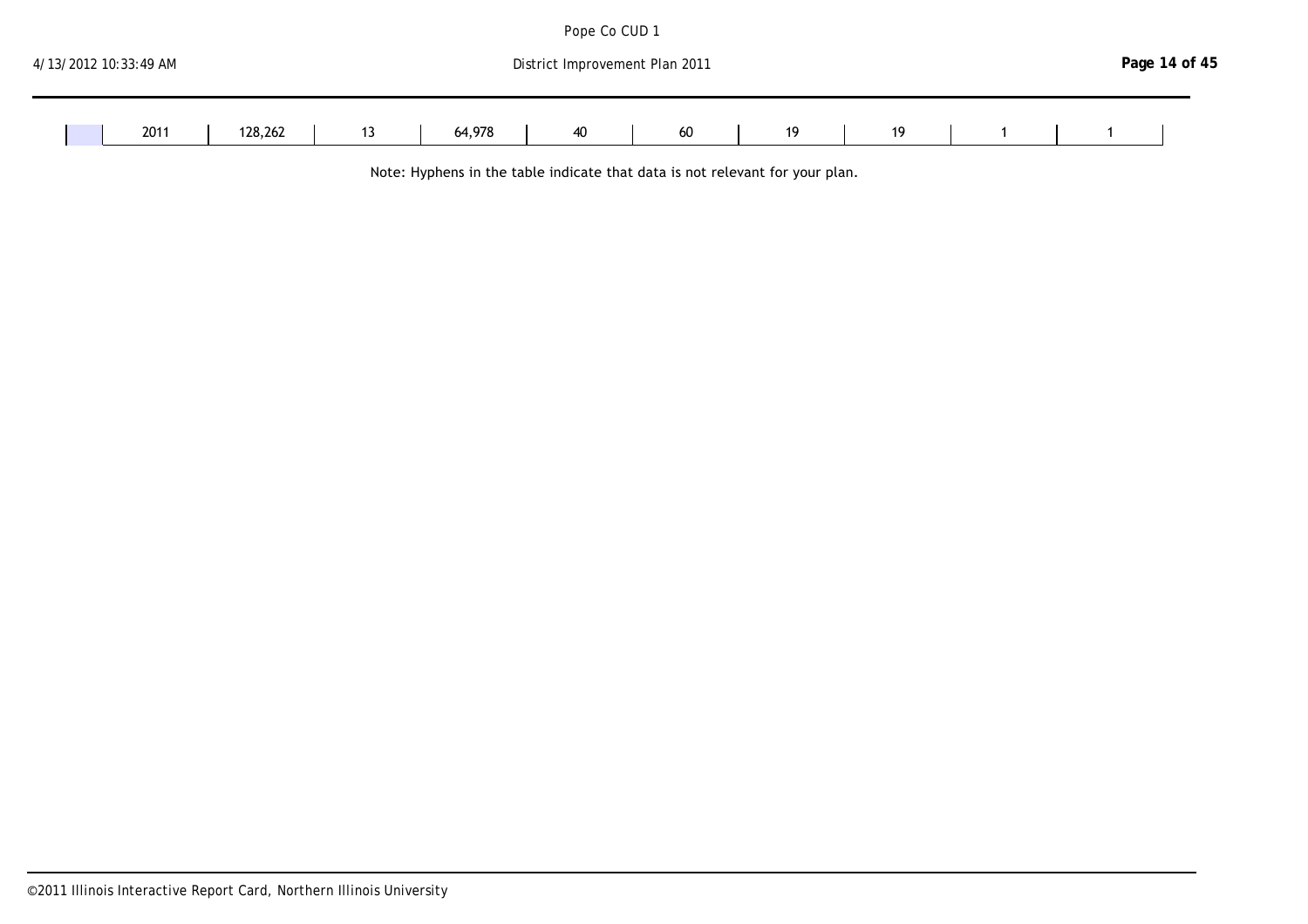| 4/13/2012 10:33:49 AM<br>District Improvement Plan 2011 |         |    |  |        |  |    |  |    |  |    |  | Page 14 of 45 |  |  |  |  |
|---------------------------------------------------------|---------|----|--|--------|--|----|--|----|--|----|--|---------------|--|--|--|--|
| 2011                                                    | 128,262 | יי |  | 64,978 |  | 40 |  | 60 |  | 19 |  | 19            |  |  |  |  |

 $2006$   $20103$ 

Pope Co CUD 1

Note: Hyphens in the table indicate that data is not relevant for your plan.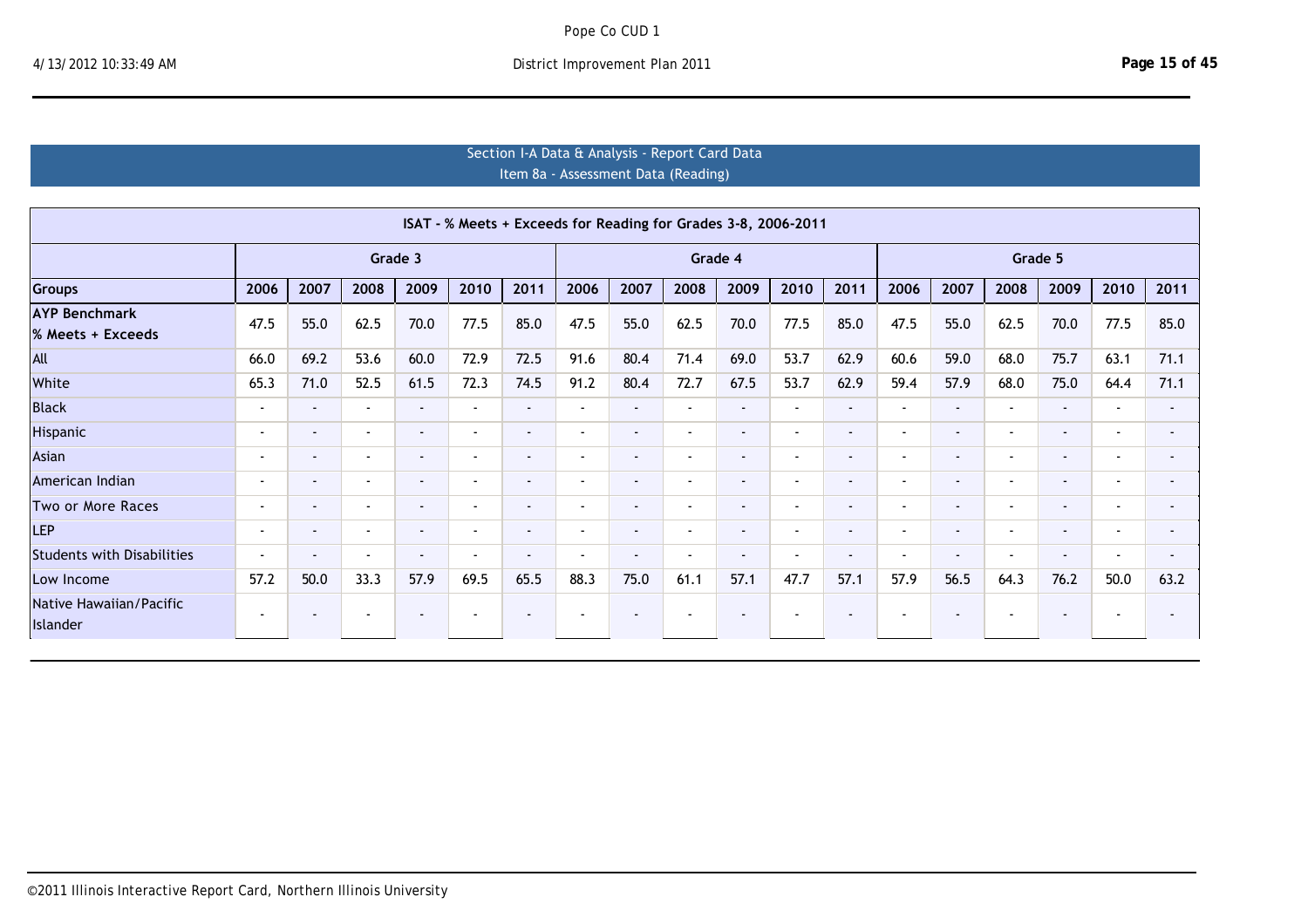# Section I-A Data & Analysis - Report Card Data Item 8a - Assessment Data (Reading)

|                                     |                          |                |                          |                |                          |                          |                          |                          |                          | ISAT - % Meets + Exceeds for Reading for Grades 3-8, 2006-2011 |                          |        |                          |                |                          |                          |                          |                |
|-------------------------------------|--------------------------|----------------|--------------------------|----------------|--------------------------|--------------------------|--------------------------|--------------------------|--------------------------|----------------------------------------------------------------|--------------------------|--------|--------------------------|----------------|--------------------------|--------------------------|--------------------------|----------------|
|                                     |                          |                |                          | Grade 3        |                          |                          |                          |                          |                          | Grade 4                                                        |                          |        |                          |                |                          | Grade 5                  |                          |                |
| <b>Groups</b>                       | 2006                     | 2007           | 2008                     | 2009           | 2010                     | 2011                     | 2006                     | 2007                     | 2008                     | 2009                                                           | 2010                     | 2011   | 2006                     | 2007           | 2008                     | 2009                     | 2010                     | 2011           |
| <b>AYP Benchmark</b>                | 47.5                     | 55.0           | 62.5                     | 70.0           | 77.5                     | 85.0                     | 47.5                     | 55.0                     | 62.5                     | 70.0                                                           | 77.5                     | 85.0   | 47.5                     | 55.0           | 62.5                     | 70.0                     | 77.5                     | 85.0           |
| % Meets + Exceeds                   |                          |                |                          |                |                          |                          |                          |                          |                          |                                                                |                          |        |                          |                |                          |                          |                          |                |
| All                                 | 66.0                     | 69.2           | 53.6                     | 60.0           | 72.9                     | 72.5                     | 91.6                     | 80.4                     | 71.4                     | 69.0                                                           | 53.7                     | 62.9   | 60.6                     | 59.0           | 68.0                     | 75.7                     | 63.1                     | 71.1           |
| White                               | 65.3                     | 71.0           | 52.5                     | 61.5           | 72.3                     | 74.5                     | 91.2                     | 80.4                     | 72.7                     | 67.5                                                           | 53.7                     | 62.9   | 59.4                     | 57.9           | 68.0                     | 75.0                     | 64.4                     | 71.1           |
| <b>Black</b>                        | $\sim$                   | $\sim$         | $\overline{\phantom{a}}$ | $\sim$         | $\sim$                   | $\blacksquare$           | $\overline{\phantom{a}}$ | $\sim$                   | $\overline{\phantom{a}}$ | $\overline{\phantom{a}}$                                       | $\sim$                   | $\sim$ | $\blacksquare$           | $\sim$         | $\overline{\phantom{a}}$ | $\sim$                   | $\blacksquare$           |                |
| Hispanic                            | $\overline{\phantom{a}}$ | $\blacksquare$ | $\overline{\phantom{a}}$ | $\sim$         | $\overline{\phantom{a}}$ |                          | $\blacksquare$           | $\overline{\phantom{0}}$ | $\overline{\phantom{a}}$ | $\overline{\phantom{a}}$                                       | ٠                        | $\sim$ | $\overline{\phantom{a}}$ | $\blacksquare$ | $\overline{\phantom{a}}$ | $\sim$                   | $\overline{\phantom{a}}$ |                |
| Asian                               | $\overline{\phantom{a}}$ | $\blacksquare$ | $\overline{\phantom{a}}$ | $\sim$         | $\overline{\phantom{a}}$ |                          | $\overline{\phantom{a}}$ | $\overline{\phantom{a}}$ | $\overline{\phantom{a}}$ | $\sim$                                                         | $\blacksquare$           | $\sim$ | $\overline{\phantom{a}}$ | $\blacksquare$ | $\overline{\phantom{a}}$ | $\sim$                   | $\blacksquare$           | $\blacksquare$ |
| American Indian                     | $\overline{\phantom{a}}$ | $\blacksquare$ | $\overline{\phantom{a}}$ | $\sim$         | $\sim$                   | $\blacksquare$           | $\overline{\phantom{a}}$ | $\blacksquare$           | $\sim$                   | $\blacksquare$                                                 | $\blacksquare$           | $\sim$ | $\overline{\phantom{a}}$ | $\sim$         | $\overline{\phantom{a}}$ | $\sim$                   | $\blacksquare$           | $\blacksquare$ |
| Two or More Races                   | $\sim$                   | $\sim$         | $\overline{\phantom{a}}$ | $\sim$         | $\overline{\phantom{a}}$ | $\overline{\phantom{0}}$ | $\overline{\phantom{a}}$ | $\sim$                   | $\sim$                   | $\overline{\phantom{a}}$                                       | $\blacksquare$           | $\sim$ | $\overline{\phantom{a}}$ | $\sim$         | $\overline{\phantom{a}}$ | $\sim$                   | $\sim$                   | $\blacksquare$ |
| <b>LEP</b>                          | $\sim$                   | $\sim$         | $\overline{\phantom{a}}$ | $\sim$         | $\overline{\phantom{a}}$ | $\overline{\phantom{0}}$ | $\sim$                   | $\sim$                   | $\sim$                   | $\overline{\phantom{a}}$                                       | $\overline{\phantom{a}}$ | $\sim$ | $\blacksquare$           | $\sim$         | $\overline{\phantom{a}}$ | $\sim$                   | $\blacksquare$           | $\blacksquare$ |
| <b>Students with Disabilities</b>   | $\overline{\phantom{a}}$ | $\blacksquare$ | $\overline{\phantom{a}}$ | $\sim$         | $\overline{\phantom{a}}$ | $\overline{\phantom{a}}$ | $\blacksquare$           | $\overline{\phantom{a}}$ | $\overline{\phantom{a}}$ | $\overline{\phantom{a}}$                                       | $\blacksquare$           | $\sim$ | $\overline{\phantom{a}}$ | $\blacksquare$ |                          | $\sim$                   | $\overline{\phantom{a}}$ |                |
| Low Income                          | 57.2                     | 50.0           | 33.3                     | 57.9           | 69.5                     | 65.5                     | 88.3                     | 75.0                     | 61.1                     | 57.1                                                           | 47.7                     | 57.1   | 57.9                     | 56.5           | 64.3                     | 76.2                     | 50.0                     | 63.2           |
| Native Hawaiian/Pacific<br>Islander | $\overline{\phantom{a}}$ |                | $\overline{\phantom{a}}$ | $\blacksquare$ | $\overline{\phantom{a}}$ |                          |                          | $\overline{\phantom{a}}$ |                          | $\blacksquare$                                                 |                          | $\sim$ | <b>-</b>                 | $\blacksquare$ |                          | $\overline{\phantom{a}}$ | $\overline{\phantom{a}}$ |                |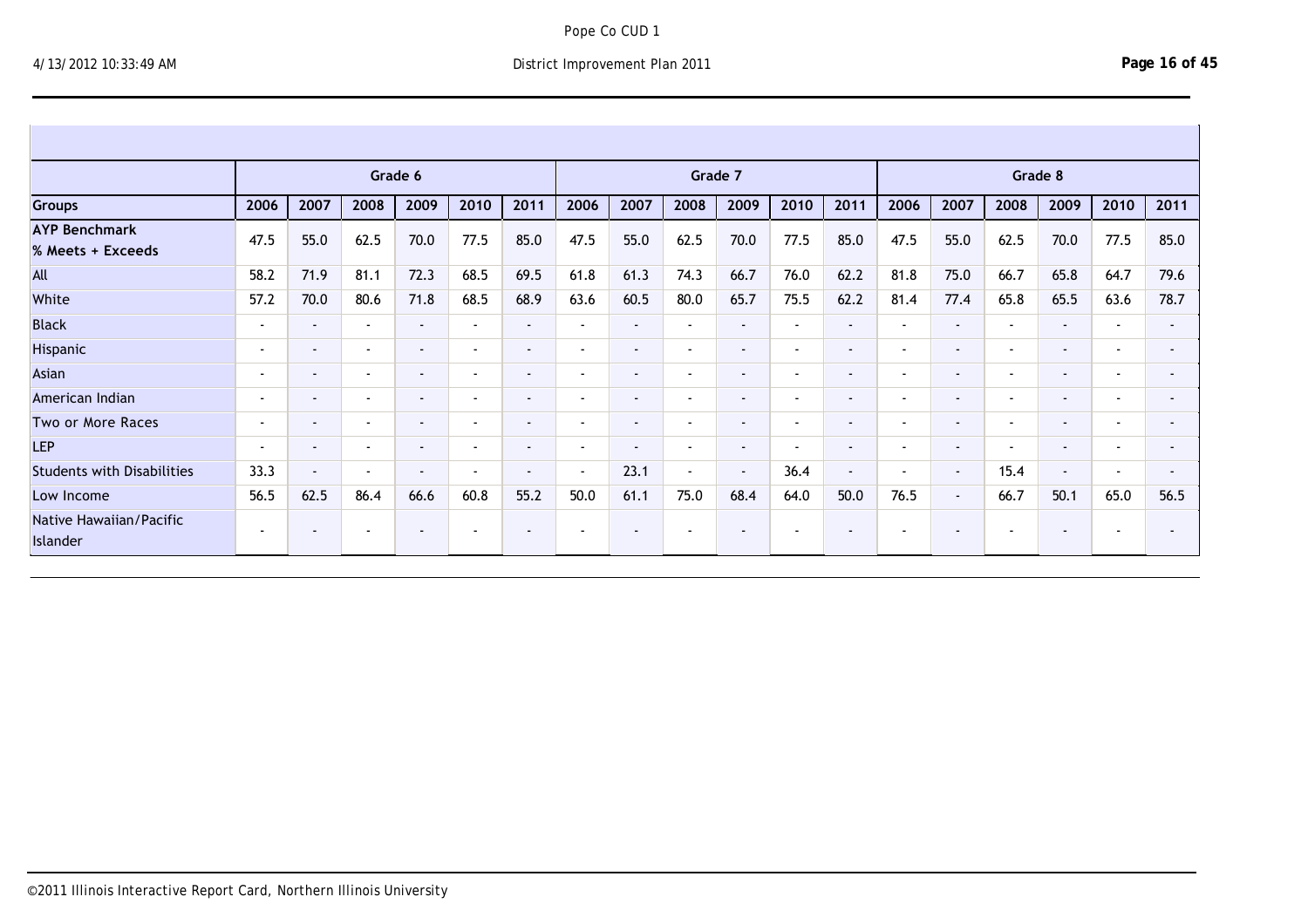Islander

|                                           |                          |                |                          | Grade 6        |                          |                          |                          |                          | Grade 7                  |                          |                          |                          |                |                          |                          | Grade 8        |                          |                |
|-------------------------------------------|--------------------------|----------------|--------------------------|----------------|--------------------------|--------------------------|--------------------------|--------------------------|--------------------------|--------------------------|--------------------------|--------------------------|----------------|--------------------------|--------------------------|----------------|--------------------------|----------------|
| <b>Groups</b>                             | 2006                     | 2007           | 2008                     | 2009           | 2010                     | 2011                     | 2006                     | 2007                     | 2008                     | 2009                     | 2010                     | 2011                     | 2006           | 2007                     | 2008                     | 2009           | 2010                     | 2011           |
| <b>AYP Benchmark</b><br>% Meets + Exceeds | 47.5                     | 55.0           | 62.5                     | 70.0           | 77.5                     | 85.0                     | 47.5                     | 55.0                     | 62.5                     | 70.0                     | 77.5                     | 85.0                     | 47.5           | 55.0                     | 62.5                     | 70.0           | 77.5                     | 85.0           |
| All                                       | 58.2                     | 71.9           | 81.1                     | 72.3           | 68.5                     | 69.5                     | 61.8                     | 61.3                     | 74.3                     | 66.7                     | 76.0                     | 62.2                     | 81.8           | 75.0                     | 66.7                     | 65.8           | 64.7                     | 79.6           |
| White                                     | 57.2                     | 70.0           | 80.6                     | 71.8           | 68.5                     | 68.9                     | 63.6                     | 60.5                     | 80.0                     | 65.7                     | 75.5                     | 62.2                     | 81.4           | 77.4                     | 65.8                     | 65.5           | 63.6                     | 78.7           |
| <b>Black</b>                              | $\overline{\phantom{a}}$ | $\blacksquare$ | $\overline{\phantom{a}}$ | $\blacksquare$ | $\blacksquare$           | $\sim$                   | $\overline{\phantom{a}}$ | $\sim$                   | $\blacksquare$           | $\overline{\phantom{a}}$ | $\overline{\phantom{a}}$ | $\blacksquare$           | $\blacksquare$ | $\overline{\phantom{0}}$ | $\blacksquare$           | $\blacksquare$ | $\overline{\phantom{a}}$ | $\sim$         |
| Hispanic                                  | $\overline{\phantom{a}}$ | $\sim$         | $\overline{\phantom{a}}$ | $\sim$         | $\overline{\phantom{a}}$ | $\blacksquare$           | $\overline{\phantom{a}}$ | $\blacksquare$           | $\overline{\phantom{a}}$ | $\overline{\phantom{a}}$ | $\overline{\phantom{a}}$ | $\sim$                   | $\sim$         | $\overline{\phantom{0}}$ | $\overline{\phantom{a}}$ | $\blacksquare$ | $\overline{\phantom{a}}$ |                |
| Asian                                     | $\overline{\phantom{a}}$ | $\sim$         | $\sim$                   | $\sim$         | $\overline{\phantom{a}}$ | $\blacksquare$           | $\overline{\phantom{a}}$ | $\,$ $\,$                | $\overline{\phantom{a}}$ | $\overline{\phantom{a}}$ | $\overline{\phantom{a}}$ | $\overline{\phantom{a}}$ | $\blacksquare$ | $\overline{\phantom{0}}$ | $\overline{\phantom{a}}$ | $\sim$         | $\overline{\phantom{a}}$ | $\sim$         |
| American Indian                           | $\blacksquare$           | $\blacksquare$ | $\overline{\phantom{a}}$ | $\sim$         | $\blacksquare$           | $\blacksquare$           |                          | $\overline{\phantom{a}}$ | $\blacksquare$           | $\overline{\phantom{a}}$ | $\overline{\phantom{a}}$ | $\blacksquare$           | $\blacksquare$ | $\overline{\phantom{0}}$ | $\blacksquare$           | $\sim$         | $\overline{\phantom{a}}$ |                |
| Two or More Races                         | $\overline{\phantom{a}}$ | $\sim$         | $\sim$                   | $\sim$         | $\overline{\phantom{a}}$ | $\blacksquare$           | $\overline{\phantom{a}}$ | $\blacksquare$           | $\blacksquare$           | $\overline{\phantom{a}}$ | $\blacksquare$           | $\sim$                   | $\blacksquare$ | $\overline{\phantom{0}}$ | $\overline{\phantom{a}}$ | $\sim$         | $\overline{\phantom{a}}$ | $\sim$         |
| <b>LEP</b>                                | $\sim$                   | $\blacksquare$ | $\blacksquare$           | $\sim$         | $\sim$                   | $\blacksquare$           | $\overline{\phantom{a}}$ | $\,$ $\,$                | $\blacksquare$           | $\overline{\phantom{a}}$ | $\sim$                   | $\blacksquare$           | $\blacksquare$ | $\sim$                   | $\overline{\phantom{a}}$ | $\sim$         | $\blacksquare$           | $\blacksquare$ |
| <b>Students with Disabilities</b>         | 33.3                     | $\blacksquare$ | $\sim$                   | $\blacksquare$ | $\overline{\phantom{a}}$ | $\overline{\phantom{a}}$ | $\overline{\phantom{a}}$ | 23.1                     | $\blacksquare$           | $\sim$                   | 36.4                     | $\sim$                   | $\blacksquare$ | $\sim$                   | 15.4                     | $\sim$         | $\overline{\phantom{a}}$ | $\sim$         |
| Low Income                                | 56.5                     | 62.5           | 86.4                     | 66.6           | 60.8                     | 55.2                     | 50.0                     | 61.1                     | 75.0                     | 68.4                     | 64.0                     | 50.0                     | 76.5           | $\sim$                   | 66.7                     | 50.1           | 65.0                     | 56.5           |
| Native Hawaiian/Pacific<br>Islander       | $\sim$                   | $\blacksquare$ | . .                      | $\sim$         | $\overline{\phantom{a}}$ | $\overline{\phantom{a}}$ |                          | $\overline{\phantom{a}}$ | $\blacksquare$           |                          |                          | $\blacksquare$           | $\sim$         |                          | $\overline{\phantom{a}}$ | $\blacksquare$ |                          |                |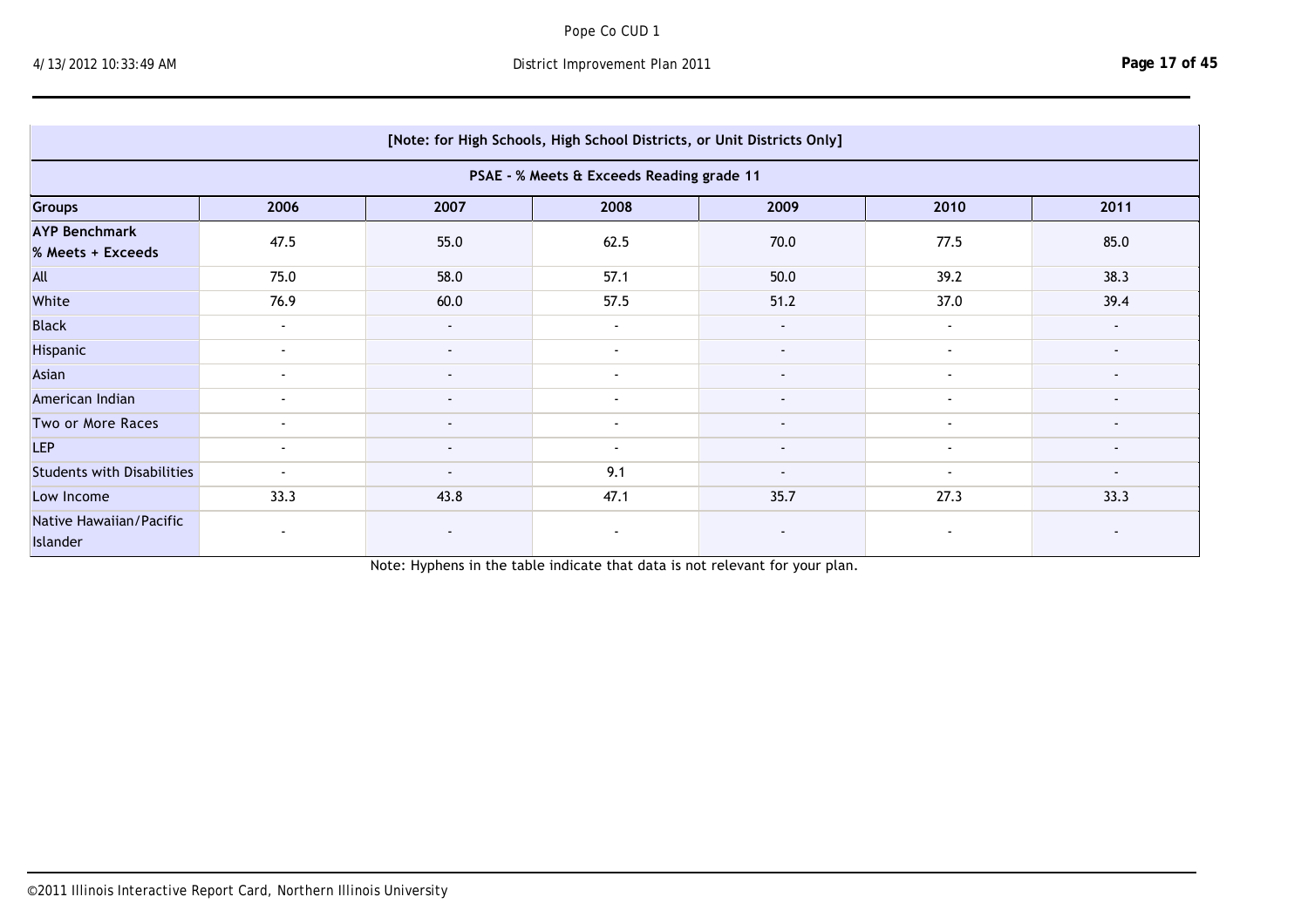Islander

|                                           | [Note: for High Schools, High School Districts, or Unit Districts Only] |                          |                                           |                          |                          |                          |  |  |  |  |  |
|-------------------------------------------|-------------------------------------------------------------------------|--------------------------|-------------------------------------------|--------------------------|--------------------------|--------------------------|--|--|--|--|--|
|                                           |                                                                         |                          | PSAE - % Meets & Exceeds Reading grade 11 |                          |                          |                          |  |  |  |  |  |
| Groups                                    | 2006                                                                    | 2007                     | 2008                                      | 2009                     | 2010                     | 2011                     |  |  |  |  |  |
| <b>AYP Benchmark</b><br>% Meets + Exceeds | 47.5                                                                    | 55.0                     | 62.5                                      | 70.0                     | 77.5                     | 85.0                     |  |  |  |  |  |
| All                                       | 75.0                                                                    | 58.0                     | 57.1                                      | 50.0                     | 39.2                     | 38.3                     |  |  |  |  |  |
| White                                     | 76.9                                                                    | 60.0                     | 57.5                                      | 51.2                     | 37.0                     | 39.4                     |  |  |  |  |  |
| <b>Black</b>                              | $\sim$                                                                  | $\sim$                   | $\sim$                                    | $\blacksquare$           | $\sim$                   | $\blacksquare$           |  |  |  |  |  |
| Hispanic                                  | $\blacksquare$                                                          | $\sim$                   | $\sim$                                    | $\sim$                   | $\blacksquare$           |                          |  |  |  |  |  |
| Asian                                     | $\sim$                                                                  | $\blacksquare$           | $\sim$                                    | $\blacksquare$           | $\overline{\phantom{a}}$ | $\overline{\phantom{a}}$ |  |  |  |  |  |
| American Indian                           | $\sim$                                                                  | $\overline{\phantom{a}}$ | $\overline{\phantom{a}}$                  | $\overline{\phantom{a}}$ | $\overline{\phantom{a}}$ | $\overline{\phantom{a}}$ |  |  |  |  |  |
| Two or More Races                         | $\overline{\phantom{a}}$                                                | $\blacksquare$           | $\sim$                                    | $\overline{\phantom{a}}$ | $\sim$                   | $\overline{\phantom{a}}$ |  |  |  |  |  |
| <b>LEP</b>                                | $\sim$                                                                  | $\sim$                   | $\sim$                                    | $\sim$                   | $\sim$                   | $\sim$                   |  |  |  |  |  |
| <b>Students with Disabilities</b>         | $\blacksquare$                                                          | $\blacksquare$           | 9.1                                       | $\overline{\phantom{a}}$ | $\overline{\phantom{a}}$ | $\overline{\phantom{a}}$ |  |  |  |  |  |
| Low Income                                | 33.3                                                                    | 43.8                     | 47.1                                      | 35.7                     | 27.3                     | 33.3                     |  |  |  |  |  |
| Native Hawaiian/Pacific<br>Islander       | $\sim$                                                                  |                          | $\overline{\phantom{a}}$                  |                          | $\overline{\phantom{a}}$ |                          |  |  |  |  |  |

Note: Hyphens in the table indicate that data is not relevant for your plan.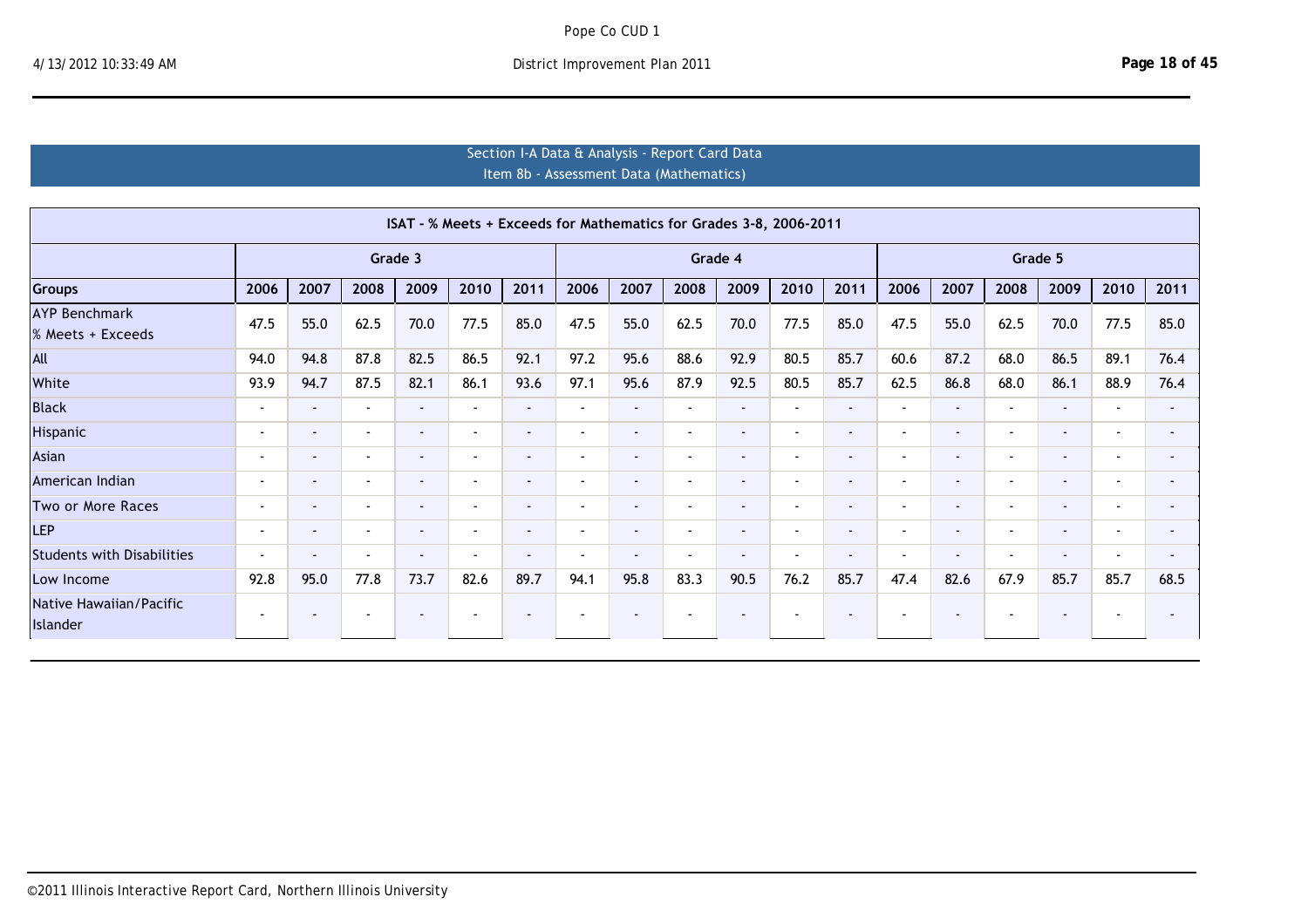# Section I-A Data & Analysis - Report Card Data Item 8b ‐ Assessment Data (Mathematics)

|                                           |                          |                          |                          |                |                          |                          |                          |                          |                          |                          | ISAT - % Meets + Exceeds for Mathematics for Grades 3-8, 2006-2011 |                          |                          |                          |                          |                          |                          |      |
|-------------------------------------------|--------------------------|--------------------------|--------------------------|----------------|--------------------------|--------------------------|--------------------------|--------------------------|--------------------------|--------------------------|--------------------------------------------------------------------|--------------------------|--------------------------|--------------------------|--------------------------|--------------------------|--------------------------|------|
|                                           |                          |                          |                          | Grade 3        |                          |                          |                          |                          | Grade 4                  |                          |                                                                    |                          |                          |                          |                          | Grade 5                  |                          |      |
| <b>Groups</b>                             | 2006                     | 2007                     | 2008                     | 2009           | 2010                     | 2011                     | 2006                     | 2007                     | 2008                     | 2009                     | 2010                                                               | 2011                     | 2006                     | 2007                     | 2008                     | 2009                     | 2010                     | 2011 |
| <b>AYP Benchmark</b><br>% Meets + Exceeds | 47.5                     | 55.0                     | 62.5                     | 70.0           | 77.5                     | 85.0                     | 47.5                     | 55.0                     | 62.5                     | 70.0                     | 77.5                                                               | 85.0                     | 47.5                     | 55.0                     | 62.5                     | 70.0                     | 77.5                     | 85.0 |
| All                                       | 94.0                     | 94.8                     | 87.8                     | 82.5           | 86.5                     | 92.1                     | 97.2                     | 95.6                     | 88.6                     | 92.9                     | 80.5                                                               | 85.7                     | 60.6                     | 87.2                     | 68.0                     | 86.5                     | 89.1                     | 76.4 |
| White                                     | 93.9                     | 94.7                     | 87.5                     | 82.1           | 86.1                     | 93.6                     | 97.1                     | 95.6                     | 87.9                     | 92.5                     | 80.5                                                               | 85.7                     | 62.5                     | 86.8                     | 68.0                     | 86.1                     | 88.9                     | 76.4 |
| <b>Black</b>                              | $\sim$                   | $\sim$                   | $\sim$                   | $\sim$         | $\overline{\phantom{a}}$ | $\sim$                   | $\sim$                   | $\overline{\phantom{a}}$ | $\sim$                   | $\sim$                   | $\blacksquare$                                                     | $\overline{\phantom{a}}$ | $\sim$                   | $\sim$                   | $\overline{\phantom{a}}$ | $\sim$                   | $\blacksquare$           |      |
| Hispanic                                  | $\overline{\phantom{0}}$ | $\sim$                   | $\sim$                   | $\sim$         | $\sim$                   |                          | $\overline{\phantom{0}}$ | $\sim$                   | $\overline{\phantom{a}}$ | $\overline{\phantom{a}}$ | $\blacksquare$                                                     | $\blacksquare$           | $\overline{\phantom{a}}$ | $\overline{\phantom{a}}$ | $\overline{\phantom{a}}$ | $\overline{\phantom{a}}$ | $\blacksquare$           |      |
| Asian                                     | $\overline{\phantom{a}}$ | $\sim$                   | $\overline{\phantom{a}}$ | $\sim$         | $\sim$                   |                          | $\blacksquare$           | $\blacksquare$           | $\overline{\phantom{a}}$ | $\blacksquare$           | $\blacksquare$                                                     | $\blacksquare$           |                          | $\blacksquare$           | $\overline{\phantom{a}}$ | $\blacksquare$           | $\blacksquare$           |      |
| American Indian                           | $\overline{\phantom{a}}$ | $\sim$                   | $\overline{\phantom{a}}$ | $\sim$         | $\sim$                   |                          | $\blacksquare$           | $\blacksquare$           | $\overline{\phantom{a}}$ | $\blacksquare$           | $\blacksquare$                                                     | $\blacksquare$           |                          | $\sim$                   | $\overline{\phantom{a}}$ | $\sim$                   | $\blacksquare$           | ۰    |
| Two or More Races                         | $\sim$                   | $\sim$                   | $\sim$                   | $\sim$         | $\overline{\phantom{a}}$ | $\sim$                   | $\blacksquare$           | $\blacksquare$           | $\sim$                   | $\sim$                   | $\blacksquare$                                                     | $\overline{\phantom{a}}$ | $\blacksquare$           | $\sim$                   | $\overline{\phantom{a}}$ | $\sim$                   | $\overline{\phantom{a}}$ | ۰    |
| <b>LEP</b>                                | $\sim$                   | $\sim$                   | $\sim$                   | $\sim$         | $\overline{\phantom{a}}$ | $\overline{\phantom{0}}$ | $\overline{\phantom{a}}$ | $\blacksquare$           | $\sim$                   | $\sim$                   | $\blacksquare$                                                     | $\overline{\phantom{a}}$ | $\sim$                   | $\sim$                   | $\overline{\phantom{a}}$ | $\sim$                   | $\blacksquare$           |      |
| <b>Students with Disabilities</b>         | $\overline{\phantom{a}}$ | $\overline{\phantom{a}}$ | $\sim$                   | $\sim$         | $\overline{\phantom{a}}$ |                          | $\blacksquare$           | $\blacksquare$           | $\overline{\phantom{a}}$ | $\sim$                   | $\blacksquare$                                                     | $\overline{\phantom{a}}$ | $\overline{\phantom{a}}$ | $\blacksquare$           | $\overline{\phantom{a}}$ | $\sim$                   | $\blacksquare$           |      |
| Low Income                                | 92.8                     | 95.0                     | 77.8                     | 73.7           | 82.6                     | 89.7                     | 94.1                     | 95.8                     | 83.3                     | 90.5                     | 76.2                                                               | 85.7                     | 47.4                     | 82.6                     | 67.9                     | 85.7                     | 85.7                     | 68.5 |
| Native Hawaiian/Pacific<br>Islander       | $\sim$                   | $\blacksquare$           | $\overline{\phantom{a}}$ | $\blacksquare$ | $\overline{\phantom{a}}$ |                          |                          | $\overline{\phantom{a}}$ |                          | $\blacksquare$           |                                                                    | $\overline{\phantom{a}}$ |                          | $\blacksquare$           | $\overline{\phantom{a}}$ | $\blacksquare$           | $\overline{\phantom{a}}$ |      |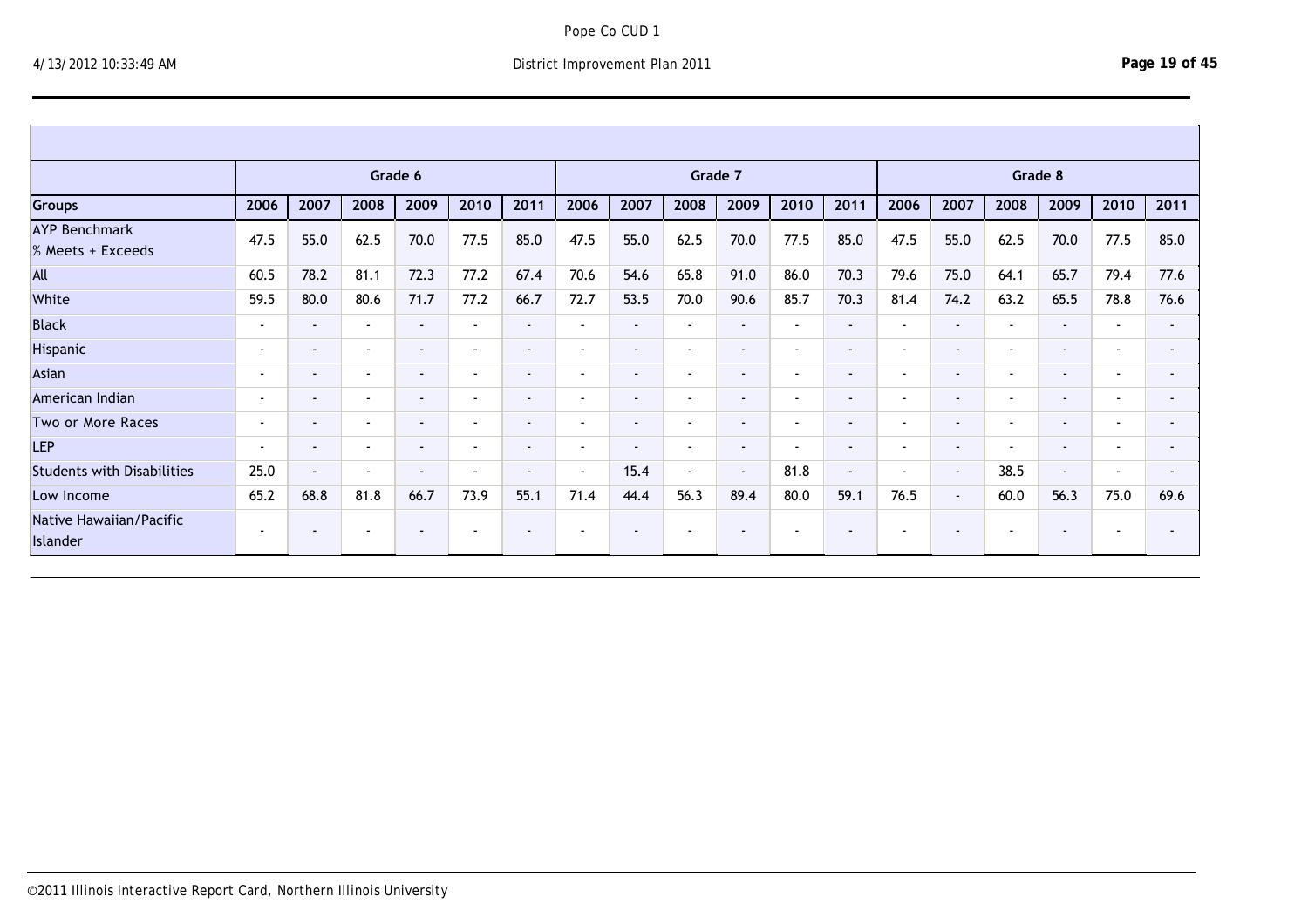Islander

|                                           |                          |                          |                          | Grade 6        |                          |                          |                          |                          |                          | Grade 7 |                          |                          |                          |                |                          | Grade 8 |                          |                |
|-------------------------------------------|--------------------------|--------------------------|--------------------------|----------------|--------------------------|--------------------------|--------------------------|--------------------------|--------------------------|---------|--------------------------|--------------------------|--------------------------|----------------|--------------------------|---------|--------------------------|----------------|
| Groups                                    | 2006                     | 2007                     | 2008                     | 2009           | 2010                     | 2011                     | 2006                     | 2007                     | 2008                     | 2009    | 2010                     | 2011                     | 2006                     | 2007           | 2008                     | 2009    | 2010                     | 2011           |
| <b>AYP Benchmark</b><br>% Meets + Exceeds | 47.5                     | 55.0                     | 62.5                     | 70.0           | 77.5                     | 85.0                     | 47.5                     | 55.0                     | 62.5                     | 70.0    | 77.5                     | 85.0                     | 47.5                     | 55.0           | 62.5                     | 70.0    | 77.5                     | 85.0           |
| All                                       | 60.5                     | 78.2                     | 81.1                     | 72.3           | 77.2                     | 67.4                     | 70.6                     | 54.6                     | 65.8                     | 91.0    | 86.0                     | 70.3                     | 79.6                     | 75.0           | 64.1                     | 65.7    | 79.4                     | 77.6           |
| White                                     | 59.5                     | 80.0                     | 80.6                     | 71.7           | 77.2                     | 66.7                     | 72.7                     | 53.5                     | 70.0                     | 90.6    | 85.7                     | 70.3                     | 81.4                     | 74.2           | 63.2                     | 65.5    | 78.8                     | 76.6           |
| <b>Black</b>                              | $\overline{\phantom{a}}$ | $\sim$                   | $\overline{\phantom{a}}$ | $\blacksquare$ | $\overline{\phantom{a}}$ | $\sim$                   | $\overline{\phantom{a}}$ | $\blacksquare$           | $\sim$                   | $\sim$  | $\blacksquare$           | $\overline{\phantom{a}}$ | $\overline{\phantom{a}}$ | $\sim$         | $\overline{\phantom{a}}$ | $\sim$  | $\sim$                   | $\sim$         |
| Hispanic                                  | $\sim$                   | $\blacksquare$           | $\overline{\phantom{a}}$ | $\sim$         | $\overline{\phantom{a}}$ | $\blacksquare$           | $\,$ $\,$                | $\blacksquare$           | $\sim$                   | $\sim$  | $\sim$                   | $\blacksquare$           | $\overline{\phantom{a}}$ | $\sim$         | $\overline{\phantom{a}}$ | $\sim$  | $\overline{\phantom{a}}$ | $\sim$         |
| Asian                                     | $\,$ $\,$                | $\blacksquare$           | $\blacksquare$           | $\sim$         | $\overline{\phantom{a}}$ | ۰                        | $\blacksquare$           | $\overline{\phantom{a}}$ | $\overline{\phantom{a}}$ | $\sim$  | $\sim$                   | $\overline{\phantom{a}}$ |                          | $\sim$         | $\overline{\phantom{a}}$ | $\sim$  | $\overline{\phantom{a}}$ | $\blacksquare$ |
| American Indian                           |                          | $\overline{\phantom{a}}$ | $\overline{\phantom{a}}$ | $\blacksquare$ | $\overline{\phantom{a}}$ | ۰                        | $\,$ $\,$                | $\overline{\phantom{a}}$ | $\sim$                   | $\sim$  | $\sim$                   | $\blacksquare$           |                          | $\sim$         | $\overline{\phantom{a}}$ | $\sim$  | $\overline{\phantom{a}}$ | $\blacksquare$ |
| Two or More Races                         | $\overline{\phantom{a}}$ | $\sim$                   | $\sim$                   | $\sim$         | $\overline{\phantom{a}}$ | $\blacksquare$           | $\,$ $\,$                | $\blacksquare$           | $\sim$                   | $\sim$  | $\sim$                   | $\blacksquare$           | $\,$ $\,$                | $\sim$         | $\overline{\phantom{a}}$ | $\sim$  | $\sim$                   | $\sim$         |
| <b>LEP</b>                                | $\sim$                   | $\blacksquare$           | $\blacksquare$           | $\sim$         | $\overline{\phantom{a}}$ | $\blacksquare$           | $\blacksquare$           | $\blacksquare$           | $\sim$                   | $\sim$  | $\sim$                   | $\blacksquare$           | $\overline{\phantom{a}}$ | $\sim$         | $\overline{\phantom{a}}$ | $\sim$  | $\sim$                   | $\blacksquare$ |
| <b>Students with Disabilities</b>         | 25.0                     | $\sim$                   | $\overline{\phantom{a}}$ | $\blacksquare$ | $\overline{\phantom{a}}$ | $\blacksquare$           | $\sim$                   | 15.4                     | $\sim$                   | $\sim$  | 81.8                     | $\sim$                   | $\blacksquare$           | $\blacksquare$ | 38.5                     | $\sim$  | $\overline{\phantom{a}}$ | $\blacksquare$ |
| Low Income                                | 65.2                     | 68.8                     | 81.8                     | 66.7           | 73.9                     | 55.1                     | 71.4                     | 44.4                     | 56.3                     | 89.4    | 80.0                     | 59.1                     | 76.5                     | $\sim$         | 60.0                     | 56.3    | 75.0                     | 69.6           |
| Native Hawaiian/Pacific<br>Islander       | $\sim$                   | $\blacksquare$           | $\overline{\phantom{a}}$ | $\blacksquare$ | $\overline{\phantom{a}}$ | $\overline{\phantom{0}}$ |                          | . .                      | $\overline{\phantom{a}}$ |         | $\overline{\phantom{a}}$ | $\blacksquare$           | $\sim$                   | ۰.             | $\overline{\phantom{a}}$ | $\sim$  | $\blacksquare$           | $\blacksquare$ |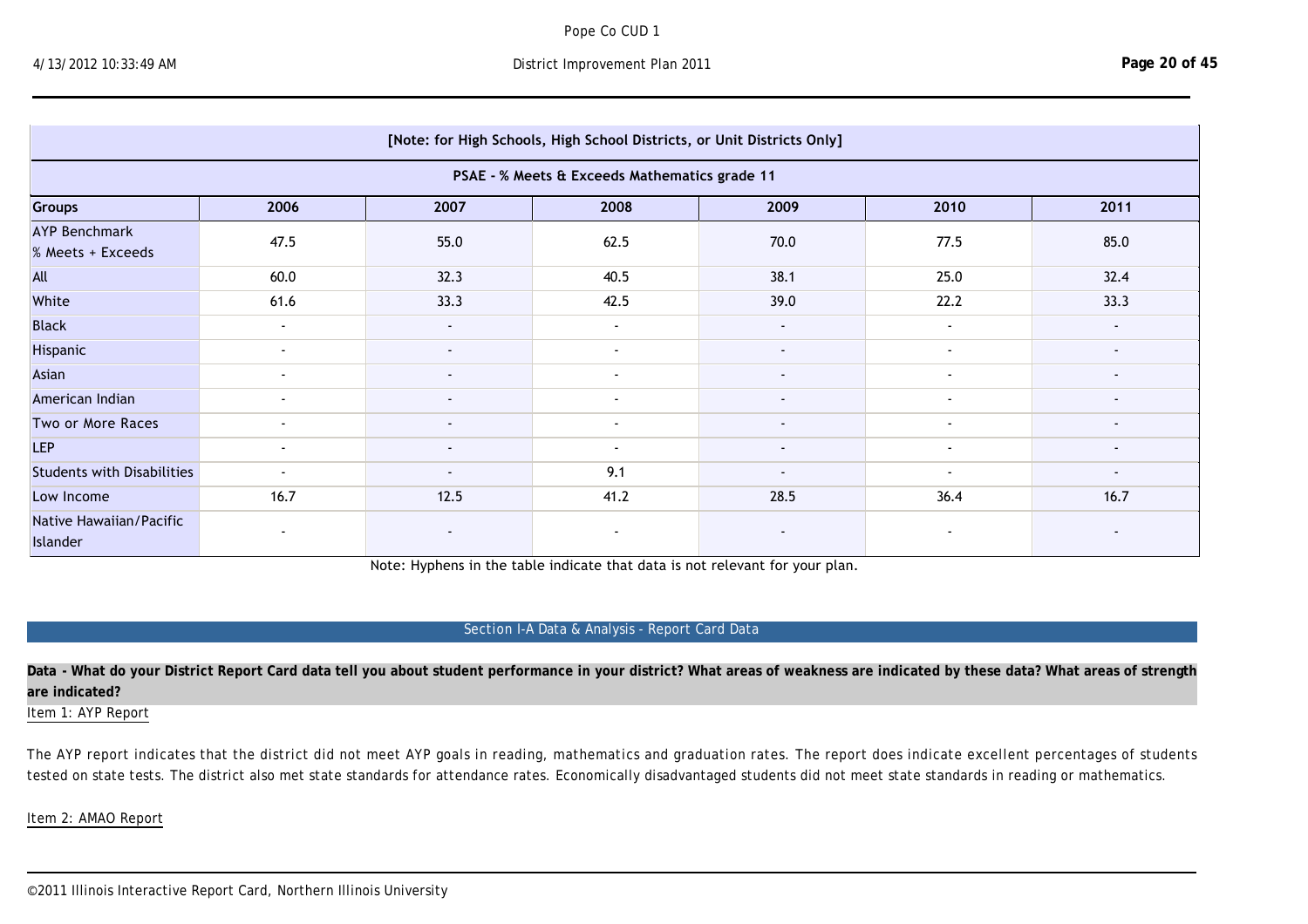Islander

|                                           |        |                | [Note: for High Schools, High School Districts, or Unit Districts Only] |                |                |                          |
|-------------------------------------------|--------|----------------|-------------------------------------------------------------------------|----------------|----------------|--------------------------|
|                                           |        |                | PSAE - % Meets & Exceeds Mathematics grade 11                           |                |                |                          |
| Groups                                    | 2006   | 2007           | 2008                                                                    | 2009           | 2010           | 2011                     |
| <b>AYP Benchmark</b><br>% Meets + Exceeds | 47.5   | 55.0           | 62.5                                                                    | 70.0           | 77.5           | 85.0                     |
| All                                       | 60.0   | 32.3           | 40.5                                                                    | 38.1           | 25.0           | 32.4                     |
| White                                     | 61.6   | 33.3           | 42.5                                                                    | 39.0           | 22.2           | 33.3                     |
| <b>Black</b>                              | $\sim$ |                | $\sim$                                                                  | $\sim$         | $\blacksquare$ |                          |
| Hispanic                                  | $\sim$ |                | $\blacksquare$                                                          |                | $\blacksquare$ |                          |
| Asian                                     | $\sim$ |                | $\blacksquare$                                                          |                | $\blacksquare$ |                          |
| American Indian                           | $\sim$ | $\blacksquare$ | $\blacksquare$                                                          |                | $\blacksquare$ |                          |
| Two or More Races                         | $\sim$ | $\blacksquare$ | $\blacksquare$                                                          | $\blacksquare$ | $\blacksquare$ | $\overline{\phantom{a}}$ |
| <b>LEP</b>                                | $\sim$ | $\blacksquare$ | $\sim$                                                                  | $\sim$         | $\sim$         | $\blacksquare$           |
| <b>Students with Disabilities</b>         | $\sim$ | $\blacksquare$ | 9.1                                                                     |                | $\sim$         |                          |
| Low Income                                | 16.7   | 12.5           | 41.2                                                                    | 28.5           | 36.4           | 16.7                     |
| Native Hawaiian/Pacific<br>Islander       | $\sim$ |                | $\blacksquare$                                                          |                |                |                          |

Note: Hyphens in the table indicate that data is not relevant for your plan.

# Section I-A Data & Analysis - Report Card Data

**Data - What do your District Report Card data tell you about student performance in your district? What areas of weakness are indicated by these data? What areas of strength are indicated?**

Item 1: AYP Report

The AYP report indicates that the district did not meet AYP goals in reading, mathematics and graduation rates. The report does indicate excellent percentages of students tested on state tests. The district also met state standards for attendance rates. Economically disadvantaged students did not meet state standards in reading or mathematics.

Item 2: AMAO Report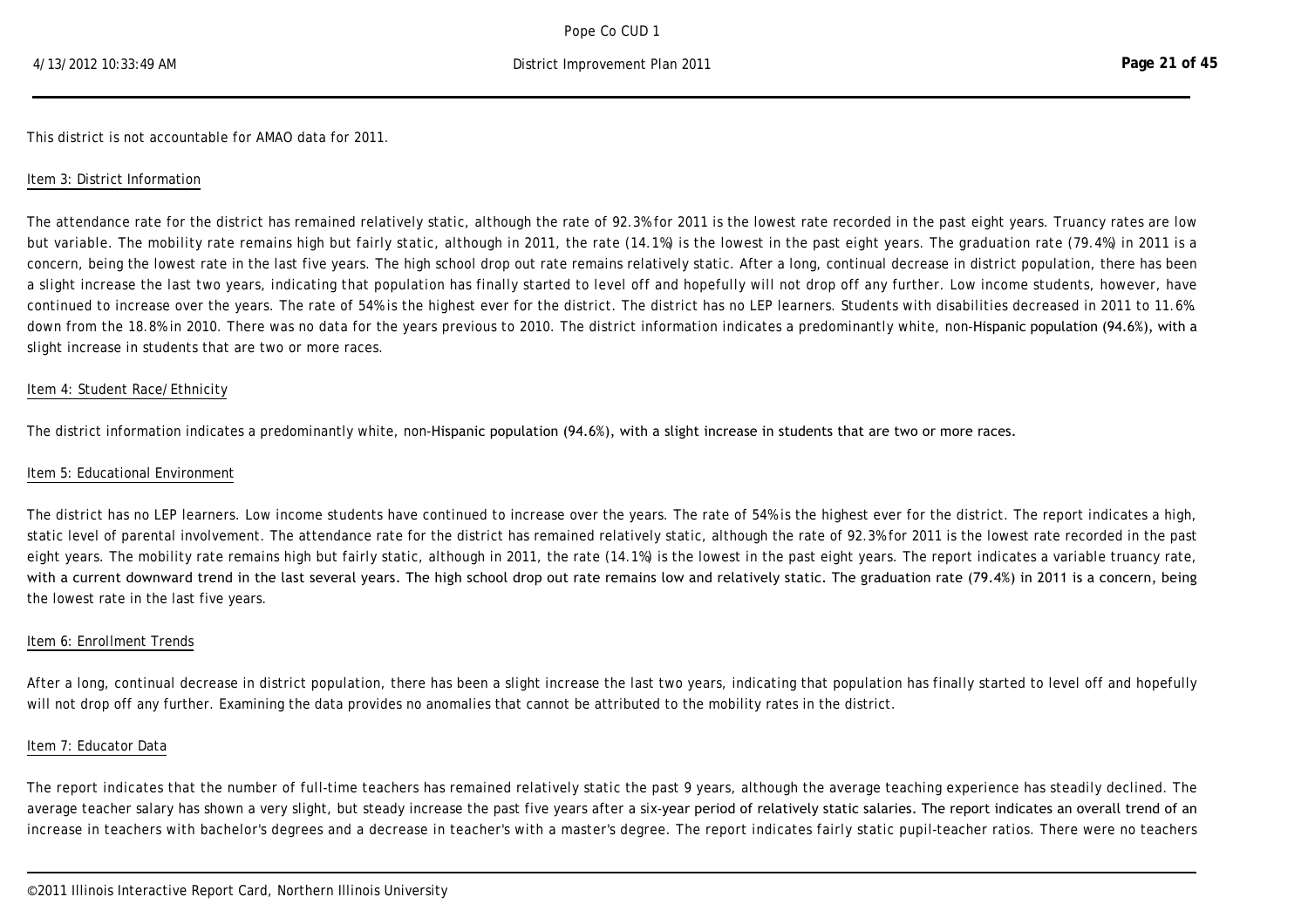Item 2: AMAO Report

This district is not accountable for AMAO data for 2011.

#### Item 3: District Information

The attendance rate for the district has remained relatively static, although the rate of 92.3% for 2011 is the lowest rate recorded in the past eight years. Truancy rates are low but variable. The mobility rate remains high but fairly static, although in 2011, the rate (14.1%) is the lowest in the past eight years. The graduation rate (79.4%) in 2011 is a concern, being the lowest rate in the last five years. The high school drop out rate remains relatively static. After a long, continual decrease in district population, there has been a slight increase the last two years, indicating that population has finally started to level off and hopefully will not drop off any further. Low income students, however, have continued to increase over the years. The rate of 54% is the highest ever for the district. The district has no LEP learners. Students with disabilities decreased in 2011 to 11.6%. down from the 18.8% in 2010. There was no data for the years previous to 2010. The district information indicates a predominantly white, non-Hispanic population (94.6%), with a slight increase in students that are two or more races.

#### Item 4: Student Race/Ethnicity

The district information indicates a predominantly white, non-Hispanic population (94.6%), with a slight increase in students that are two or more races.

#### Item 5: Educational Environment

The district has no LEP learners. Low income students have continued to increase over the years. The rate of 54% is the highest ever for the district. The report indicates a high, static level of parental involvement. The attendance rate for the district has remained relatively static, although the rate of 92.3% for 2011 is the lowest rate recorded in the past eight years. The mobility rate remains high but fairly static, although in 2011, the rate (14.1%) is the lowest in the past eight years. The report indicates a variable truancy rate, with a current downward trend in the last several years. The high school drop out rate remains low and relatively static. The graduation rate (79.4%) in 2011 is a concern, being the lowest rate in the last five years.

#### Item 6: Enrollment Trends

After a long, continual decrease in district population, there has been a slight increase the last two years, indicating that population has finally started to level off and hopefully will not drop off any further. Examining the data provides no anomalies that cannot be attributed to the mobility rates in the district.

#### Item 7: Educator Data

The report indicates that the number of full-time teachers has remained relatively static the past 9 years, although the average teaching experience has steadily declined. The average teacher salary has shown a very slight, but steady increase the past five years after a six-year period of relatively static salaries. The report indicates an overall trend of an increase in teachers with bachelor's degrees and a decrease in teacher's with a master's degree. The report indicates fairly static pupil-teacher ratios. There were no teachers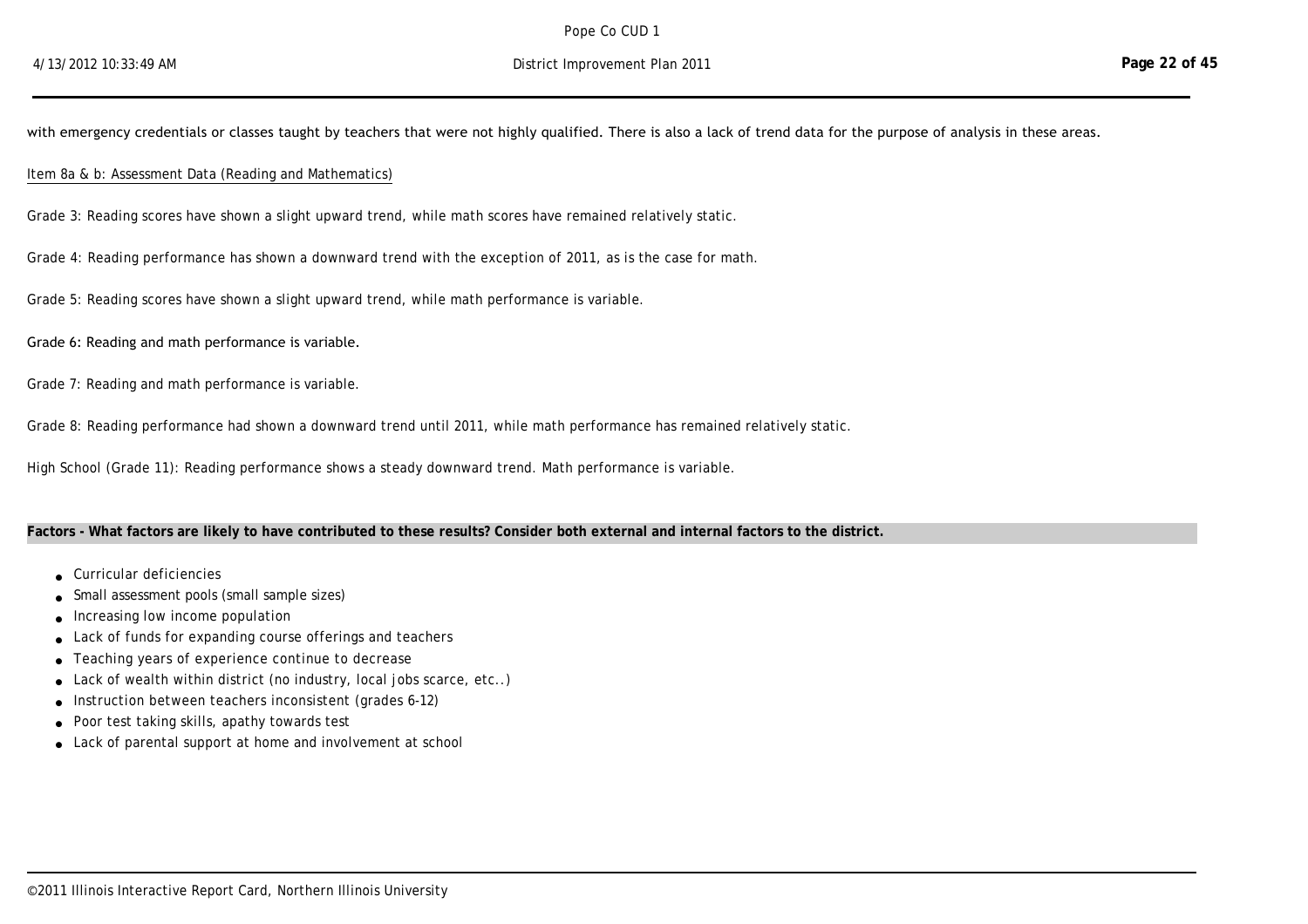average teacher salary has shown a very slight, but steady increase the past five years after a six-year period of relatively static salaries. The report indicates an overall trend of an

with emergency credentials or classes taught by teachers that were not highly qualified. There is also a lack of trend data for the purpose of analysis in these areas.

#### Item 8a & b: Assessment Data (Reading and Mathematics)

Grade 3: Reading scores have shown a slight upward trend, while math scores have remained relatively static.

Grade 4: Reading performance has shown a downward trend with the exception of 2011, as is the case for math.

Grade 5: Reading scores have shown a slight upward trend, while math performance is variable.

#### Grade 6: Reading and math performance is variable.

Grade 7: Reading and math performance is variable.

Grade 8: Reading performance had shown a downward trend until 2011, while math performance has remained relatively static.

High School (Grade 11): Reading performance shows a steady downward trend. Math performance is variable.

## **Factors - What factors are likely to have contributed to these results? Consider both external and internal factors to the district.**

- <sup>l</sup> Curricular deficiencies
- Small assessment pools (small sample sizes)
- $\bullet$  Increasing low income population
- Lack of funds for expanding course offerings and teachers
- **.** Teaching years of experience continue to decrease
- Lack of wealth within district (no industry, local jobs scarce, etc..)
- Instruction between teachers inconsistent (grades 6-12)
- **.** Poor test taking skills, apathy towards test
- Lack of parental support at home and involvement at school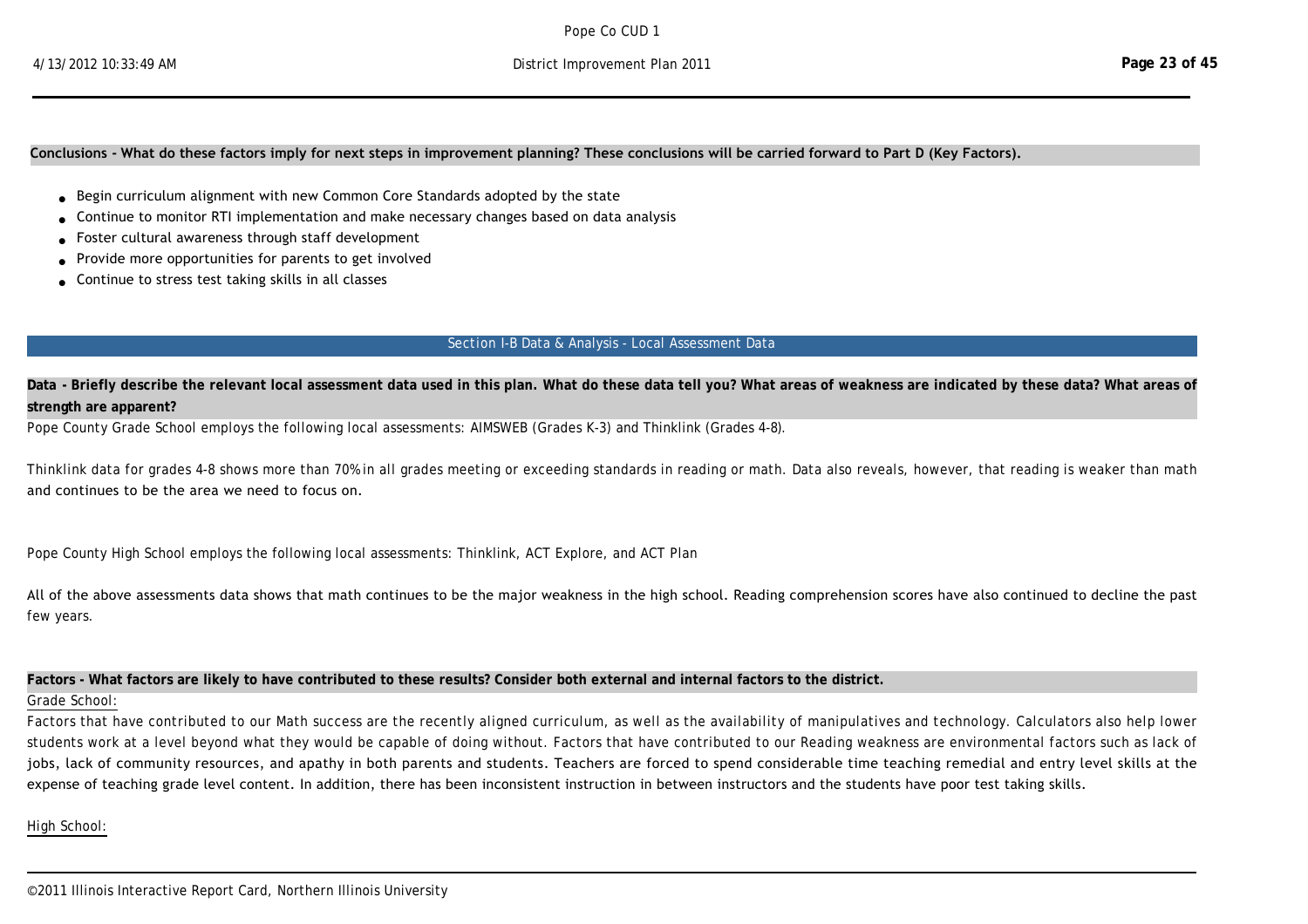#### **Conclusions ‐ What do these factors imply for next steps in improvement planning? These conclusions will be carried forward to Part D (Key Factors).**

- <sup>l</sup> Begin curriculum alignment with new Common Core Standards adopted by the state
- <sup>l</sup> Continue to monitor RTI implementation and make necessary changes based on data analysis
- Foster cultural awareness through staff development
- rovide more opportunities for parents to get involved
- Continue to stress test taking skills in all classes

#### Section I-B Data & Analysis - Local Assessment Data

Data - Briefly describe the relevant local assessment data used in this plan. What do these data tell you? What areas of weakness are indicated by these data? What areas of **strength are apparent?**

Pope County Grade School employs the following local assessments: AIMSWEB (Grades K-3) and Thinklink (Grades 4-8).

Thinklink data for grades 4-8 shows more than 70% in all grades meeting or exceeding standards in reading or math. Data also reveals, however, that reading is weaker than math and continues to be the area we need to focus on.

Pope County High School employs the following local assessments: Thinklink, ACT Explore, and ACT Plan

All of the above assessments data shows that math continues to be the major weakness in the high school. Reading comprehension scores have also continued to decline the past few years.

#### **Factors - What factors are likely to have contributed to these results? Consider both external and internal factors to the district.**

#### Grade School:

Factors that have contributed to our Math success are the recently aligned curriculum, as well as the availability of manipulatives and technology. Calculators also help lower students work at a level beyond what they would be capable of doing without. Factors that have contributed to our Reading weakness are environmental factors such as lack of jobs, lack of community resources, and apathy in both parents and students. Teachers are forced to spend considerable time teaching remedial and entry level skills at the expense of teaching grade level content. In addition, there has been inconsistent instruction in between instructors and the students have poor test taking skills.

identified. The same environmental factors as mentioned above relate to the high school as well. There has been constant turnover in staff also, leading to inconsistency

High School: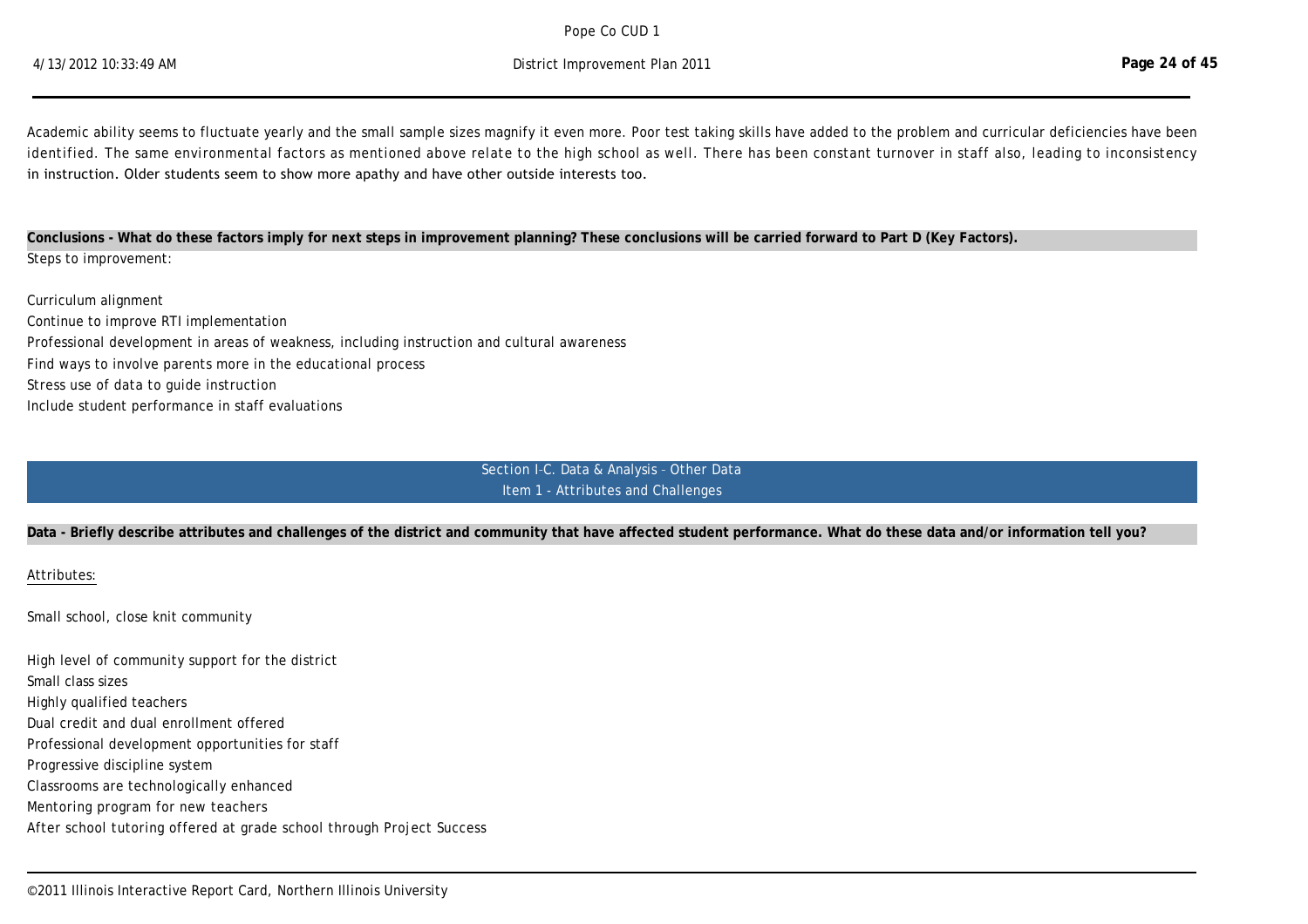$P$ ope  $Co$  CIJD 1 Pope Co CUD 1

Academic ability seems to fluctuate yearly and the small sample sizes magnify it even more. Poor test taking skills have added to the problem and curricular deficiencies have been identified. The same environmental factors as mentioned above relate to the high school as well. There has been constant turnover in staff also, leading to inconsistency in instruction. Older students seem to show more apathy and have other outside interests too.

**Conclusions - What do these factors imply for next steps in improvement planning? These conclusions will be carried forward to Part D (Key Factors).** Steps to improvement:

Curriculum alignment Continue to improve RTI implementation Professional development in areas of weakness, including instruction and cultural awareness Find ways to involve parents more in the educational process Stress use of data to guide instruction Include student performance in staff evaluations

> Section I–C. Data & Analysis – Other Data Item 1 - Attributes and Challenges

#### **Data - Briefly describe attributes and challenges of the district and community that have affected student performance. What do these data and/or information tell you?**

Attributes:

Challenges:

Small school, close knit community

High level of community support for the district Small class sizes Highly qualified teachers Dual credit and dual enrollment offered Professional development opportunities for staff Progressive discipline system Classrooms are technologically enhanced Mentoring program for new teachers After school tutoring offered at grade school through Project Success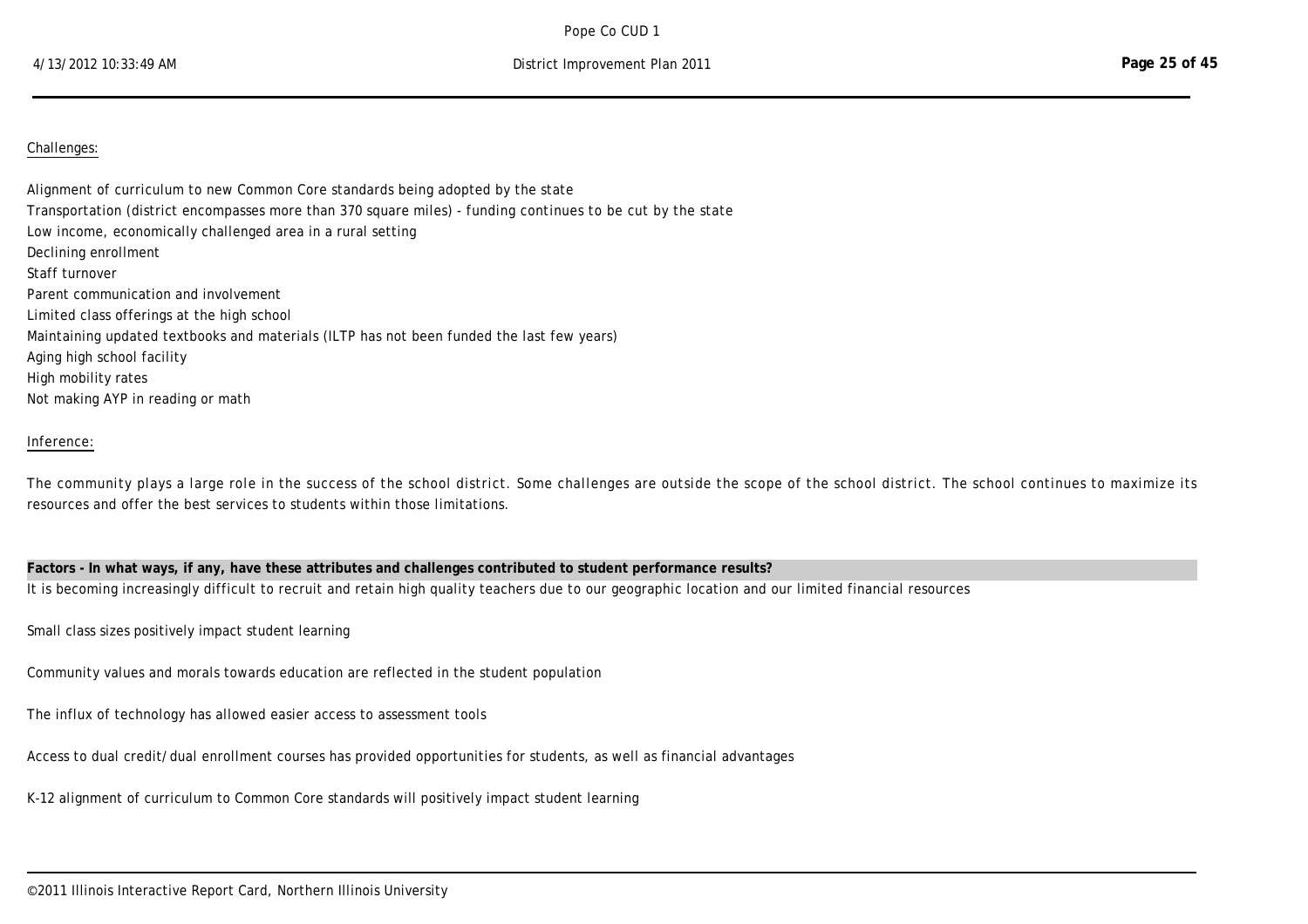### Challenges:

Alignment of curriculum to new Common Core standards being adopted by the state Transportation (district encompasses more than 370 square miles) - funding continues to be cut by the state Low income, economically challenged area in a rural setting Declining enrollment Staff turnover Parent communication and involvement Limited class offerings at the high school Maintaining updated textbooks and materials (ILTP has not been funded the last few years) Aging high school facility High mobility rates Not making AYP in reading or math

### Inference:

The community plays a large role in the success of the school district. Some challenges are outside the scope of the school district. The school continues to maximize its resources and offer the best services to students within those limitations.

**Factors - In what ways, if any, have these attributes and challenges contributed to student performance results?**  It is becoming increasingly difficult to recruit and retain high quality teachers due to our geographic location and our limited financial resources

Small class sizes positively impact student learning

Community values and morals towards education are reflected in the student population

The influx of technology has allowed easier access to assessment tools

Access to dual credit/dual enrollment courses has provided opportunities for students, as well as financial advantages

K-12 alignment of curriculum to Common Core standards will positively impact student learning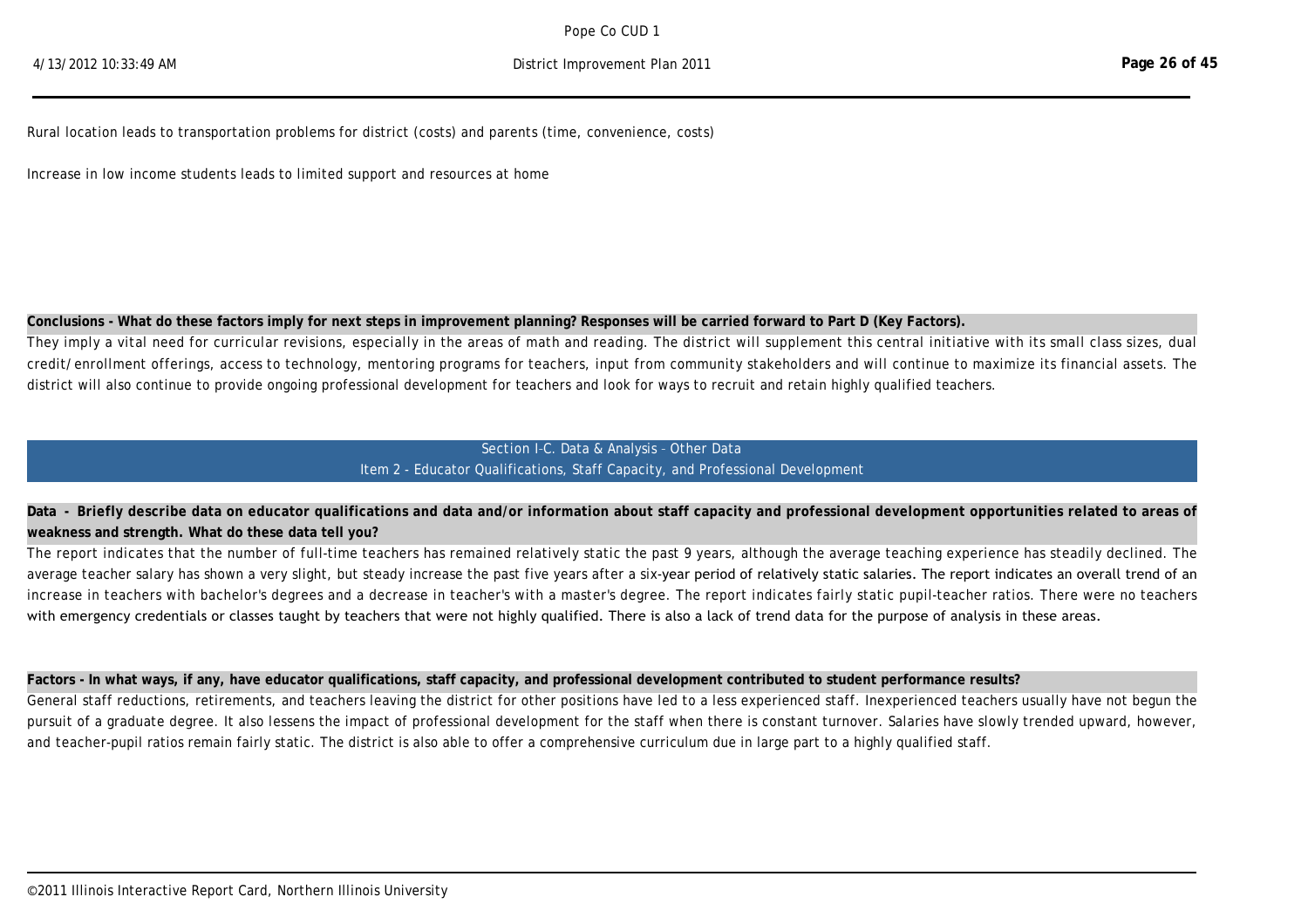Rural location leads to transportation problems for district (costs) and parents (time, convenience, costs)

K-12 alignment of curriculum to Common Core standards will positively impact student learning

Increase in low income students leads to limited support and resources at home

## **Conclusions - What do these factors imply for next steps in improvement planning? Responses will be carried forward to Part D (Key Factors).**

They imply a vital need for curricular revisions, especially in the areas of math and reading. The district will supplement this central initiative with its small class sizes, dual credit/enrollment offerings, access to technology, mentoring programs for teachers, input from community stakeholders and will continue to maximize its financial assets. The district will also continue to provide ongoing professional development for teachers and look for ways to recruit and retain highly qualified teachers.

## Section I–C. Data & Analysis – Other Data Item 2 - Educator Qualifications, Staff Capacity, and Professional Development

# **Data - Briefly describe data on educator qualifications and data and/or information about staff capacity and professional development opportunities related to areas of weakness and strength. What do these data tell you?**

The report indicates that the number of full-time teachers has remained relatively static the past 9 years, although the average teaching experience has steadily declined. The average teacher salary has shown a very slight, but steady increase the past five years after a six-year period of relatively static salaries. The report indicates an overall trend of an increase in teachers with bachelor's degrees and a decrease in teacher's with a master's degree. The report indicates fairly static pupil-teacher ratios. There were no teachers with emergency credentials or classes taught by teachers that were not highly qualified. There is also a lack of trend data for the purpose of analysis in these areas.

## **Factors - In what ways, if any, have educator qualifications, staff capacity, and professional development contributed to student performance results?**

General staff reductions, retirements, and teachers leaving the district for other positions have led to a less experienced staff. Inexperienced teachers usually have not begun the pursuit of a graduate degree. It also lessens the impact of professional development for the staff when there is constant turnover. Salaries have slowly trended upward, however, and teacher-pupil ratios remain fairly static. The district is also able to offer a comprehensive curriculum due in large part to a highly qualified staff.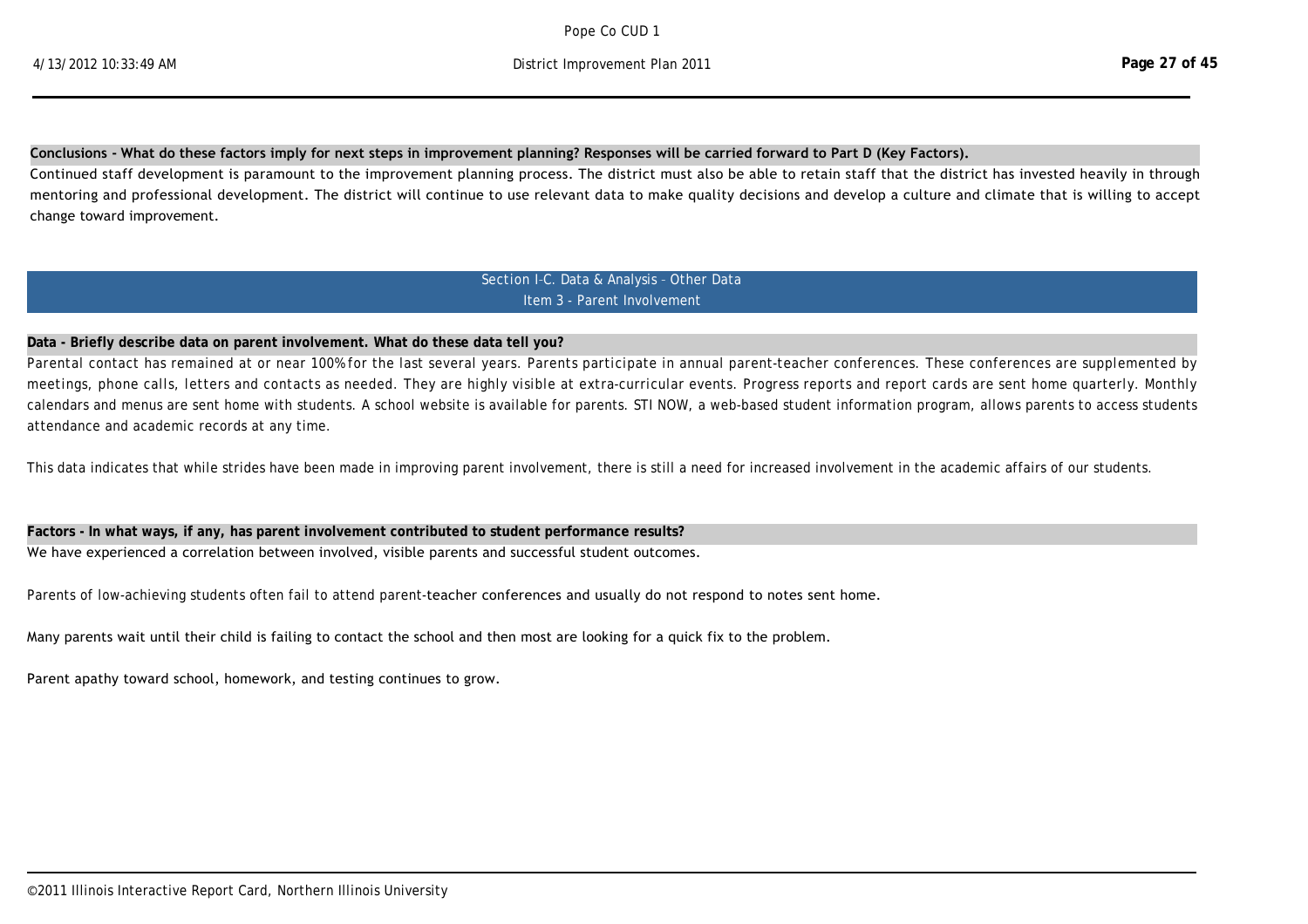#### **Conclusions ‐ What do these factors imply for next steps in improvement planning? Responses will be carried forward to Part D (Key Factors).**

Continued staff development is paramount to the improvement planning process. The district must also be able to retain staff that the district has invested heavily in through mentoring and professional development. The district will continue to use relevant data to make quality decisions and develop a culture and climate that is willing to accept change toward improvement.

> Section I–C. Data & Analysis – Other Data Item 3 - Parent Involvement

#### **Data - Briefly describe data on parent involvement. What do these data tell you?**

Parental contact has remained at or near 100% for the last several years. Parents participate in annual parent-teacher conferences. These conferences are supplemented by meetings, phone calls, letters and contacts as needed. They are highly visible at extra-curricular events. Progress reports and report cards are sent home quarterly. Monthly calendars and menus are sent home with students. A school website is available for parents. STI NOW, a web-based student information program, allows parents to access students attendance and academic records at any time.

This data indicates that while strides have been made in improving parent involvement, there is still a need for increased involvement in the academic affairs of our students.

#### **Factors - In what ways, if any, has parent involvement contributed to student performance results?**

We have experienced a correlation between involved, visible parents and successful student outcomes.

Parents of low-achieving students often fail to attend parent-teacher conferences and usually do not respond to notes sent home.

Many parents wait until their child is failing to contact the school and then most are looking for a quick fix to the problem.

Parent apathy toward school, homework, and testing continues to grow.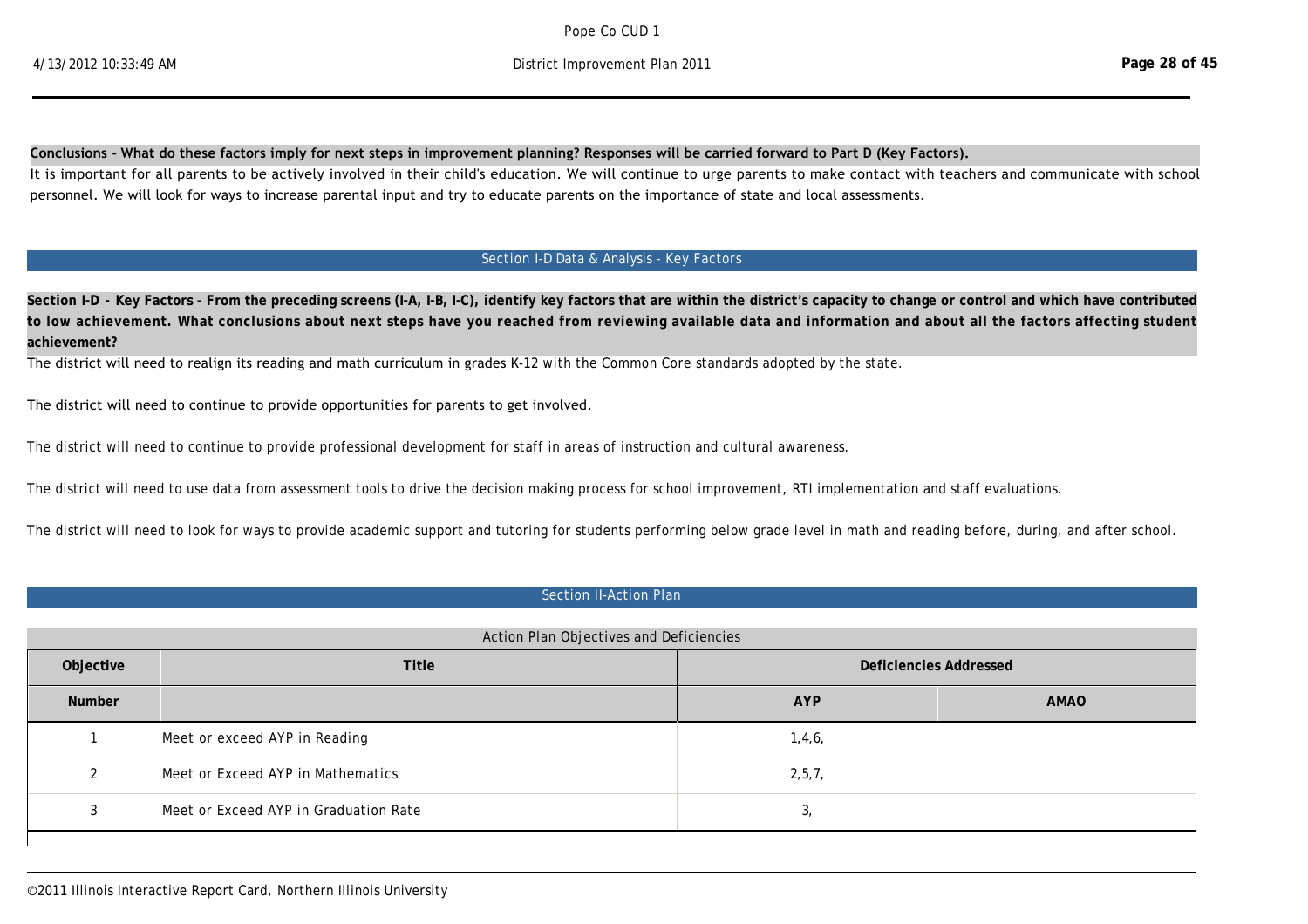#### **Conclusions ‐ What do these factors imply for next steps in improvement planning? Responses will be carried forward to Part D (Key Factors).**

It is important for all parents to be actively involved in their child's education. We will continue to urge parents to make contact with teachers and communicate with school personnel. We will look for ways to increase parental input and try to educate parents on the importance of state and local assessments.

# Section I-D Data & Analysis - Key Factors

**Section I-D - Key Factors – From the preceding screens (I-A, I-B, I-C), identify key factors that are within the district's capacity to change or control and which have contributed to low achievement. What conclusions about next steps have you reached from reviewing available data and information and about all the factors affecting student achievement?**

The district will need to realign its reading and math curriculum in grades K-12 with the Common Core standards adopted by the state.

The district will need to continue to provide opportunities for parents to get involved.

The district will need to continue to provide professional development for staff in areas of instruction and cultural awareness.

The district will need to use data from assessment tools to drive the decision making process for school improvement, RTI implementation and staff evaluations.

The district will need to look for ways to provide academic support and tutoring for students performing below grade level in math and reading before, during, and after school.

### Section II-Action Plan

|               | Action Plan Objectives and Deficiencies |                               |             |
|---------------|-----------------------------------------|-------------------------------|-------------|
| Objective     | <b>Title</b>                            | <b>Deficiencies Addressed</b> |             |
| <b>Number</b> |                                         | <b>AYP</b>                    | <b>AMAO</b> |
|               | Meet or exceed AYP in Reading           | 1,4,6,                        |             |
| 2             | Meet or Exceed AYP in Mathematics       | 2, 5, 7,                      |             |
| 3             | Meet or Exceed AYP in Graduation Rate   | 3,                            |             |
|               |                                         |                               |             |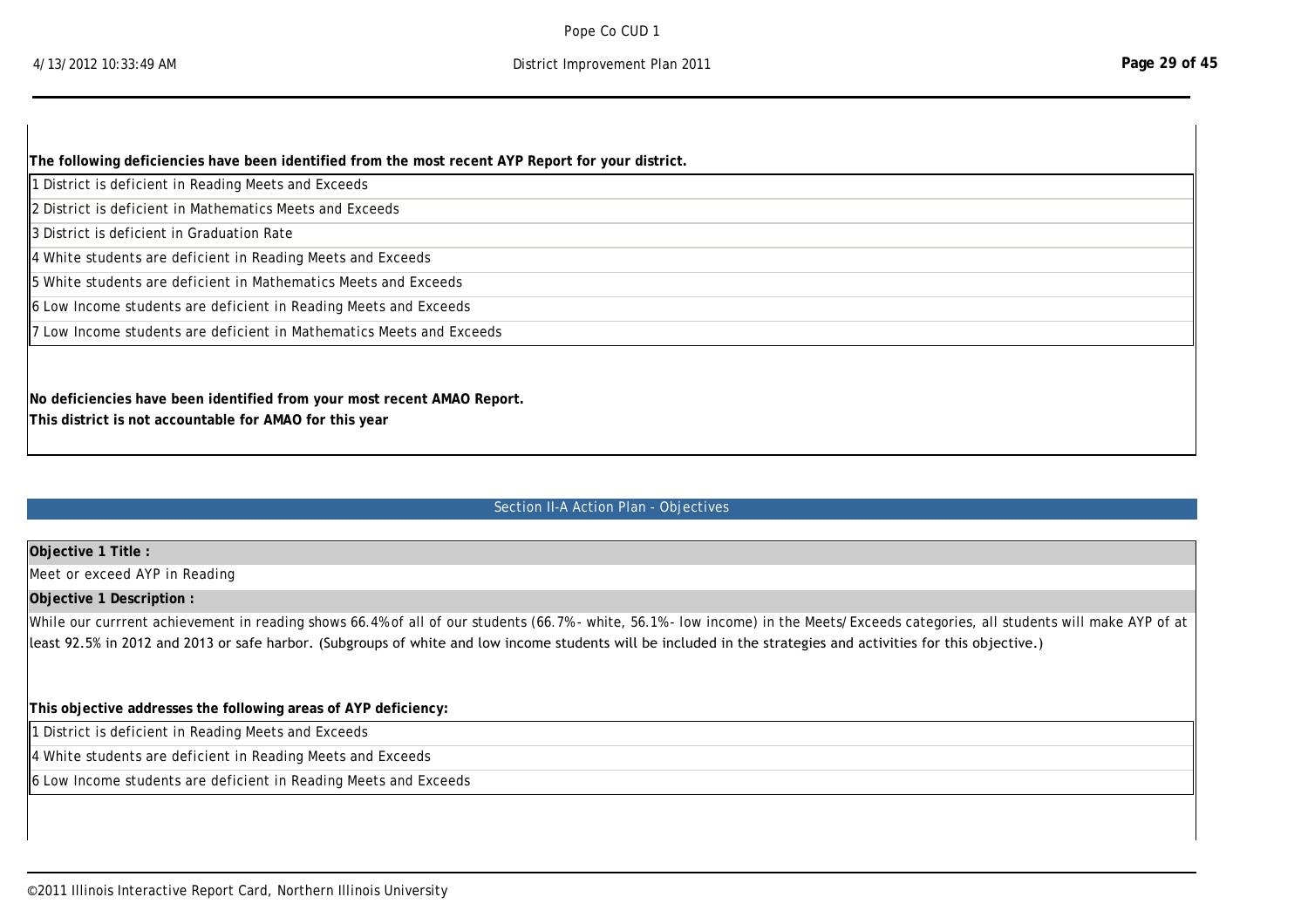| The following deficiencies have been identified from the most recent AYP Report for your district. |
|----------------------------------------------------------------------------------------------------|
| 1 District is deficient in Reading Meets and Exceeds                                               |
| 2 District is deficient in Mathematics Meets and Exceeds                                           |
| I3 District is deficient in Graduation Rate                                                        |
| $\parallel$ 4 White students are deficient in Reading Meets and Exceeds                            |
| $\mathbin\Vert$ 5 White students are deficient in Mathematics Meets and Exceeds                    |
| 6 Low Income students are deficient in Reading Meets and Exceeds                                   |
| 7 Low Income students are deficient in Mathematics Meets and Exceeds                               |
|                                                                                                    |
|                                                                                                    |
| No deficiencies have been identified from your most recent AMAO Report.                            |
| This district is not accountable for AMAO for this year                                            |

3 Meet or Exceed AYP in Graduation Rate 3,

## Section II-A Action Plan - Objectives

## **Objective 1 Title :**

Meet or exceed AYP in Reading

### **Objective 1 Description :**

While our currrent achievement in reading shows 66.4% of all of our students (66.7% - white, 56.1% - low income) in the Meets/Exceeds categories, all students will make AYP of at least 92.5% in 2012 and 2013 or safe harbor. (Subgroups of white and low income students will be included in the strategies and activities for this objective.)

## **This objective addresses the following areas of AYP deficiency:**

1 District is deficient in Reading Meets and Exceeds

**This district is not accountable for AMAO this year**

4 White students are deficient in Reading Meets and Exceeds

6 Low Income students are deficient in Reading Meets and Exceeds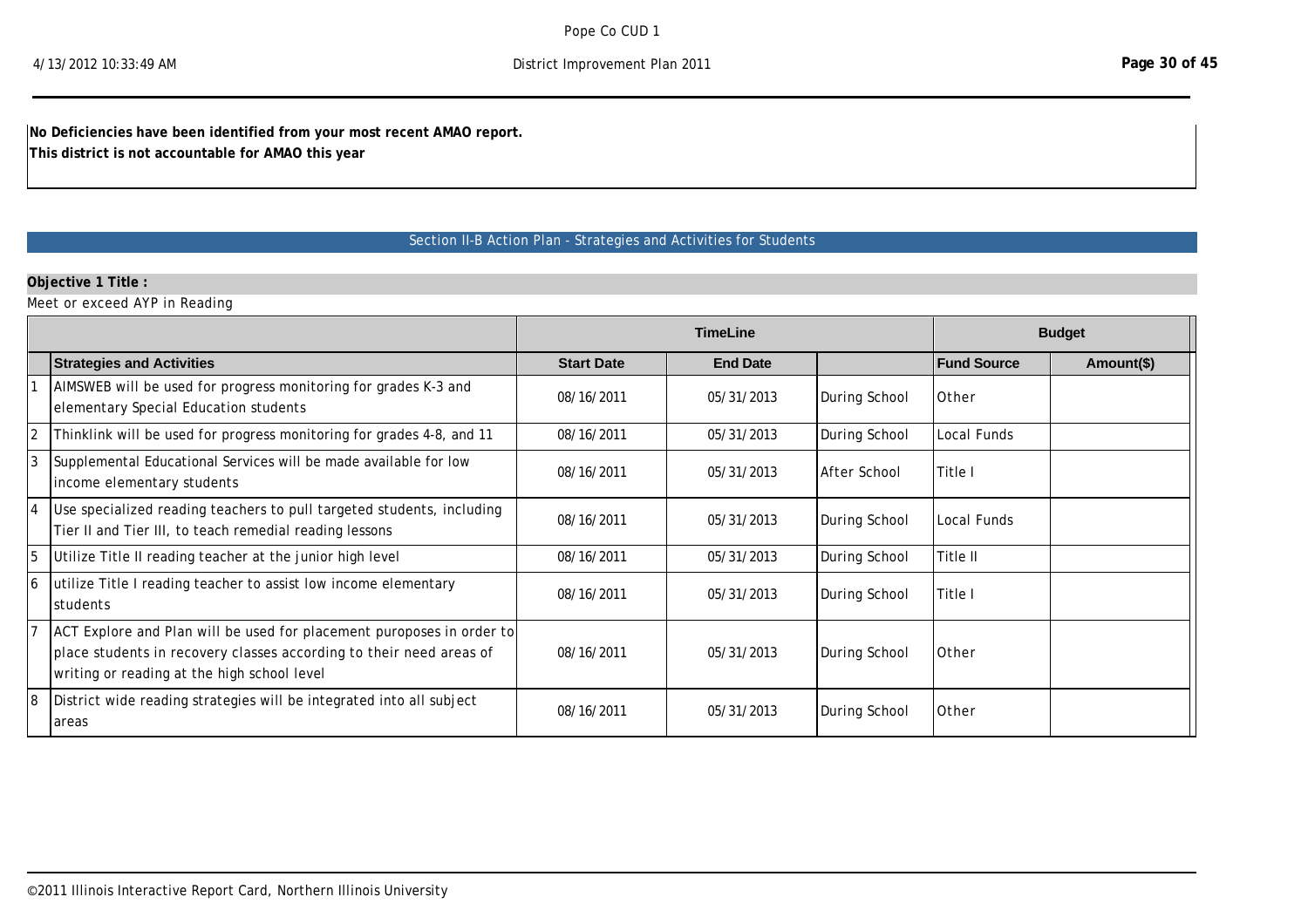**No Deficiencies have been identified from your most recent AMAO report.**

**This district is not accountable for AMAO this year**

# Section II-B Action Plan - Strategies and Activities for Students

# **Objective 1 Title :**

Meet or exceed AYP in Reading

|                |                                                                                                                                                                                             |                   | <b>TimeLine</b> |               |                    | <b>Budget</b> |
|----------------|---------------------------------------------------------------------------------------------------------------------------------------------------------------------------------------------|-------------------|-----------------|---------------|--------------------|---------------|
|                | <b>Strategies and Activities</b>                                                                                                                                                            | <b>Start Date</b> | <b>End Date</b> |               | <b>Fund Source</b> | Amount(\$)    |
|                | AIMSWEB will be used for progress monitoring for grades K-3 and<br>elementary Special Education students                                                                                    | 08/16/2011        | 05/31/2013      | During School | Other              |               |
| $\overline{2}$ | Thinklink will be used for progress monitoring for grades 4-8, and 11                                                                                                                       | 08/16/2011        | 05/31/2013      | During School | Local Funds        |               |
| 3              | Supplemental Educational Services will be made available for low<br>income elementary students                                                                                              | 08/16/2011        | 05/31/2013      | After School  | Title I            |               |
|                | Use specialized reading teachers to pull targeted students, including<br>Tier II and Tier III, to teach remedial reading lessons                                                            | 08/16/2011        | 05/31/2013      | During School | Local Funds        |               |
| 5              | Utilize Title II reading teacher at the junior high level                                                                                                                                   | 08/16/2011        | 05/31/2013      | During School | Title II           |               |
| 16             | utilize Title I reading teacher to assist low income elementary<br>students                                                                                                                 | 08/16/2011        | 05/31/2013      | During School | Title I            |               |
|                | ACT Explore and Plan will be used for placement puroposes in order to<br>place students in recovery classes according to their need areas of<br>writing or reading at the high school level | 08/16/2011        | 05/31/2013      | During School | Other              |               |
| 18             | District wide reading strategies will be integrated into all subject<br>areas                                                                                                               | 08/16/2011        | 05/31/2013      | During School | Other              |               |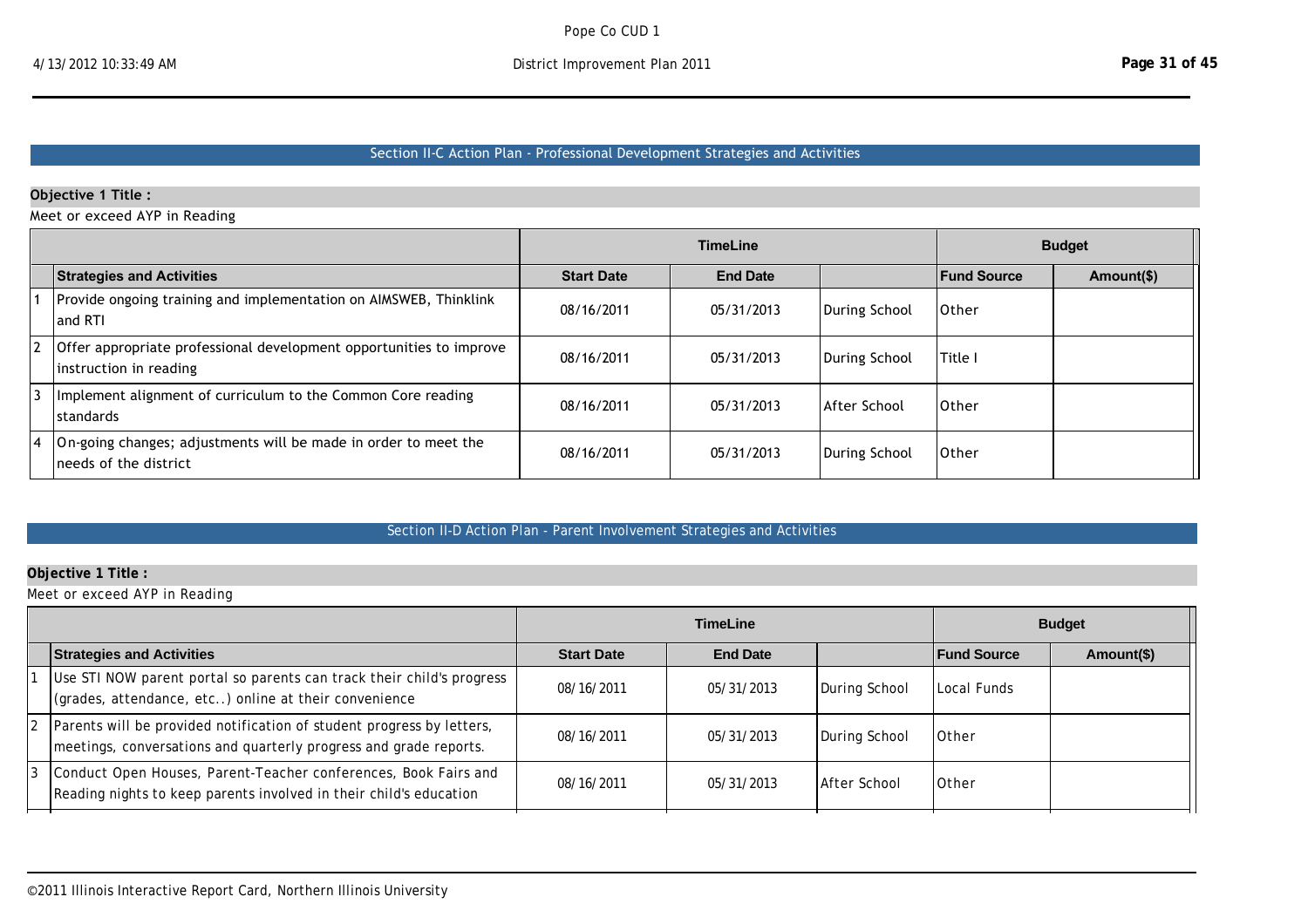# Section II‐C Action Plan ‐ Professional Development Strategies and Activities

## **Objective 1 Title :**

Meet or exceed AYP in Reading

|                                                                                               |                   | <b>TimeLine</b> |               |                    | <b>Budget</b> |
|-----------------------------------------------------------------------------------------------|-------------------|-----------------|---------------|--------------------|---------------|
| <b>Strategies and Activities</b>                                                              | <b>Start Date</b> | <b>End Date</b> |               | <b>Fund Source</b> | Amount(\$)    |
| Provide ongoing training and implementation on AIMSWEB, Thinklink<br>and RTI                  | 08/16/2011        | 05/31/2013      | During School | 10ther             |               |
| Offer appropriate professional development opportunities to improve<br>instruction in reading | 08/16/2011        | 05/31/2013      | During School | Title I            |               |
| Implement alignment of curriculum to the Common Core reading<br><b>standards</b>              | 08/16/2011        | 05/31/2013      | After School  | 10ther             |               |
| On-going changes; adjustments will be made in order to meet the<br>Ineeds of the district     | 08/16/2011        | 05/31/2013      | During School | 10ther             |               |

## Section II-D Action Plan - Parent Involvement Strategies and Activities

# **Objective 1 Title :**

Meet or exceed AYP in Reading

|                                                                                                                                            | <b>TimeLine</b>   |                 | <b>Budget</b> |                    |            |
|--------------------------------------------------------------------------------------------------------------------------------------------|-------------------|-----------------|---------------|--------------------|------------|
| <b>Strategies and Activities</b>                                                                                                           | <b>Start Date</b> | <b>End Date</b> |               | <b>Fund Source</b> | Amount(\$) |
| Use STI NOW parent portal so parents can track their child's progress<br>(grades, attendance, etc) online at their convenience             | 08/16/2011        | 05/31/2013      | During School | Local Funds        |            |
| Parents will be provided notification of student progress by letters,<br>meetings, conversations and quarterly progress and grade reports. | 08/16/2011        | 05/31/2013      | During School | <b>Other</b>       |            |
| Conduct Open Houses, Parent-Teacher conferences, Book Fairs and<br>Reading nights to keep parents involved in their child's education      | 08/16/2011        | 05/31/2013      | After School  | <b>Other</b>       |            |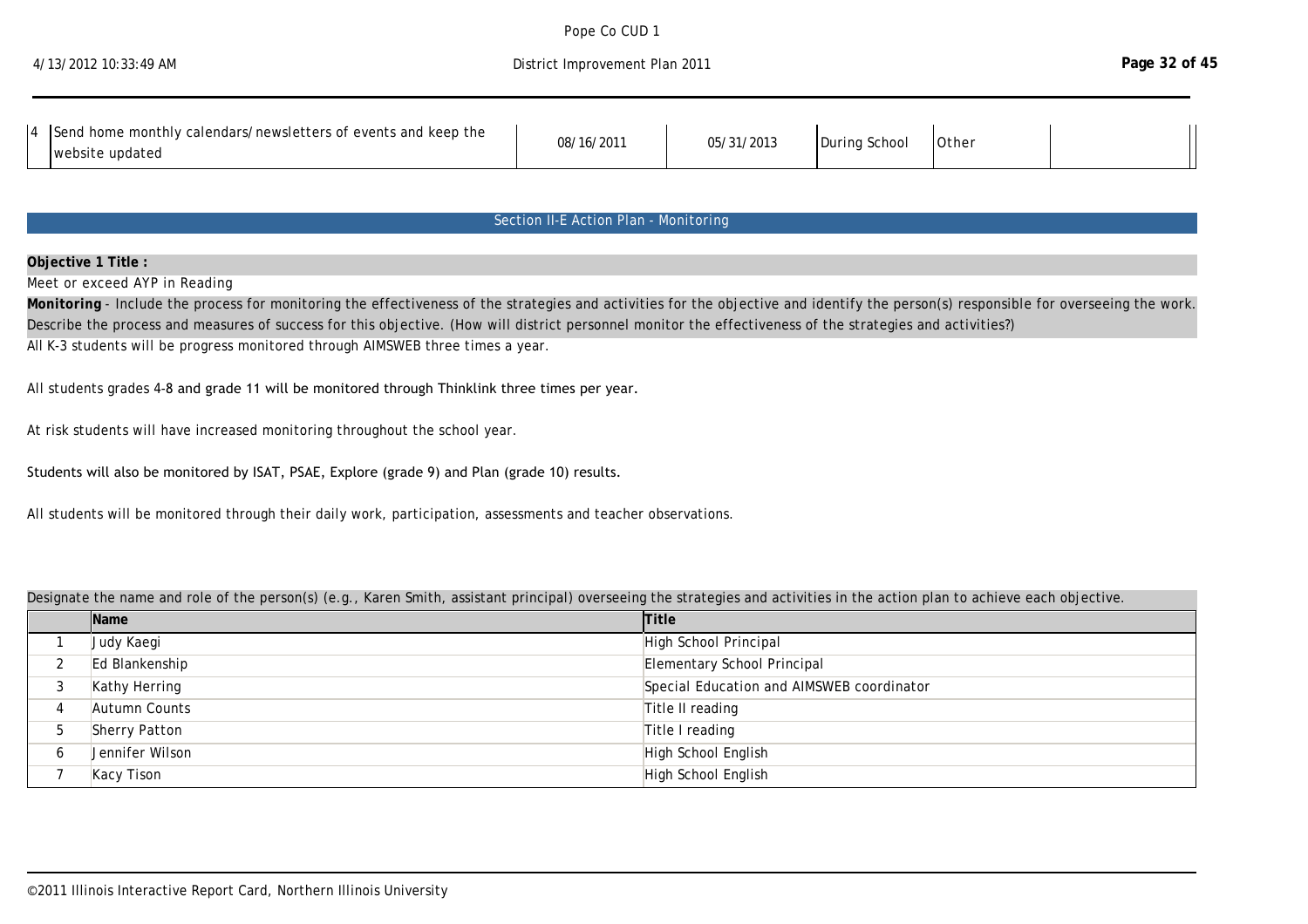Pope Co CUD 1 District Improvement Plan 2011

| 4 Send home monthly calendars/newsletters of events and keep the | 08/16/2011 | 05/31/2013 | During School | Other |  |
|------------------------------------------------------------------|------------|------------|---------------|-------|--|
| website updated                                                  |            |            |               |       |  |

08/16/2011 After School Other School Other School Other School Other School Other School Other School Other Sc

## Section II-E Action Plan - Monitoring

### **Objective 1 Title :**

Meet or exceed AYP in Reading

Monitoring - Include the process for monitoring the effectiveness of the strategies and activities for the objective and identify the person(s) responsible for overseeing the work. Describe the process and measures of success for this objective. (How will district personnel monitor the effectiveness of the strategies and activities?) All K-3 students will be progress monitored through AIMSWEB three times a year.

All students grades 4-8 and grade 11 will be monitored through Thinklink three times per year.

At risk students will have increased monitoring throughout the school year.

### Students will also be monitored by ISAT, PSAE, Explore (grade 9) and Plan (grade 10) results.

All students will be monitored through their daily work, participation, assessments and teacher observations.

#### Designate the name and role of the person(s) (e.g., Karen Smith, assistant principal) overseeing the strategies and activities in the action plan to achieve each objective.

|   | <b>Name</b>     | <b>Title</b>                              |
|---|-----------------|-------------------------------------------|
|   | Judy Kaegi      | High School Principal                     |
|   | Ed Blankenship  | Elementary School Principal               |
|   | Kathy Herring   | Special Education and AIMSWEB coordinator |
| 4 | Autumn Counts   | Title II reading                          |
| 5 | Sherry Patton   | Title I reading                           |
| b | Jennifer Wilson | High School English                       |
|   | Kacy Tison      | High School English                       |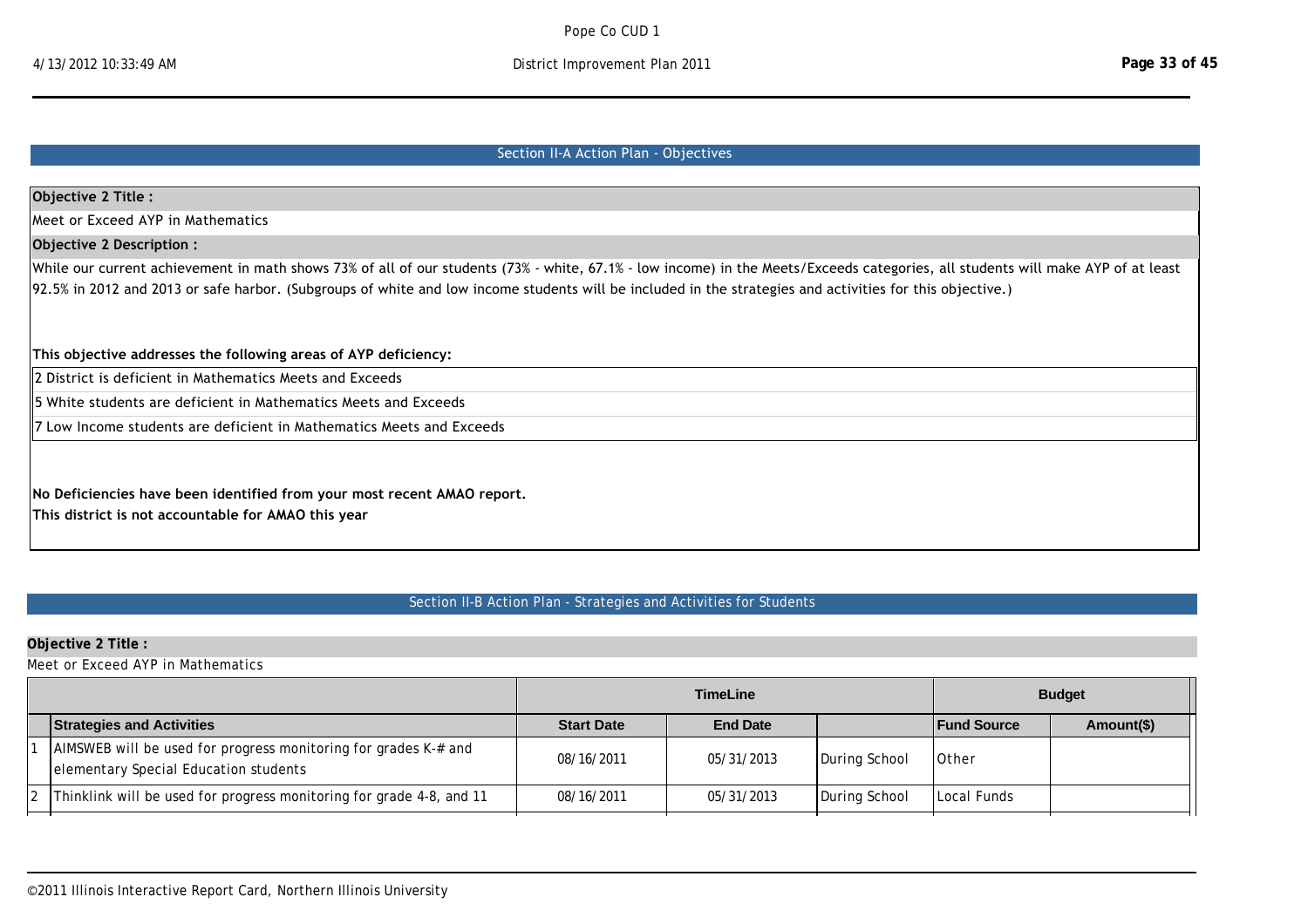# 4/13/2012 10:33:49 AM District Improvement Plan 2011

# Section II‐A Action Plan ‐ Objectives

| Objective 2 Title :                                                                                                                                                                                                                                                                                                                           |
|-----------------------------------------------------------------------------------------------------------------------------------------------------------------------------------------------------------------------------------------------------------------------------------------------------------------------------------------------|
| Meet or Exceed AYP in Mathematics                                                                                                                                                                                                                                                                                                             |
| Objective 2 Description:                                                                                                                                                                                                                                                                                                                      |
| While our current achievement in math shows 73% of all of our students (73% - white, 67.1% - low income) in the Meets/Exceeds categories, all students will make AYP of at least<br>92.5% in 2012 and 2013 or safe harbor. (Subgroups of white and low income students will be included in the strategies and activities for this objective.) |
| This objective addresses the following areas of AYP deficiency:                                                                                                                                                                                                                                                                               |
| 2 District is deficient in Mathematics Meets and Exceeds                                                                                                                                                                                                                                                                                      |
| 15 White students are deficient in Mathematics Meets and Exceeds                                                                                                                                                                                                                                                                              |
| 7 Low Income students are deficient in Mathematics Meets and Exceeds                                                                                                                                                                                                                                                                          |
| No Deficiencies have been identified from your most recent AMAO report.<br>This district is not accountable for AMAO this year                                                                                                                                                                                                                |

# Section II-B Action Plan - Strategies and Activities for Students

# **Objective 2 Title :**

Meet or Exceed AYP in Mathematics

|                                                                                                          | <b>TimeLine</b>   |                 | <b>Budget</b> |                    |            |
|----------------------------------------------------------------------------------------------------------|-------------------|-----------------|---------------|--------------------|------------|
| <b>Strategies and Activities</b>                                                                         | <b>Start Date</b> | <b>End Date</b> |               | <b>Fund Source</b> | Amount(\$) |
| AIMSWEB will be used for progress monitoring for grades K-# and<br>elementary Special Education students | 08/16/2011        | 05/31/2013      | During School | <b>Other</b>       |            |
| Thinklink will be used for progress monitoring for grade 4-8, and 11                                     | 08/16/2011        | 05/31/2013      | During School | Local Funds        |            |

 $\mathcal{A}^{\text{max}}$  math teacher to assist low income elementary studients  $0.16$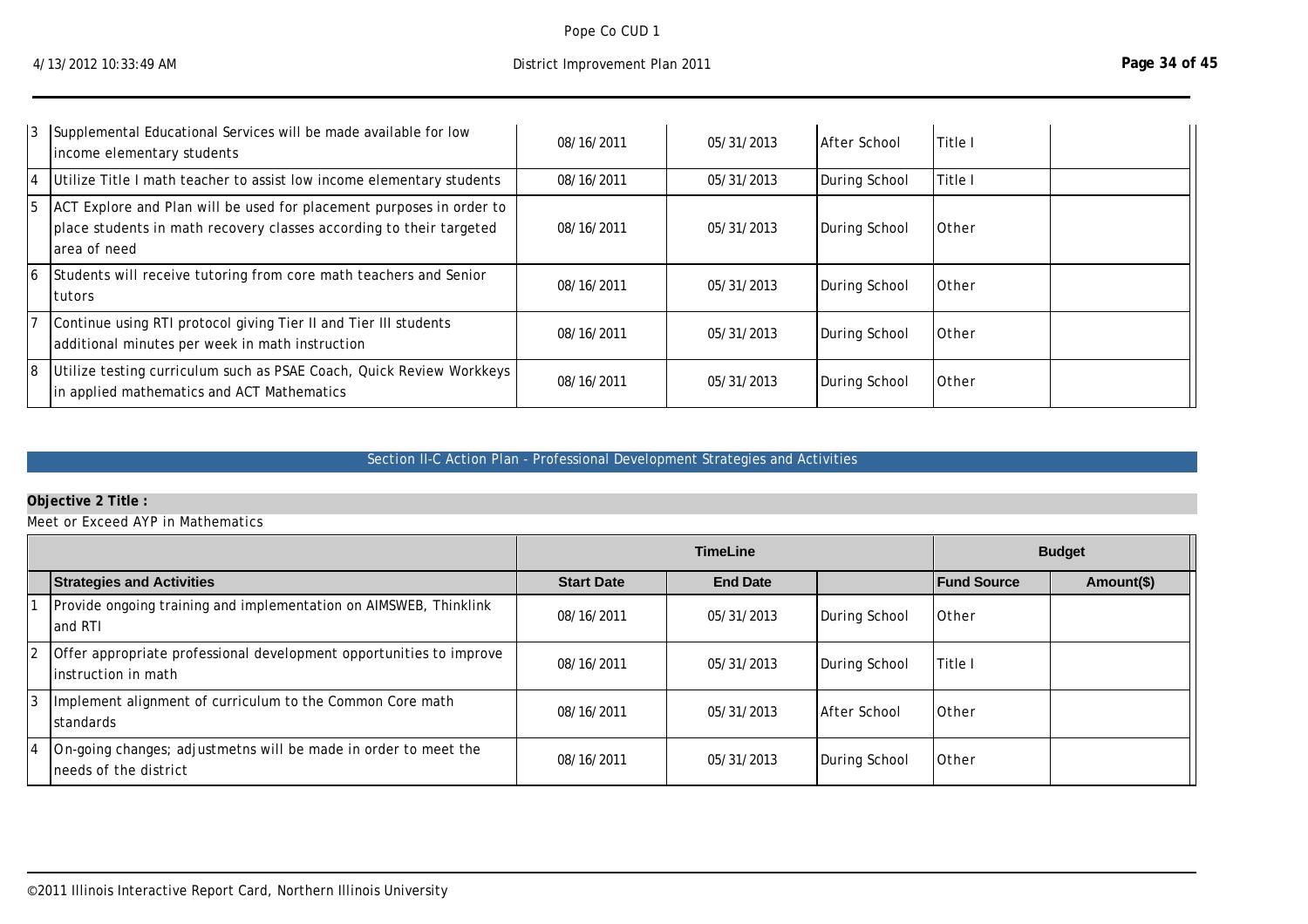Pope Co CUD 1

|    | 3 Supplemental Educational Services will be made available for low<br>income elementary students                                                             | 08/16/2011 | 05/31/2013 | After School  | Title I      |  |
|----|--------------------------------------------------------------------------------------------------------------------------------------------------------------|------------|------------|---------------|--------------|--|
| 14 | Utilize Title I math teacher to assist low income elementary students                                                                                        | 08/16/2011 | 05/31/2013 | During School | Title I      |  |
| 15 | ACT Explore and Plan will be used for placement purposes in order to<br>place students in math recovery classes according to their targeted<br>larea of need | 08/16/2011 | 05/31/2013 | During School | <b>Other</b> |  |
| 16 | Students will receive tutoring from core math teachers and Senior<br>Itutors                                                                                 | 08/16/2011 | 05/31/2013 | During School | <b>Other</b> |  |
|    | Continue using RTI protocol giving Tier II and Tier III students<br>additional minutes per week in math instruction                                          | 08/16/2011 | 05/31/2013 | During School | <b>Other</b> |  |
| 18 | Utilize testing curriculum such as PSAE Coach, Quick Review Workkeys<br>in applied mathematics and ACT Mathematics                                           | 08/16/2011 | 05/31/2013 | During School | <b>Other</b> |  |

## Section II-C Action Plan - Professional Development Strategies and Activities

# **Objective 2 Title :**

Meet or Exceed AYP in Mathematics

|                                                                                            | <b>TimeLine</b>   |                 | <b>Budget</b> |                    |            |
|--------------------------------------------------------------------------------------------|-------------------|-----------------|---------------|--------------------|------------|
| <b>Strategies and Activities</b>                                                           | <b>Start Date</b> | <b>End Date</b> |               | <b>Fund Source</b> | Amount(\$) |
| Provide ongoing training and implementation on AIMSWEB, Thinklink<br>and RTI               | 08/16/2011        | 05/31/2013      | During School | <b>Other</b>       |            |
| Offer appropriate professional development opportunities to improve<br>instruction in math | 08/16/2011        | 05/31/2013      | During School | Title I            |            |
| Implement alignment of curriculum to the Common Core math<br>standards                     | 08/16/2011        | 05/31/2013      | After School  | <b>Other</b>       |            |
| On-going changes; adjustmetns will be made in order to meet the<br>needs of the district   | 08/16/2011        | 05/31/2013      | During School | <b>Other</b>       |            |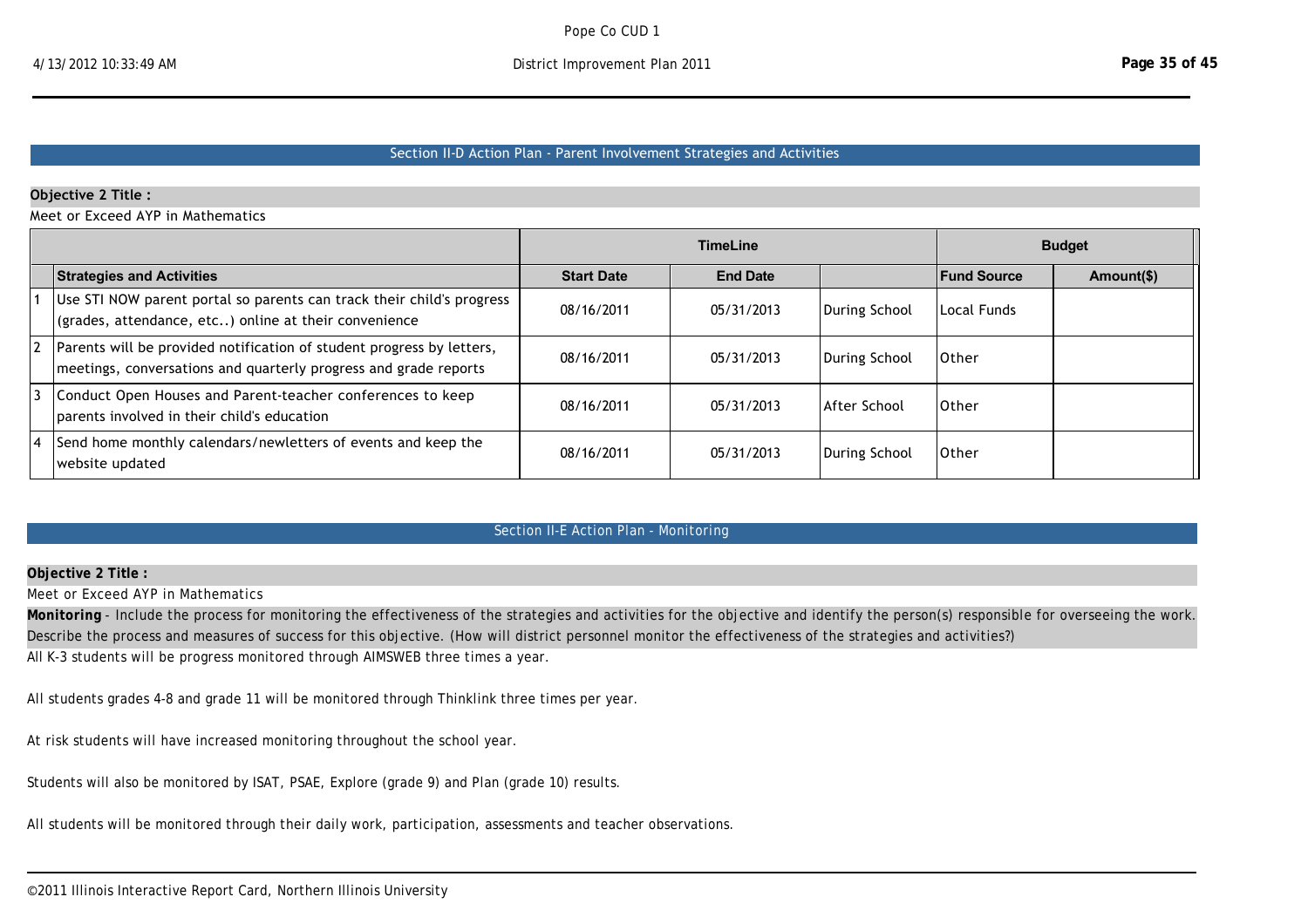### Section II‐D Action Plan ‐ Parent Involvement Strategies and Activities

### **Objective 2 Title :**

Meet or Exceed AYP in Mathematics

|                                                                                                                                           |                   | <b>TimeLine</b> |                     |                    | <b>Budget</b> |
|-------------------------------------------------------------------------------------------------------------------------------------------|-------------------|-----------------|---------------------|--------------------|---------------|
| <b>Strategies and Activities</b>                                                                                                          | <b>Start Date</b> | <b>End Date</b> |                     | <b>Fund Source</b> | Amount(\$)    |
| Use STI NOW parent portal so parents can track their child's progress<br>(grades, attendance, etc) online at their convenience            | 08/16/2011        | 05/31/2013      | During School       | LLocal Funds       |               |
| Parents will be provided notification of student progress by letters,<br>meetings, conversations and quarterly progress and grade reports | 08/16/2011        | 05/31/2013      | During School       | 10ther             |               |
| Conduct Open Houses and Parent-teacher conferences to keep<br>parents involved in their child's education                                 | 08/16/2011        | 05/31/2013      | <b>After School</b> | 10ther             |               |
| Send home monthly calendars/newletters of events and keep the<br>website updated                                                          | 08/16/2011        | 05/31/2013      | During School       | <b>Other</b>       |               |

## Section II-E Action Plan - Monitoring

#### **Objective 2 Title :**

Meet or Exceed AYP in Mathematics

Monitoring - Include the process for monitoring the effectiveness of the strategies and activities for the objective and identify the person(s) responsible for overseeing the work. Describe the process and measures of success for this objective. (How will district personnel monitor the effectiveness of the strategies and activities?) All K-3 students will be progress monitored through AIMSWEB three times a year.

Designate the name and role of the person(s) (e.g., Karen Smith, assistant principal) overseeing the strategies and activities in the action plan to achieve each objective.

All students grades 4-8 and grade 11 will be monitored through Thinklink three times per year.

At risk students will have increased monitoring throughout the school year.

Students will also be monitored by ISAT, PSAE, Explore (grade 9) and Plan (grade 10) results.

All students will be monitored through their daily work, participation, assessments and teacher observations.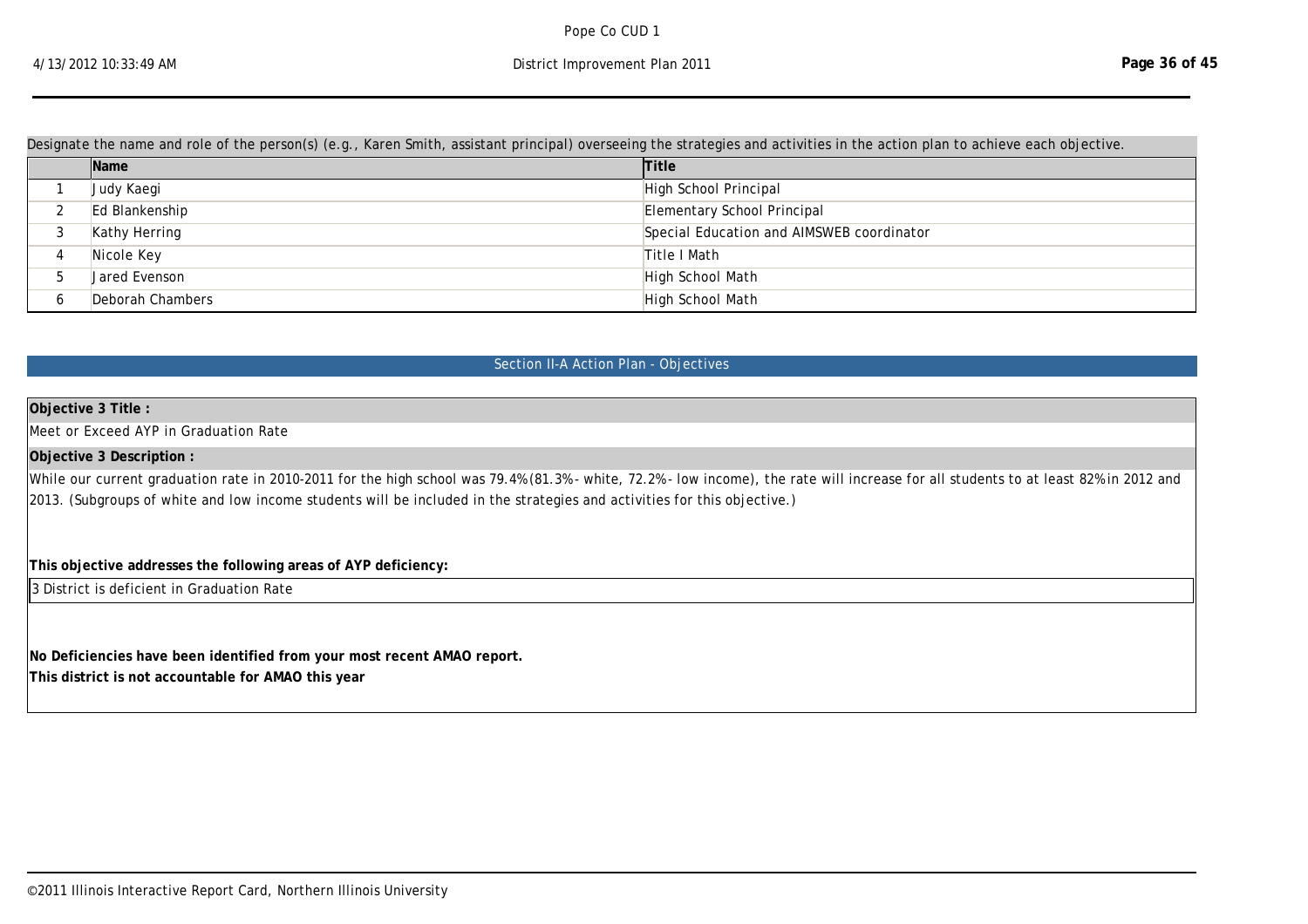Designate the name and role of the person(s) (e.g., Karen Smith, assistant principal) overseeing the strategies and activities in the action plan to achieve each objective.

All students will be monitored through their daily work, participation, assessments and teacher observations.

|   | Name             | <b>Title</b>                              |
|---|------------------|-------------------------------------------|
|   | Judy Kaegi       | High School Principal                     |
|   | Ed Blankenship   | Elementary School Principal               |
|   | Kathy Herring    | Special Education and AIMSWEB coordinator |
| 4 | Nicole Key       | Title I Math                              |
|   | Jared Evenson    | High School Math                          |
|   | Deborah Chambers | High School Math                          |

### Section II-A Action Plan - Objectives

### **Objective 3 Title :**

Meet or Exceed AYP in Graduation Rate

### **Objective 3 Description :**

While our current graduation rate in 2010-2011 for the high school was 79.4% (81.3% - white, 72.2% - low income), the rate will increase for all students to at least 82% in 2012 and 2013. (Subgroups of white and low income students will be included in the strategies and activities for this objective.)

### **This objective addresses the following areas of AYP deficiency:**

3 District is deficient in Graduation Rate

**No Deficiencies have been identified from your most recent AMAO report. This district is not accountable for AMAO this year**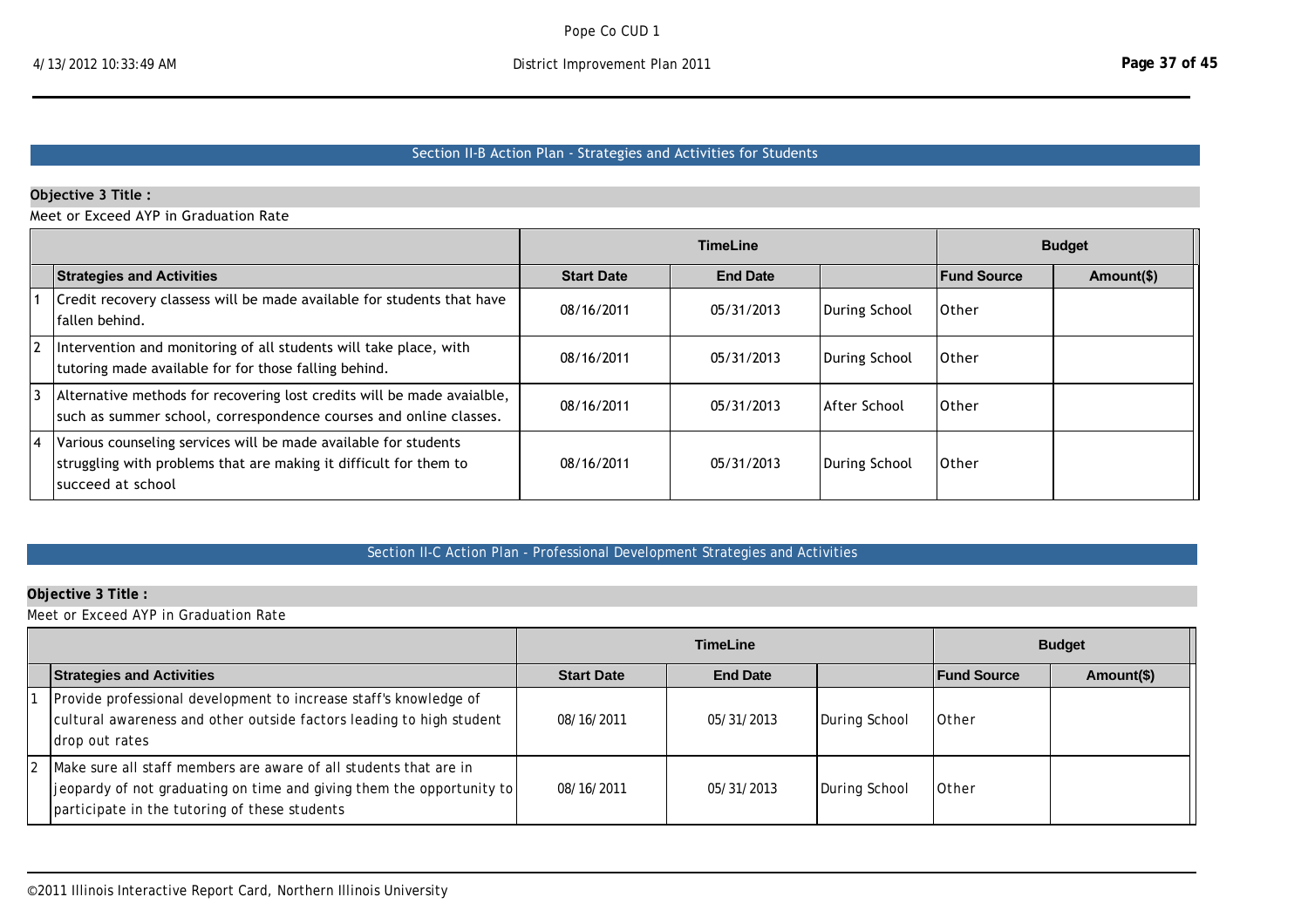# Section II‐B Action Plan ‐ Strategies and Activities for Students

## **Objective 3 Title :**

Meet or Exceed AYP in Graduation Rate

|                                                                                                                                                            |                   | <b>TimeLine</b> |                     |                    | <b>Budget</b> |
|------------------------------------------------------------------------------------------------------------------------------------------------------------|-------------------|-----------------|---------------------|--------------------|---------------|
| <b>Strategies and Activities</b>                                                                                                                           | <b>Start Date</b> | <b>End Date</b> |                     | <b>Fund Source</b> | Amount(\$)    |
| Credit recovery classess will be made available for students that have<br>fallen behind.                                                                   | 08/16/2011        | 05/31/2013      | During School       | 10ther             |               |
| Intervention and monitoring of all students will take place, with<br>tutoring made available for for those falling behind.                                 | 08/16/2011        | 05/31/2013      | During School       | 10ther             |               |
| Alternative methods for recovering lost credits will be made avaialble,<br>such as summer school, correspondence courses and online classes.               | 08/16/2011        | 05/31/2013      | <b>After School</b> | 10ther             |               |
| Various counseling services will be made available for students<br>struggling with problems that are making it difficult for them to<br>Isucceed at school | 08/16/2011        | 05/31/2013      | During School       | lOther             |               |

# Section II-C Action Plan - Professional Development Strategies and Activities

## **Objective 3 Title :**

Meet or Exceed AYP in Graduation Rate

|                                                                                                                                                                                                |                   | <b>TimeLine</b> |               |                    | <b>Budget</b> |
|------------------------------------------------------------------------------------------------------------------------------------------------------------------------------------------------|-------------------|-----------------|---------------|--------------------|---------------|
| <b>Strategies and Activities</b>                                                                                                                                                               | <b>Start Date</b> | <b>End Date</b> |               | <b>Fund Source</b> | Amount(\$)    |
| Provide professional development to increase staff's knowledge of<br>cultural awareness and other outside factors leading to high student<br>drop out rates                                    | 08/16/2011        | 05/31/2013      | During School | <b>Other</b>       |               |
| Make sure all staff members are aware of all students that are in<br> jeopardy of not graduating on time and giving them the opportunity to  <br>participate in the tutoring of these students | 08/16/2011        | 05/31/2013      | During School | <b>Other</b>       |               |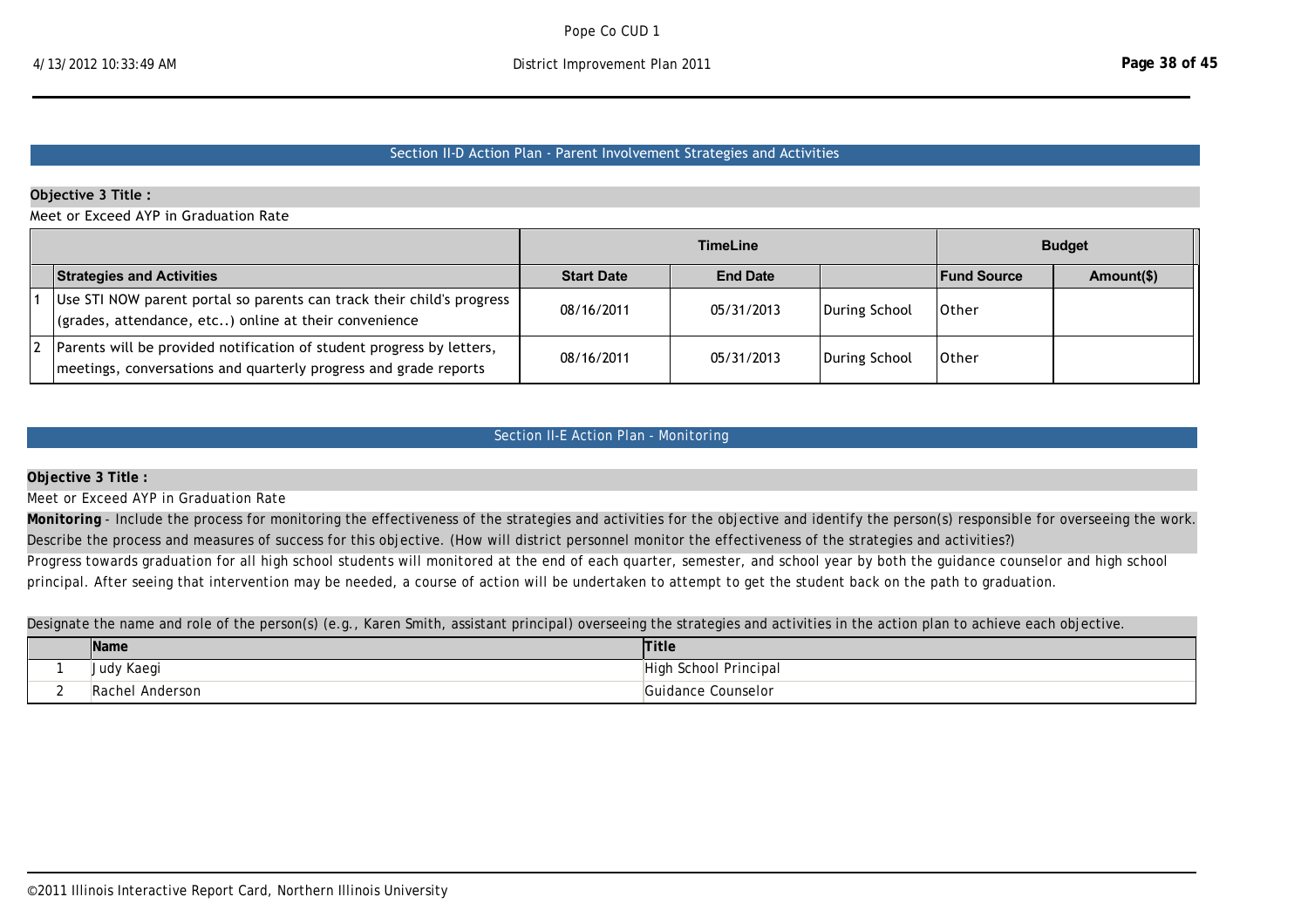### Section II‐D Action Plan ‐ Parent Involvement Strategies and Activities

### **Objective 3 Title :**

Meet or Exceed AYP in Graduation Rate

|                                                                                                                                           |                   | <b>TimeLine</b> |               |                    | <b>Budget</b> |
|-------------------------------------------------------------------------------------------------------------------------------------------|-------------------|-----------------|---------------|--------------------|---------------|
| <b>Strategies and Activities</b>                                                                                                          | <b>Start Date</b> | <b>End Date</b> |               | <b>Fund Source</b> | Amount(\$)    |
| Use STI NOW parent portal so parents can track their child's progress<br>$\vert$ (grades, attendance, etc) online at their convenience    | 08/16/2011        | 05/31/2013      | During School | 10ther             |               |
| Parents will be provided notification of student progress by letters,<br>meetings, conversations and quarterly progress and grade reports | 08/16/2011        | 05/31/2013      | During School | 10ther             |               |

## Section II-E Action Plan - Monitoring

#### **Objective 3 Title :**

Meet or Exceed AYP in Graduation Rate

Monitoring - Include the process for monitoring the effectiveness of the strategies and activities for the objective and identify the person(s) responsible for overseeing the work. Describe the process and measures of success for this objective. (How will district personnel monitor the effectiveness of the strategies and activities?)

Progress towards graduation for all high school students will monitored at the end of each quarter, semester, and school year by both the guidance counselor and high school principal. After seeing that intervention may be needed, a course of action will be undertaken to attempt to get the student back on the path to graduation.

Designate the name and role of the person(s) (e.g., Karen Smith, assistant principal) overseeing the strategies and activities in the action plan to achieve each objective.

|        | Name            | <b>Title</b>                                 |
|--------|-----------------|----------------------------------------------|
|        | Judy Kaegi      | $\overline{\phantom{a}}$<br>School Principal |
| $\sim$ | Rachel Anderson | Guidance Counselor.                          |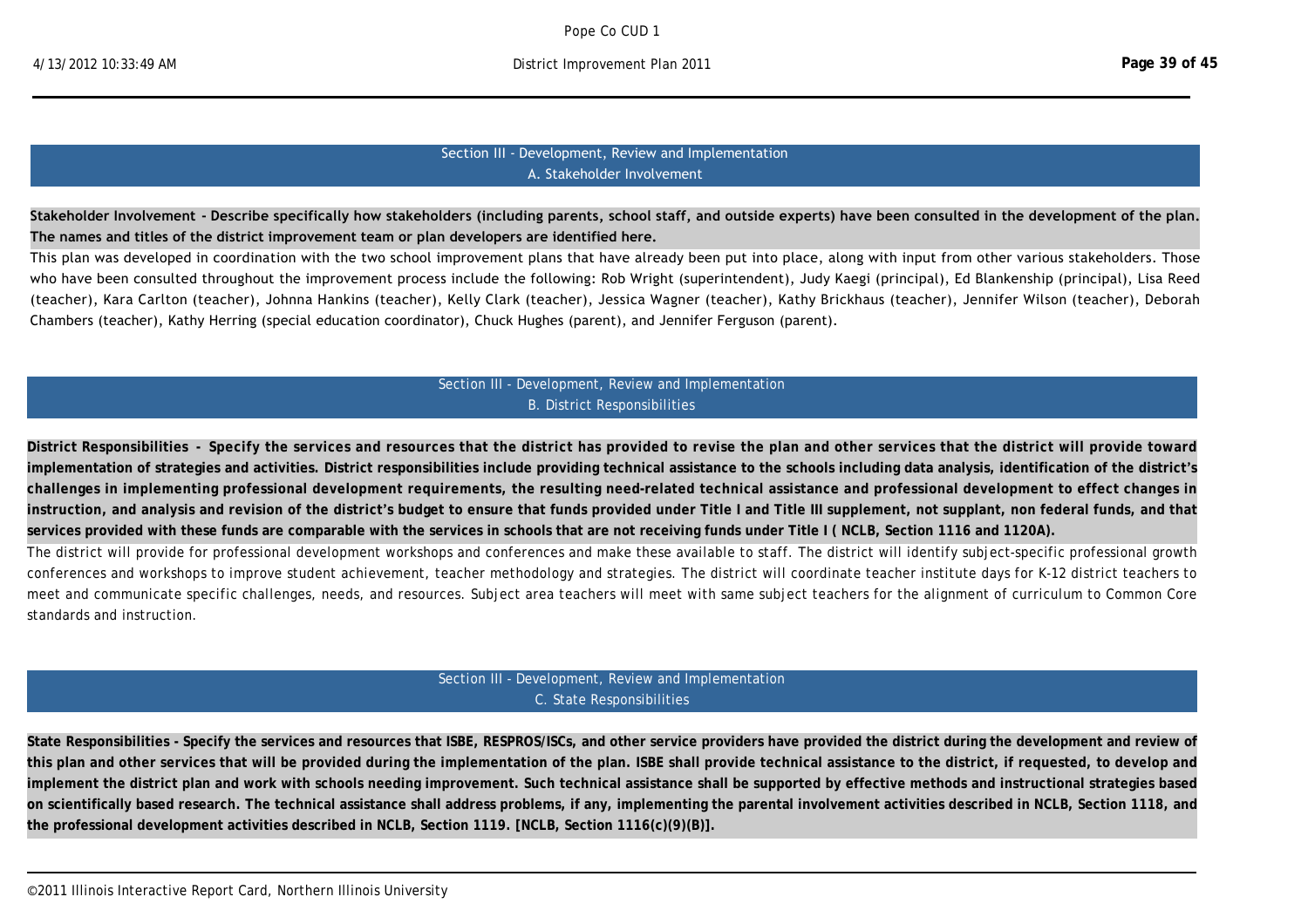## Section III ‐ Development, Review and Implementation A. Stakeholder Involvement

**Stakeholder Involvement ‐ Describe specifically how stakeholders (including parents, school staff, and outside experts) have been consulted in the development of the plan. The names and titles of the district improvement team or plan developers are identified here.**

This plan was developed in coordination with the two school improvement plans that have already been put into place, along with input from other various stakeholders. Those who have been consulted throughout the improvement process include the following: Rob Wright (superintendent), Judy Kaegi (principal), Ed Blankenship (principal), Lisa Reed (teacher), Kara Carlton (teacher), Johnna Hankins (teacher), Kelly Clark (teacher), Jessica Wagner (teacher), Kathy Brickhaus (teacher), Jennifer Wilson (teacher), Deborah Chambers (teacher), Kathy Herring (special education coordinator), Chuck Hughes (parent), and Jennifer Ferguson (parent).

## Section III - Development, Review and Implementation B. District Responsibilities

**District Responsibilities - Specify the services and resources that the district has provided to revise the plan and other services that the district will provide toward implementation of strategies and activities. District responsibilities include providing technical assistance to the schools including data analysis, identification of the district's challenges in implementing professional development requirements, the resulting need-related technical assistance and professional development to effect changes in instruction, and analysis and revision of the district's budget to ensure that funds provided under Title I and Title III supplement, not supplant, non federal funds, and that services provided with these funds are comparable with the services in schools that are not receiving funds under Title I ( NCLB, Section 1116 and 1120A).**

The district will provide for professional development workshops and conferences and make these available to staff. The district will identify subject-specific professional growth conferences and workshops to improve student achievement, teacher methodology and strategies. The district will coordinate teacher institute days for K-12 district teachers to meet and communicate specific challenges, needs, and resources. Subject area teachers will meet with same subject teachers for the alignment of curriculum to Common Core standards and instruction.

## Section III - Development, Review and Implementation C. State Responsibilities

**State Responsibilities - Specify the services and resources that ISBE, RESPROS/ISCs, and other service providers have provided the district during the development and review of this plan and other services that will be provided during the implementation of the plan. ISBE shall provide technical assistance to the district, if requested, to develop and implement the district plan and work with schools needing improvement. Such technical assistance shall be supported by effective methods and instructional strategies based on scientifically based research. The technical assistance shall address problems, if any, implementing the parental involvement activities described in NCLB, Section 1118, and the professional development activities described in NCLB, Section 1119. [NCLB, Section 1116(c)(9)(B)].**

district improvement plan. RESPRO has also assisted in providing professional development opportunities and consultation and support through their representatives. ISBE has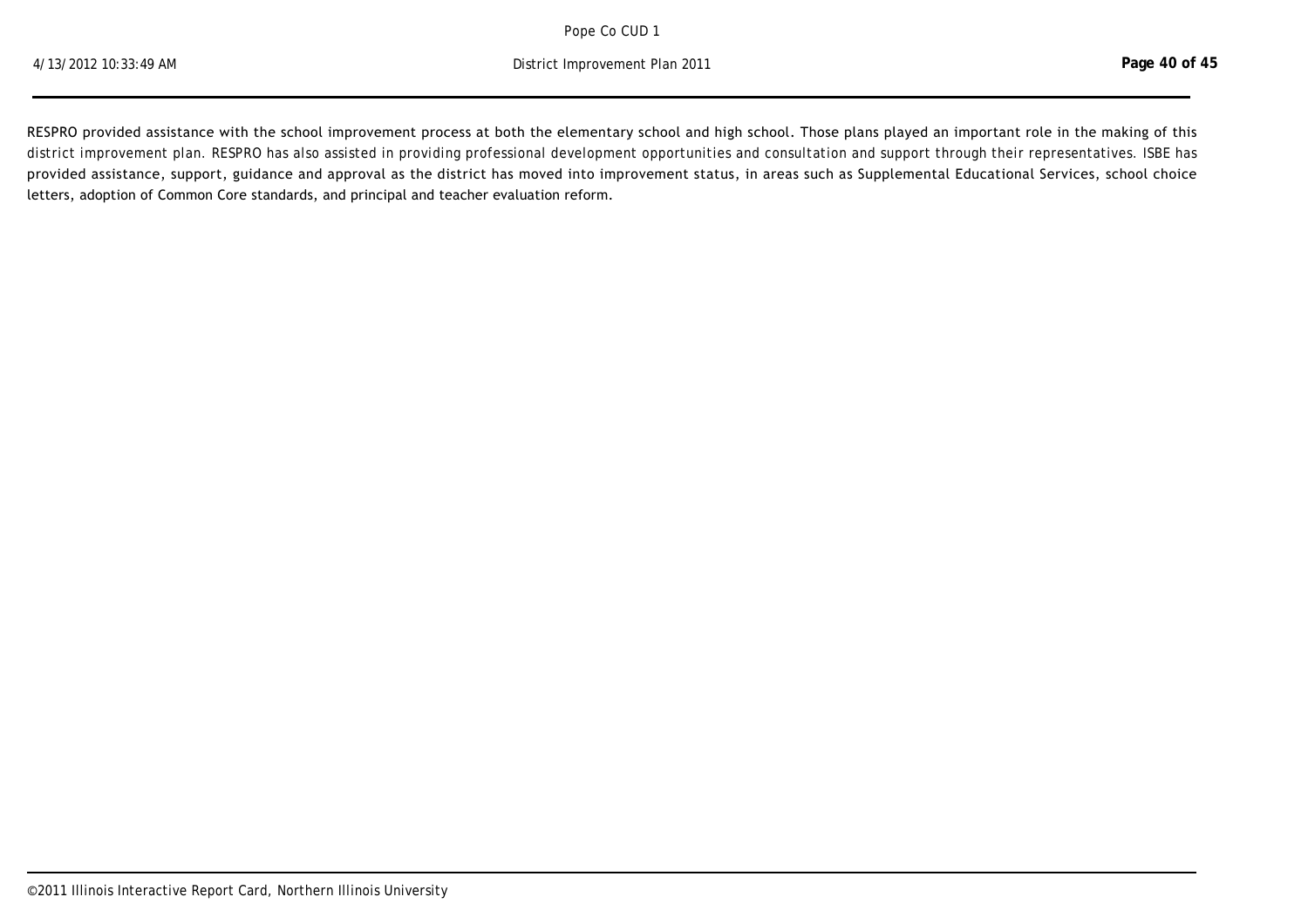**State Responsibilities - Specify the services and resources that ISBE, RESPROS/ISCs, and other service providers have provided the district during the development and review of**  Pope Co CUD 1

**implement the district plan and with schools need instruction instruction with schools and instruction strategies based of the strategies based of the strategies based of the strategies based of the strategies based of th on scientifically based research. The technical assistance shall address problems, if any, implementing the parental involvement activities described in NCLB, Section 1118, and**  4/13/2012 10:33:49 AM District Improvement Plan 2011

RESPRO provided assistance with the school improvement process at both the elementary school and high school. Those plans played an important role in the making of this district improvement plan. RESPRO has also assisted in providing professional development opportunities and consultation and support through their representatives. ISBE has provided assistance, support, guidance and approval as the district has moved into improvement status, in areas such as Supplemental Educational Services, school choice letters, adoption of Common Core standards, and principal and teacher evaluation reform.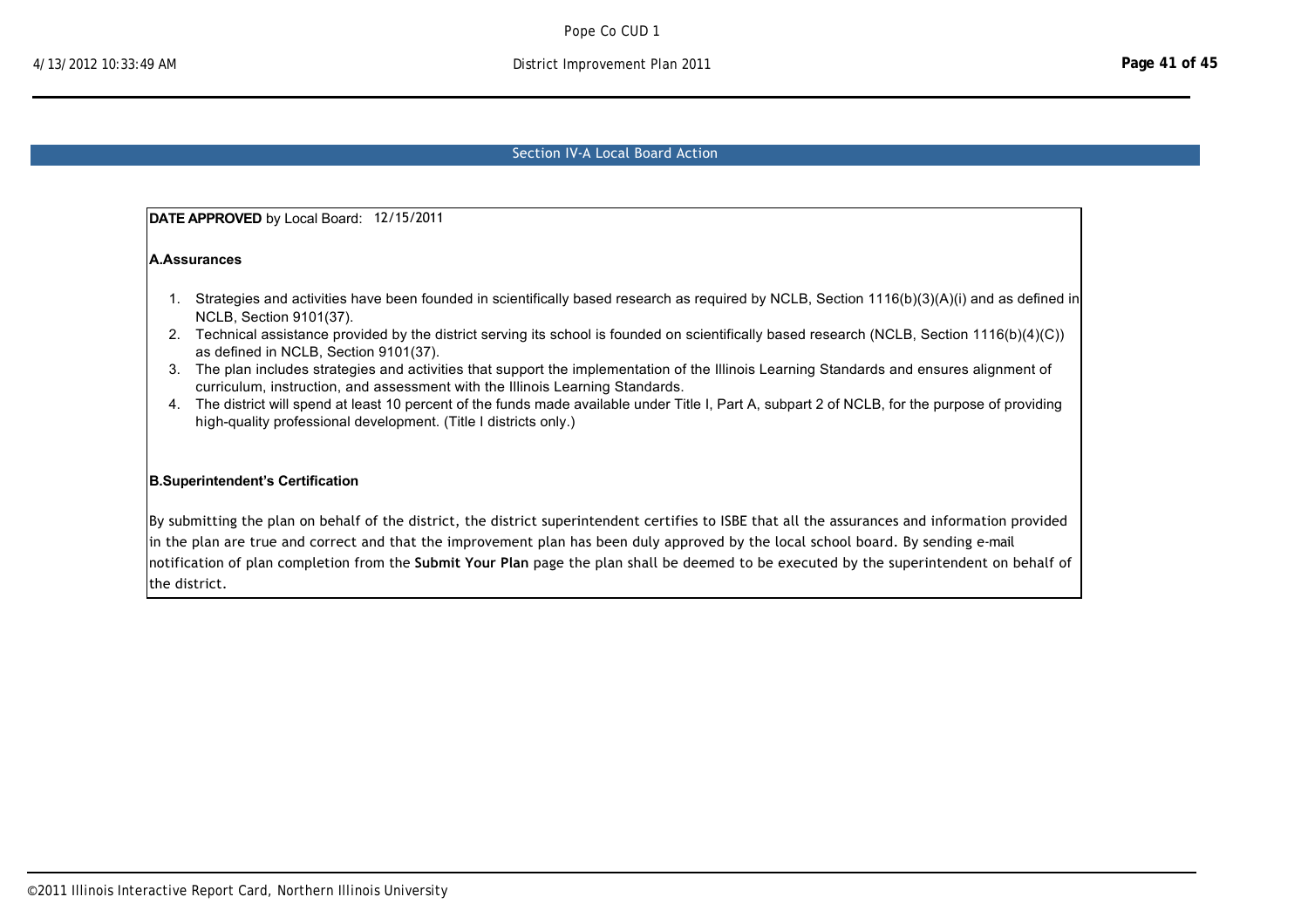## Section IV‐A Local Board Action

**DATE APPROVED** by Local Board: 12/15/2011

**A.Assurances** 

- 1. Strategies and activities have been founded in scientifically based research as required by NCLB, Section 1116(b)(3)(A)(i) and as defined in NCLB, Section 9101(37).
- 2. Technical assistance provided by the district serving its school is founded on scientifically based research (NCLB, Section 1116(b)(4)(C)) as defined in NCLB, Section 9101(37).
- 3. The plan includes strategies and activities that support the implementation of the Illinois Learning Standards and ensures alignment of curriculum, instruction, and assessment with the Illinois Learning Standards.
- 4. The district will spend at least 10 percent of the funds made available under Title I, Part A, subpart 2 of NCLB, for the purpose of providing high-quality professional development. (Title I districts only.)

#### **B.Superintendent's Certification**

By submitting the plan on behalf of the district, the district superintendent certifies to ISBE that all the assurances and information provided in the plan are true and correct and that the improvement plan has been duly approved by the local school board. By sending e-mail notification of plan completion from the **Submit Your Plan** page the plan shall be deemed to be executed by the superintendent on behalf of the district.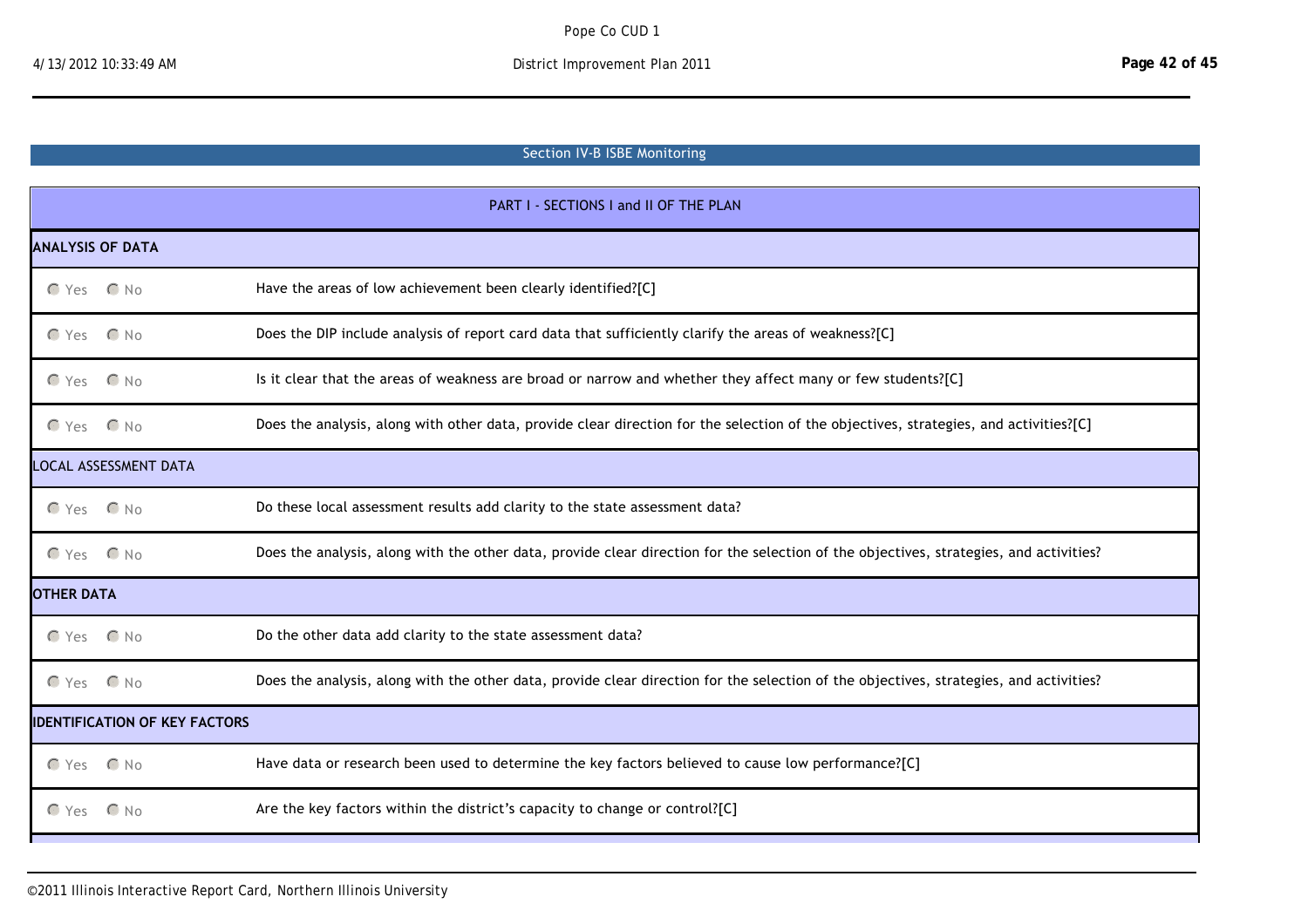# Section IV‐B ISBE Monitoring

| PART I - SECTIONS I and II OF THE PLAN |              |                                                                                                                                        |  |  |
|----------------------------------------|--------------|----------------------------------------------------------------------------------------------------------------------------------------|--|--|
| <b>ANALYSIS OF DATA</b>                |              |                                                                                                                                        |  |  |
| $O Yes$ $O No$                         |              | Have the areas of low achievement been clearly identified?[C]                                                                          |  |  |
| $\bigcap$ Yes                          | $\bigcap$ No | Does the DIP include analysis of report card data that sufficiently clarify the areas of weakness?[C]                                  |  |  |
| $OYes$ $ONO$                           |              | Is it clear that the areas of weakness are broad or narrow and whether they affect many or few students?[C]                            |  |  |
| $CYes$ $CNo$                           |              | Does the analysis, along with other data, provide clear direction for the selection of the objectives, strategies, and activities?[C]  |  |  |
| LOCAL ASSESSMENT DATA                  |              |                                                                                                                                        |  |  |
| $CYes$ $CNo$                           |              | Do these local assessment results add clarity to the state assessment data?                                                            |  |  |
| $OYes$ $ONO$                           |              | Does the analysis, along with the other data, provide clear direction for the selection of the objectives, strategies, and activities? |  |  |
| <b>OTHER DATA</b>                      |              |                                                                                                                                        |  |  |
| $OYes$ $ONO$                           |              | Do the other data add clarity to the state assessment data?                                                                            |  |  |
| $CYes$ $ONo$                           |              | Does the analysis, along with the other data, provide clear direction for the selection of the objectives, strategies, and activities? |  |  |
| <b>IDENTIFICATION OF KEY FACTORS</b>   |              |                                                                                                                                        |  |  |
| $O Yes$ $O No$                         |              | Have data or research been used to determine the key factors believed to cause low performance?[C]                                     |  |  |
| $\subset$ Yes                          | $\bigcap$ No | Are the key factors within the district's capacity to change or control?[C]                                                            |  |  |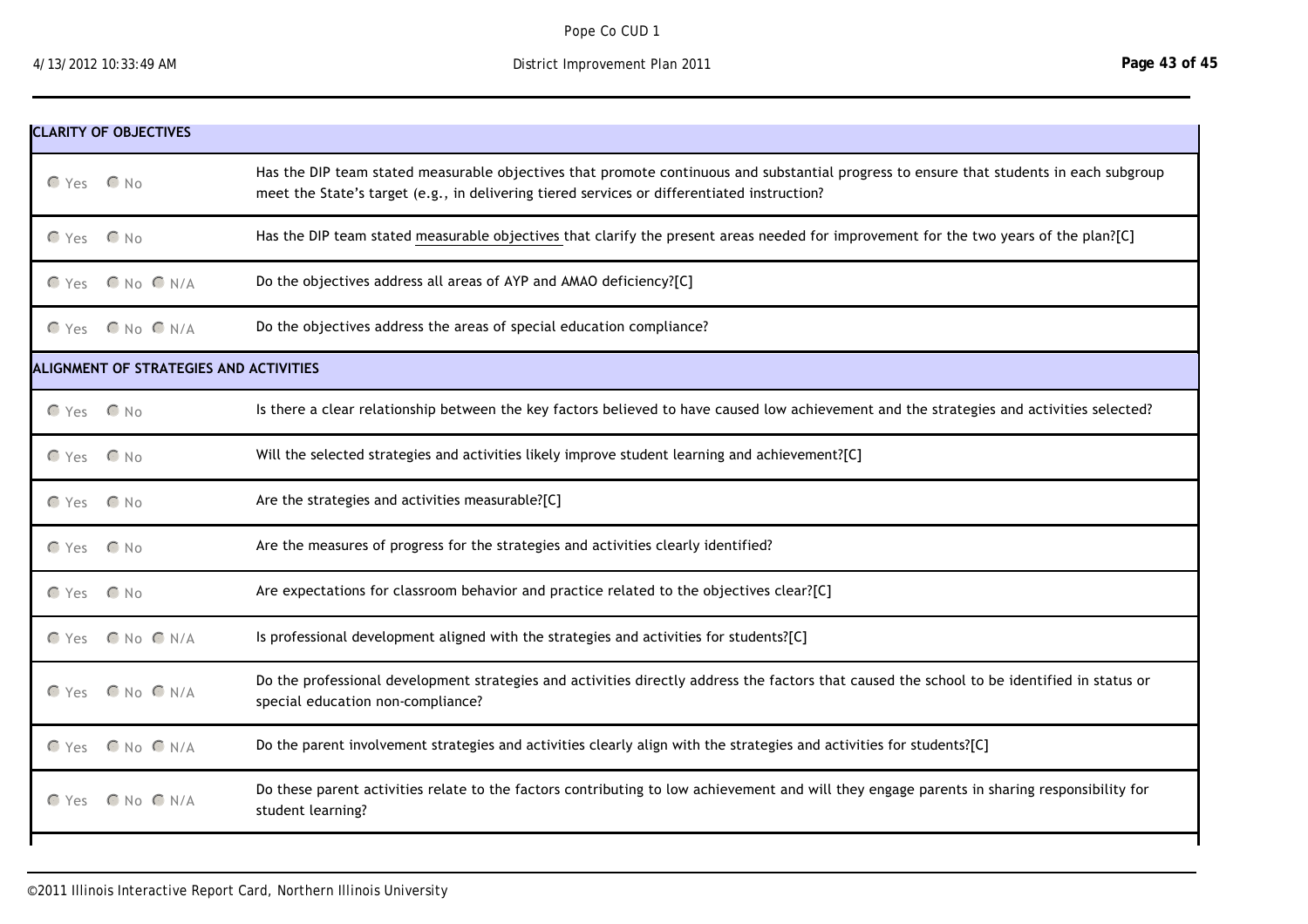nmlkj Yes nmlkj No Are the key factors with the distriction the district  $\alpha$ 

| <b>CLARITY OF OBJECTIVES</b>           |                        |                                                                                                                                                                                                                                        |  |  |
|----------------------------------------|------------------------|----------------------------------------------------------------------------------------------------------------------------------------------------------------------------------------------------------------------------------------|--|--|
| C Yes C No                             |                        | Has the DIP team stated measurable objectives that promote continuous and substantial progress to ensure that students in each subgroup<br>meet the State's target (e.g., in delivering tiered services or differentiated instruction? |  |  |
| $\mathcal{C}$ Yes                      | $\bigcap$ No           | Has the DIP team stated measurable objectives that clarify the present areas needed for improvement for the two years of the plan?[C]                                                                                                  |  |  |
|                                        | $OYes$ $ONO$ $N/A$     | Do the objectives address all areas of AYP and AMAO deficiency?[C]                                                                                                                                                                     |  |  |
|                                        | C Yes C No C N/A       | Do the objectives address the areas of special education compliance?                                                                                                                                                                   |  |  |
| ALIGNMENT OF STRATEGIES AND ACTIVITIES |                        |                                                                                                                                                                                                                                        |  |  |
| C Yes C No                             |                        | Is there a clear relationship between the key factors believed to have caused low achievement and the strategies and activities selected?                                                                                              |  |  |
| $OYes$ $ONO$                           |                        | Will the selected strategies and activities likely improve student learning and achievement?[C]                                                                                                                                        |  |  |
| $CYes$ $CNo$                           |                        | Are the strategies and activities measurable?[C]                                                                                                                                                                                       |  |  |
| $CYes$ $CNo$                           |                        | Are the measures of progress for the strategies and activities clearly identified?                                                                                                                                                     |  |  |
| $CYes$ $CNo$                           |                        | Are expectations for classroom behavior and practice related to the objectives clear?[C]                                                                                                                                               |  |  |
|                                        | $CYes$ $ONo$ $N/A$     | Is professional development aligned with the strategies and activities for students?[C]                                                                                                                                                |  |  |
|                                        | $CYes$ $ONo$ $N/A$     | Do the professional development strategies and activities directly address the factors that caused the school to be identified in status or<br>special education non-compliance?                                                       |  |  |
|                                        | $O Yes$ $O No$ $O N/A$ | Do the parent involvement strategies and activities clearly align with the strategies and activities for students?[C]                                                                                                                  |  |  |
| $\bigcap$ Yes                          | $C$ No $C$ N/A         | Do these parent activities relate to the factors contributing to low achievement and will they engage parents in sharing responsibility for<br>student learning?                                                                       |  |  |
|                                        |                        |                                                                                                                                                                                                                                        |  |  |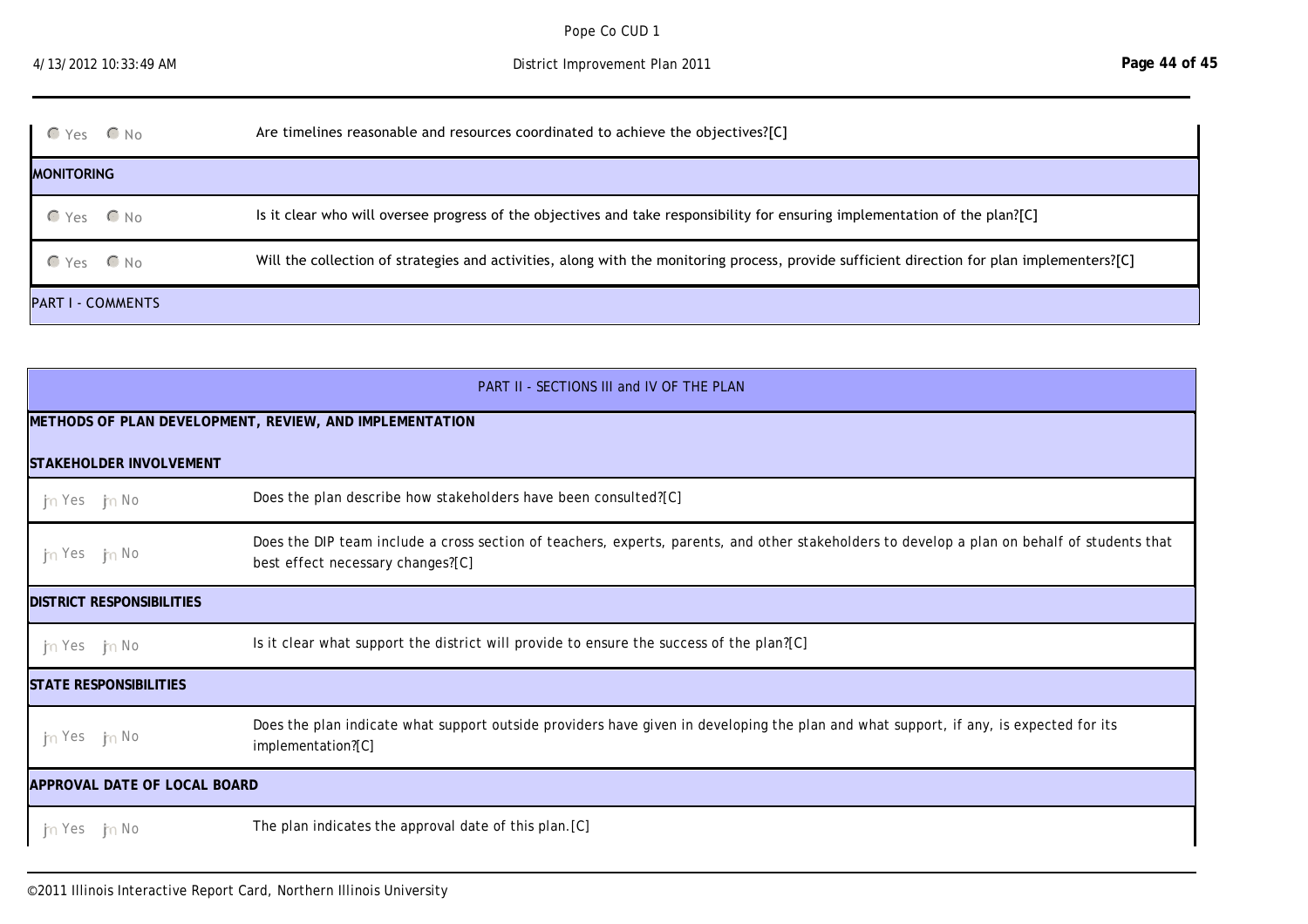student learning?

| $OYes$ $ONO$             | Are timelines reasonable and resources coordinated to achieve the objectives?[C]                                                            |  |
|--------------------------|---------------------------------------------------------------------------------------------------------------------------------------------|--|
| <b>MONITORING</b>        |                                                                                                                                             |  |
| $CYes$ $ONo$             | Is it clear who will oversee progress of the objectives and take responsibility for ensuring implementation of the plan?[C]                 |  |
| $CYes$ $ONo$             | Will the collection of strategies and activities, along with the monitoring process, provide sufficient direction for plan implementers?[C] |  |
| <b>PART I - COMMENTS</b> |                                                                                                                                             |  |

| PART II - SECTIONS III and IV OF THE PLAN               |                                                                                                                                                                                   |  |  |  |
|---------------------------------------------------------|-----------------------------------------------------------------------------------------------------------------------------------------------------------------------------------|--|--|--|
| METHODS OF PLAN DEVELOPMENT, REVIEW, AND IMPLEMENTATION |                                                                                                                                                                                   |  |  |  |
| ISTAKEHOLDER INVOLVEMENT                                |                                                                                                                                                                                   |  |  |  |
| <b>J<sub>ra</sub></b> Yes Jra No                        | Does the plan describe how stakeholders have been consulted?[C]                                                                                                                   |  |  |  |
| <b>J<sub>ra</sub></b> Yes Jra No                        | Does the DIP team include a cross section of teachers, experts, parents, and other stakeholders to develop a plan on behalf of students that<br>best effect necessary changes?[C] |  |  |  |
| <b>IDISTRICT RESPONSIBILITIES</b>                       |                                                                                                                                                                                   |  |  |  |
| $\frac{1}{2}$ Yes $\frac{1}{2}$ No                      | Is it clear what support the district will provide to ensure the success of the plan?[C]                                                                                          |  |  |  |
| <b>STATE RESPONSIBILITIES</b>                           |                                                                                                                                                                                   |  |  |  |
| the Yest the No                                         | Does the plan indicate what support outside providers have given in developing the plan and what support, if any, is expected for its<br>implementation?[C]                       |  |  |  |
| <b>APPROVAL DATE OF LOCAL BOARD</b>                     |                                                                                                                                                                                   |  |  |  |
| <b>J</b> <sub>n</sub> Yes J <sub>n</sub> No             | The plan indicates the approval date of this plan. [C]                                                                                                                            |  |  |  |

PART II - COMMENTS